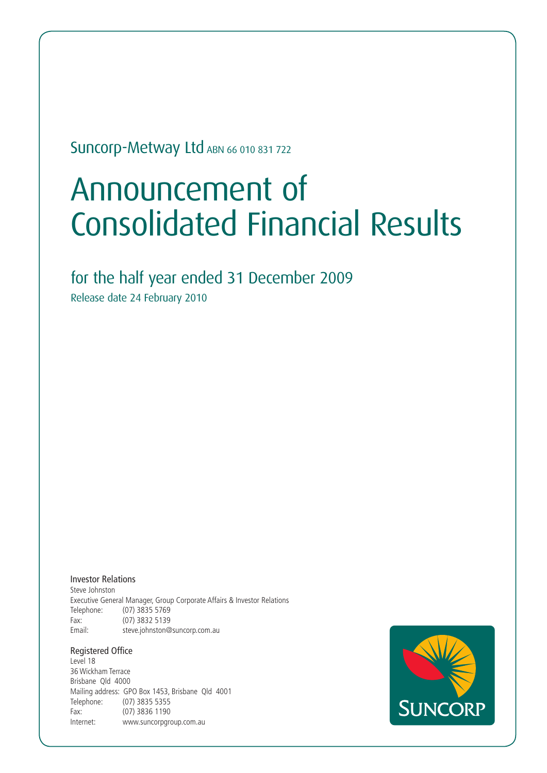Suncorp-Metway Ltd ABN 66 010 831 722

# Announcement of Consolidated Financial Results

## for the half year ended 31 December 2009

Release date 24 February 2010

Investor Relations Steve Johnston Executive General Manager, Group Corporate Affairs & Investor Relations Telephone: (07) 3835 5769 Fax: (07) 3832 5139 Email: steve.johnston@suncorp.com.au

#### Registered Office

Level 18 36 Wickham Terrace Brisbane Qld 4000 Mailing address: GPO Box 1453, Brisbane Qld 4001 Telephone: (07) 3835 5355 Fax: (07) 3836 1190 Internet: www.suncorpgroup.com.au

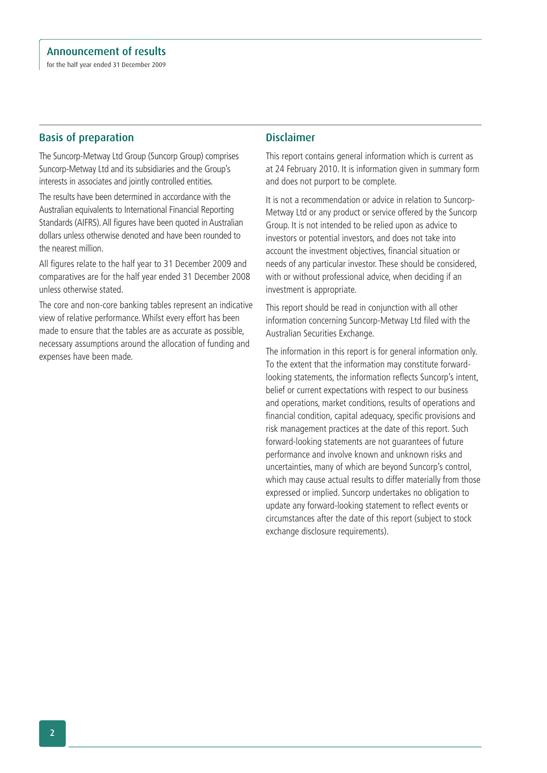for the half year ended 31 December 2009

#### Basis of preparation

The Suncorp-Metway Ltd Group (Suncorp Group) comprises Suncorp-Metway Ltd and its subsidiaries and the Group's interests in associates and jointly controlled entities.

The results have been determined in accordance with the Australian equivalents to International Financial Reporting Standards (AIFRS). All figures have been quoted in Australian dollars unless otherwise denoted and have been rounded to the nearest million.

All figures relate to the half year to 31 December 2009 and comparatives are for the half year ended 31 December 2008 unless otherwise stated.

The core and non-core banking tables represent an indicative view of relative performance. Whilst every effort has been made to ensure that the tables are as accurate as possible, necessary assumptions around the allocation of funding and expenses have been made.

#### Disclaimer

This report contains general information which is current as at 24 February 2010. It is information given in summary form and does not purport to be complete.

It is not a recommendation or advice in relation to Suncorp-Metway Ltd or any product or service offered by the Suncorp Group. It is not intended to be relied upon as advice to investors or potential investors, and does not take into account the investment objectives, financial situation or needs of any particular investor. These should be considered, with or without professional advice, when deciding if an investment is appropriate.

This report should be read in conjunction with all other information concerning Suncorp-Metway Ltd filed with the Australian Securities Exchange.

The information in this report is for general information only. To the extent that the information may constitute forwardlooking statements, the information reflects Suncorp's intent, belief or current expectations with respect to our business and operations, market conditions, results of operations and financial condition, capital adequacy, specific provisions and risk management practices at the date of this report. Such forward-looking statements are not guarantees of future performance and involve known and unknown risks and uncertainties, many of which are beyond Suncorp's control, which may cause actual results to differ materially from those expressed or implied. Suncorp undertakes no obligation to update any forward-looking statement to reflect events or circumstances after the date of this report (subject to stock exchange disclosure requirements).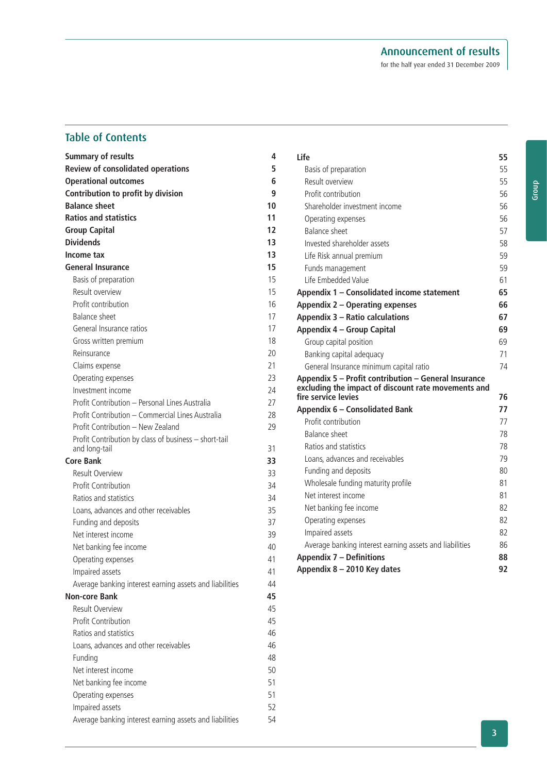for the half year ended 31 December 2009

Group

## Table of Contents

| <b>Summary of results</b>                               | 4  |
|---------------------------------------------------------|----|
| <b>Review of consolidated operations</b>                | 5  |
| <b>Operational outcomes</b>                             | 6  |
| Contribution to profit by division                      | 9  |
| <b>Balance sheet</b>                                    | 10 |
| <b>Ratios and statistics</b>                            | 11 |
| <b>Group Capital</b>                                    | 12 |
| <b>Dividends</b>                                        | 13 |
| Income tax                                              | 13 |
| <b>General Insurance</b>                                | 15 |
| Basis of preparation                                    | 15 |
| Result overview                                         | 15 |
| Profit contribution                                     | 16 |
| <b>Balance sheet</b>                                    | 17 |
| General Insurance ratios                                | 17 |
| Gross written premium                                   | 18 |
| Reinsurance                                             | 20 |
| Claims expense                                          | 21 |
| Operating expenses                                      | 23 |
| Investment income                                       | 24 |
| Profit Contribution - Personal Lines Australia          | 27 |
| Profit Contribution - Commercial Lines Australia        | 28 |
| Profit Contribution - New Zealand                       | 29 |
| Profit Contribution by class of business - short-tail   |    |
| and long-tail                                           | 31 |
| <b>Core Bank</b>                                        | 33 |
| Result Overview                                         | 33 |
| <b>Profit Contribution</b>                              | 34 |
| Ratios and statistics                                   | 34 |
| Loans, advances and other receivables                   | 35 |
| Funding and deposits                                    | 37 |
| Net interest income                                     | 39 |
| Net banking fee income                                  | 40 |
| Operating expenses                                      | 41 |
| Impaired assets                                         | 41 |
| Average banking interest earning assets and liabilities | 44 |
| Non-core Bank                                           | 45 |
| Result Overview                                         | 45 |
| <b>Profit Contribution</b>                              | 45 |
| Ratios and statistics                                   | 46 |
| Loans, advances and other receivables                   | 46 |
| Funding                                                 | 48 |
| Net interest income                                     | 50 |
| Net banking fee income                                  | 51 |
| Operating expenses                                      | 51 |
| Impaired assets                                         | 52 |
| Average banking interest earning assets and liabilities | 54 |

| Life                                                                                                                               | 55 |
|------------------------------------------------------------------------------------------------------------------------------------|----|
| Basis of preparation                                                                                                               | 55 |
| Result overview                                                                                                                    | 55 |
| Profit contribution                                                                                                                | 56 |
| Shareholder investment income                                                                                                      | 56 |
| Operating expenses                                                                                                                 | 56 |
| <b>Balance sheet</b>                                                                                                               | 57 |
| Invested shareholder assets                                                                                                        | 58 |
| Life Risk annual premium                                                                                                           | 59 |
| Funds management                                                                                                                   | 59 |
| Life Embedded Value                                                                                                                | 61 |
| Appendix 1 - Consolidated income statement                                                                                         | 65 |
| Appendix 2 - Operating expenses                                                                                                    | 66 |
| <b>Appendix 3 - Ratio calculations</b>                                                                                             | 67 |
| Appendix 4 - Group Capital                                                                                                         | 69 |
| Group capital position                                                                                                             | 69 |
| Banking capital adequacy                                                                                                           | 71 |
| General Insurance minimum capital ratio                                                                                            | 74 |
| Appendix 5 - Profit contribution - General Insurance<br>excluding the impact of discount rate movements and<br>fire service levies | 76 |
| Appendix 6 - Consolidated Bank                                                                                                     | 77 |
| Profit contribution                                                                                                                | 77 |
| Balance sheet                                                                                                                      | 78 |
| Ratios and statistics                                                                                                              | 78 |
| Loans, advances and receivables                                                                                                    | 79 |
| Funding and deposits                                                                                                               | 80 |
| Wholesale funding maturity profile                                                                                                 | 81 |
| Net interest income                                                                                                                | 81 |
| Net banking fee income                                                                                                             | 82 |
| Operating expenses                                                                                                                 | 82 |
| Impaired assets                                                                                                                    | 82 |
| Average banking interest earning assets and liabilities                                                                            | 86 |
| <b>Appendix 7 - Definitions</b>                                                                                                    | 88 |
| Appendix 8 - 2010 Key dates                                                                                                        | 92 |
|                                                                                                                                    |    |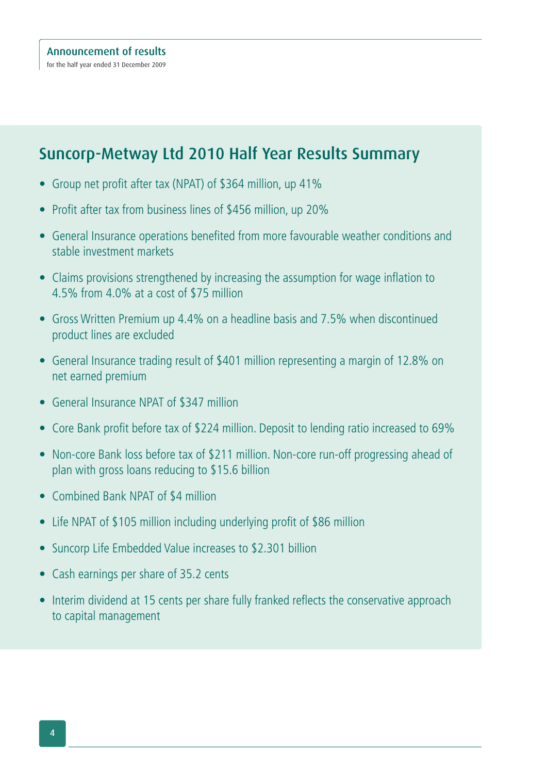# Suncorp-Metway Ltd 2010 Half Year Results Summary

- Group net profit after tax (NPAT) of \$364 million, up 41%
- Profit after tax from business lines of \$456 million, up 20%
- General Insurance operations benefited from more favourable weather conditions and stable investment markets
- Claims provisions strengthened by increasing the assumption for wage inflation to 4.5% from 4.0% at a cost of \$75 million
- Gross Written Premium up 4.4% on a headline basis and 7.5% when discontinued product lines are excluded
- General Insurance trading result of \$401 million representing a margin of 12.8% on net earned premium
- General Insurance NPAT of \$347 million
- Core Bank profit before tax of \$224 million. Deposit to lending ratio increased to 69%
- Non-core Bank loss before tax of \$211 million. Non-core run-off progressing ahead of plan with gross loans reducing to \$15.6 billion
- Combined Bank NPAT of \$4 million
- Life NPAT of \$105 million including underlying profit of \$86 million
- Suncorp Life Embedded Value increases to \$2.301 billion
- Cash earnings per share of 35.2 cents
- Interim dividend at 15 cents per share fully franked reflects the conservative approach to capital management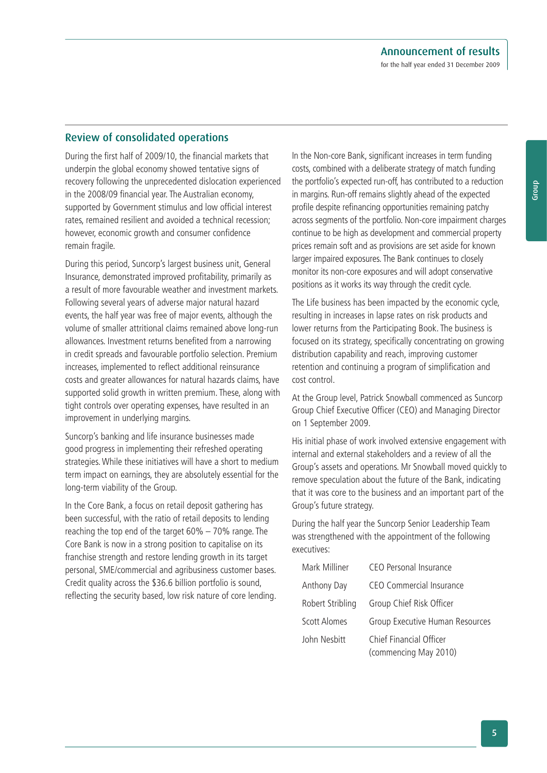## Review of consolidated operations

During the first half of 2009/10, the financial markets that underpin the global economy showed tentative signs of recovery following the unprecedented dislocation experienced in the 2008/09 financial year. The Australian economy, supported by Government stimulus and low official interest rates, remained resilient and avoided a technical recession; however, economic growth and consumer confidence remain fragile.

During this period, Suncorp's largest business unit, General Insurance, demonstrated improved profitability, primarily as a result of more favourable weather and investment markets. Following several years of adverse major natural hazard events, the half year was free of major events, although the volume of smaller attritional claims remained above long-run allowances. Investment returns benefited from a narrowing in credit spreads and favourable portfolio selection. Premium increases, implemented to reflect additional reinsurance costs and greater allowances for natural hazards claims, have supported solid growth in written premium. These, along with tight controls over operating expenses, have resulted in an improvement in underlying margins.

Suncorp's banking and life insurance businesses made good progress in implementing their refreshed operating strategies. While these initiatives will have a short to medium term impact on earnings, they are absolutely essential for the long-term viability of the Group.

In the Core Bank, a focus on retail deposit gathering has been successful, with the ratio of retail deposits to lending reaching the top end of the target 60% – 70% range. The Core Bank is now in a strong position to capitalise on its franchise strength and restore lending growth in its target personal, SME/commercial and agribusiness customer bases. Credit quality across the \$36.6 billion portfolio is sound, reflecting the security based, low risk nature of core lending.

In the Non-core Bank, significant increases in term funding costs, combined with a deliberate strategy of match funding the portfolio's expected run-off, has contributed to a reduction in margins. Run-off remains slightly ahead of the expected profile despite refinancing opportunities remaining patchy across segments of the portfolio. Non-core impairment charges continue to be high as development and commercial property prices remain soft and as provisions are set aside for known larger impaired exposures. The Bank continues to closely monitor its non-core exposures and will adopt conservative positions as it works its way through the credit cycle.

The Life business has been impacted by the economic cycle, resulting in increases in lapse rates on risk products and lower returns from the Participating Book. The business is focused on its strategy, specifically concentrating on growing distribution capability and reach, improving customer retention and continuing a program of simplification and cost control.

At the Group level, Patrick Snowball commenced as Suncorp Group Chief Executive Officer (CEO) and Managing Director on 1 September 2009.

His initial phase of work involved extensive engagement with internal and external stakeholders and a review of all the Group's assets and operations. Mr Snowball moved quickly to remove speculation about the future of the Bank, indicating that it was core to the business and an important part of the Group's future strategy.

During the half year the Suncorp Senior Leadership Team was strengthened with the appointment of the following executives:

| Mark Milliner    | CFO Personal Insurance                           |
|------------------|--------------------------------------------------|
| Anthony Day      | <b>CEO Commercial Insurance</b>                  |
| Robert Stribling | Group Chief Risk Officer                         |
| Scott Alomes     | Group Executive Human Resources                  |
| John Nesbitt     | Chief Financial Officer<br>(commencing May 2010) |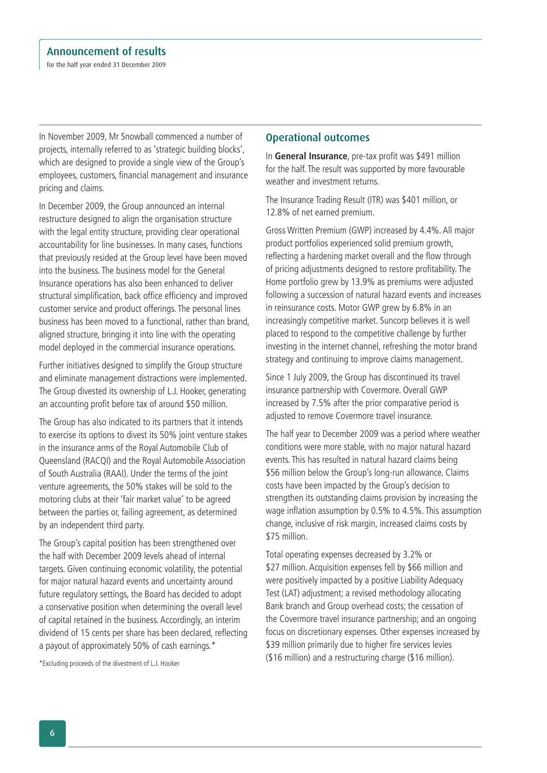In November 2009, Mr Snowball commenced a number of projects, internally referred to as 'strategic building blocks', which are designed to provide a single view of the Group's employees, customers, financial management and insurance pricing and claims.

In December 2009, the Group announced an internal restructure designed to align the organisation structure with the legal entity structure, providing clear operational accountability for line businesses. In many cases, functions that previously resided at the Group level have been moved into the business. The business model for the General Insurance operations has also been enhanced to deliver structural simplification, back office efficiency and improved customer service and product offerings. The personal lines business has been moved to a functional, rather than brand, aligned structure, bringing it into line with the operating model deployed in the commercial insurance operations.

Further initiatives designed to simplify the Group structure and eliminate management distractions were implemented. The Group divested its ownership of L.J. Hooker, generating an accounting profit before tax of around \$50 million.

The Group has also indicated to its partners that it intends to exercise its options to divest its 50% joint venture stakes in the insurance arms of the Royal Automobile Club of Queensland (RACQI) and the Royal Automobile Association of South Australia (RAAI). Under the terms of the joint venture agreements, the 50% stakes will be sold to the motoring clubs at their 'fair market value' to be agreed between the parties or, failing agreement, as determined by an independent third party.

The Group's capital position has been strengthened over the half with December 2009 levels ahead of internal targets. Given continuing economic volatility, the potential for major natural hazard events and uncertainty around future regulatory settings, the Board has decided to adopt a conservative position when determining the overall level of capital retained in the business. Accordingly, an interim dividend of 15 cents per share has been declared, reflecting a payout of approximately 50% of cash earnings.\*

\*Excluding proceeds of the divestment of L.J. Hooker

#### Operational outcomes

In **General Insurance**, pre-tax profit was \$491 million for the half. The result was supported by more favourable weather and investment returns.

The Insurance Trading Result (ITR) was \$401 million, or 12.8% of net earned premium.

Gross Written Premium (GWP) increased by 4.4%. All major product portfolios experienced solid premium growth, reflecting a hardening market overall and the flow through of pricing adjustments designed to restore profitability. The Home portfolio grew by 13.9% as premiums were adjusted following a succession of natural hazard events and increases in reinsurance costs. Motor GWP grew by 6.8% in an increasingly competitive market. Suncorp believes it is well placed to respond to the competitive challenge by further investing in the internet channel, refreshing the motor brand strategy and continuing to improve claims management.

Since 1 July 2009, the Group has discontinued its travel insurance partnership with Covermore. Overall GWP increased by 7.5% after the prior comparative period is adjusted to remove Covermore travel insurance.

The half year to December 2009 was a period where weather conditions were more stable, with no major natural hazard events. This has resulted in natural hazard claims being \$56 million below the Group's long-run allowance. Claims costs have been impacted by the Group's decision to strengthen its outstanding claims provision by increasing the wage inflation assumption by 0.5% to 4.5%. This assumption change, inclusive of risk margin, increased claims costs by \$75 million.

Total operating expenses decreased by 3.2% or \$27 million. Acquisition expenses fell by \$66 million and were positively impacted by a positive Liability Adequacy Test (LAT) adjustment; a revised methodology allocating Bank branch and Group overhead costs; the cessation of the Covermore travel insurance partnership; and an ongoing focus on discretionary expenses. Other expenses increased by \$39 million primarily due to higher fire services levies (\$16 million) and a restructuring charge (\$16 million).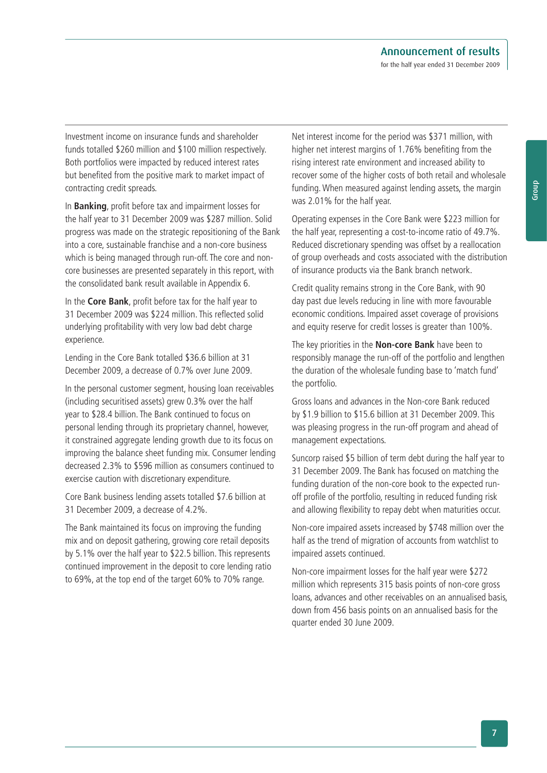Investment income on insurance funds and shareholder funds totalled \$260 million and \$100 million respectively. Both portfolios were impacted by reduced interest rates but benefited from the positive mark to market impact of contracting credit spreads.

In **Banking**, profit before tax and impairment losses for the half year to 31 December 2009 was \$287 million. Solid progress was made on the strategic repositioning of the Bank into a core, sustainable franchise and a non-core business which is being managed through run-off. The core and noncore businesses are presented separately in this report, with the consolidated bank result available in Appendix 6.

In the **Core Bank**, profit before tax for the half year to 31 December 2009 was \$224 million. This reflected solid underlying profitability with very low bad debt charge experience.

Lending in the Core Bank totalled \$36.6 billion at 31 December 2009, a decrease of 0.7% over June 2009.

In the personal customer segment, housing loan receivables (including securitised assets) grew 0.3% over the half year to \$28.4 billion. The Bank continued to focus on personal lending through its proprietary channel, however, it constrained aggregate lending growth due to its focus on improving the balance sheet funding mix. Consumer lending decreased 2.3% to \$596 million as consumers continued to exercise caution with discretionary expenditure.

Core Bank business lending assets totalled \$7.6 billion at 31 December 2009, a decrease of 4.2%.

The Bank maintained its focus on improving the funding mix and on deposit gathering, growing core retail deposits by 5.1% over the half year to \$22.5 billion. This represents continued improvement in the deposit to core lending ratio to 69%, at the top end of the target 60% to 70% range.

Net interest income for the period was \$371 million, with higher net interest margins of 1.76% benefiting from the rising interest rate environment and increased ability to recover some of the higher costs of both retail and wholesale funding. When measured against lending assets, the margin was 2.01% for the half year.

Operating expenses in the Core Bank were \$223 million for the half year, representing a cost-to-income ratio of 49.7%. Reduced discretionary spending was offset by a reallocation of group overheads and costs associated with the distribution of insurance products via the Bank branch network.

Credit quality remains strong in the Core Bank, with 90 day past due levels reducing in line with more favourable economic conditions. Impaired asset coverage of provisions and equity reserve for credit losses is greater than 100%.

The key priorities in the **Non-core Bank** have been to responsibly manage the run-off of the portfolio and lengthen the duration of the wholesale funding base to 'match fund' the portfolio.

Gross loans and advances in the Non-core Bank reduced by \$1.9 billion to \$15.6 billion at 31 December 2009. This was pleasing progress in the run-off program and ahead of management expectations.

Suncorp raised \$5 billion of term debt during the half year to 31 December 2009. The Bank has focused on matching the funding duration of the non-core book to the expected runoff profile of the portfolio, resulting in reduced funding risk and allowing flexibility to repay debt when maturities occur.

Non-core impaired assets increased by \$748 million over the half as the trend of migration of accounts from watchlist to impaired assets continued.

Non-core impairment losses for the half year were \$272 million which represents 315 basis points of non-core gross loans, advances and other receivables on an annualised basis, down from 456 basis points on an annualised basis for the quarter ended 30 June 2009.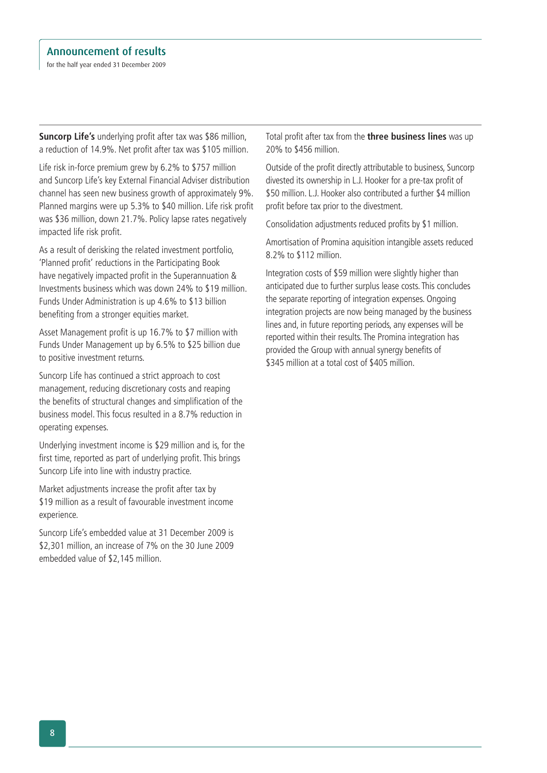**Suncorp Life's** underlying profit after tax was \$86 million, a reduction of 14.9%. Net profit after tax was \$105 million.

Life risk in-force premium grew by 6.2% to \$757 million and Suncorp Life's key External Financial Adviser distribution channel has seen new business growth of approximately 9%. Planned margins were up 5.3% to \$40 million. Life risk profit was \$36 million, down 21.7%. Policy lapse rates negatively impacted life risk profit.

As a result of derisking the related investment portfolio, 'Planned profit' reductions in the Participating Book have negatively impacted profit in the Superannuation & Investments business which was down 24% to \$19 million. Funds Under Administration is up 4.6% to \$13 billion benefiting from a stronger equities market.

Asset Management profit is up 16.7% to \$7 million with Funds Under Management up by 6.5% to \$25 billion due to positive investment returns.

Suncorp Life has continued a strict approach to cost management, reducing discretionary costs and reaping the benefits of structural changes and simplification of the business model. This focus resulted in a 8.7% reduction in operating expenses.

Underlying investment income is \$29 million and is, for the first time, reported as part of underlying profit. This brings Suncorp Life into line with industry practice.

Market adjustments increase the profit after tax by \$19 million as a result of favourable investment income experience.

Suncorp Life's embedded value at 31 December 2009 is \$2,301 million, an increase of 7% on the 30 June 2009 embedded value of \$2,145 million.

Total profit after tax from the **three business lines** was up 20% to \$456 million.

Outside of the profit directly attributable to business, Suncorp divested its ownership in L.J. Hooker for a pre-tax profit of \$50 million. L.J. Hooker also contributed a further \$4 million profit before tax prior to the divestment.

Consolidation adjustments reduced profits by \$1 million.

Amortisation of Promina aquisition intangible assets reduced 8.2% to \$112 million.

Integration costs of \$59 million were slightly higher than anticipated due to further surplus lease costs. This concludes the separate reporting of integration expenses. Ongoing integration projects are now being managed by the business lines and, in future reporting periods, any expenses will be reported within their results. The Promina integration has provided the Group with annual synergy benefits of \$345 million at a total cost of \$405 million.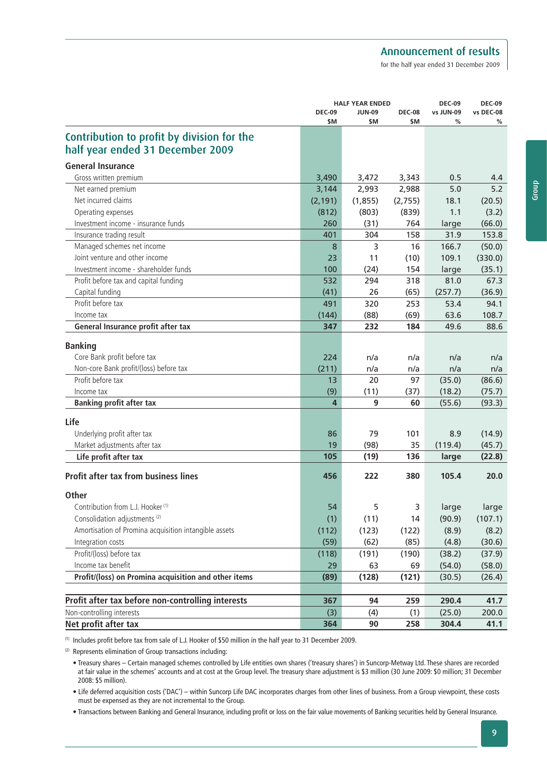for the half year ended 31 December 2009

|                                                       |                            | <b>HALF YEAR ENDED</b> |                      | <b>DEC-09</b>  | <b>DEC-09</b>  |
|-------------------------------------------------------|----------------------------|------------------------|----------------------|----------------|----------------|
|                                                       | <b>DEC-09</b><br><b>SM</b> | <b>JUN-09</b><br>\$M   | <b>DEC-08</b><br>\$M | vs JUN-09<br>% | vs DEC-08<br>℅ |
| Contribution to profit by division for the            |                            |                        |                      |                |                |
| half year ended 31 December 2009                      |                            |                        |                      |                |                |
| <b>General Insurance</b>                              |                            |                        |                      |                |                |
| Gross written premium                                 | 3,490                      | 3,472                  | 3,343                | 0.5            | 4.4            |
| Net earned premium                                    | 3,144                      | 2,993                  | 2,988                | 5.0            | 5.2            |
| Net incurred claims                                   | (2, 191)                   | (1, 855)               | (2,755)              | 18.1           | (20.5)         |
| Operating expenses                                    | (812)                      | (803)                  | (839)                | 1.1            | (3.2)          |
| Investment income - insurance funds                   | 260                        | (31)                   | 764                  | large          | (66.0)         |
| Insurance trading result                              | 401                        | 304                    | 158                  | 31.9           | 153.8          |
| Managed schemes net income                            | 8                          | 3                      | 16                   | 166.7          | (50.0)         |
| Joint venture and other income                        | 23                         | 11                     | (10)                 | 109.1          | (330.0)        |
| Investment income - shareholder funds                 | 100                        | (24)                   | 154                  | large          | (35.1)         |
| Profit before tax and capital funding                 | 532                        | 294                    | 318                  | 81.0           | 67.3           |
| Capital funding                                       | (41)                       | 26                     | (65)                 | (257.7)        | (36.9)         |
| Profit before tax                                     | 491                        | 320                    | 253                  | 53.4           | 94.1           |
| Income tax                                            | (144)                      | (88)                   | (69)                 | 63.6           | 108.7          |
| General Insurance profit after tax                    | 347                        | 232                    | 184                  | 49.6           | 88.6           |
|                                                       |                            |                        |                      |                |                |
| <b>Banking</b>                                        |                            |                        |                      |                |                |
| Core Bank profit before tax                           | 224                        | n/a                    | n/a                  | n/a            | n/a            |
| Non-core Bank profit/(loss) before tax                | (211)                      | n/a                    | n/a                  | n/a            | n/a            |
| Profit before tax                                     | 13                         | 20                     | 97                   | (35.0)         | (86.6)         |
| Income tax                                            | (9)                        | (11)                   | (37)                 | (18.2)         | (75.7)         |
| <b>Banking profit after tax</b>                       | 4                          | 9                      | 60                   | (55.6)         | (93.3)         |
| Life                                                  |                            |                        |                      |                |                |
| Underlying profit after tax                           | 86                         | 79                     | 101                  | 8.9            | (14.9)         |
| Market adjustments after tax                          | 19                         | (98)                   | 35                   | (119.4)        | (45.7)         |
| Life profit after tax                                 | 105                        | (19)                   | 136                  | large          | (22.8)         |
| <b>Profit after tax from business lines</b>           | 456                        | 222                    | 380                  | 105.4          | 20.0           |
| <b>Other</b>                                          |                            |                        |                      |                |                |
| Contribution from L.J. Hooker <sup>(1)</sup>          | 54                         | 5                      | 3                    | large          | large          |
| Consolidation adjustments <sup>(2)</sup>              | (1)                        | (11)                   | 14                   | (90.9)         | (107.1)        |
| Amortisation of Promina acquisition intangible assets | (112)                      | (123)                  | (122)                | (8.9)          | (8.2)          |
| Integration costs                                     | (59)                       | (62)                   | (85)                 | (4.8)          | (30.6)         |
| Profit/(loss) before tax                              | (118)                      | (191)                  | (190)                | (38.2)         | (37.9)         |
| Income tax benefit                                    | 29                         | 63                     | 69                   | (54.0)         | (58.0)         |
| Profit/(loss) on Promina acquisition and other items  | (89)                       | (128)                  | (121)                | (30.5)         | (26.4)         |
|                                                       |                            |                        |                      |                |                |
| Profit after tax before non-controlling interests     | 367                        | 94                     | 259                  | 290.4          | 41.7           |
| Non-controlling interests                             | (3)                        | (4)                    | (1)                  | (25.0)         | 200.0          |
| Net profit after tax                                  | 364                        | 90                     | 258                  | 304.4          | 41.1           |

(1) Includes profit before tax from sale of L.J. Hooker of \$50 million in the half year to 31 December 2009.

(2) Represents elimination of Group transactions including:

 • Treasury shares – Certain managed schemes controlled by Life entities own shares ('treasury shares') in Suncorp-Metway Ltd. These shares are recorded at fair value in the schemes' accounts and at cost at the Group level. The treasury share adjustment is \$3 million (30 June 2009: \$0 million; 31 December 2008: \$5 million).

 • Life deferred acquisition costs ('DAC') – within Suncorp Life DAC incorporates charges from other lines of business. From a Group viewpoint, these costs must be expensed as they are not incremental to the Group.

 • Transactions between Banking and General Insurance, including profit or loss on the fair value movements of Banking securities held by General Insurance.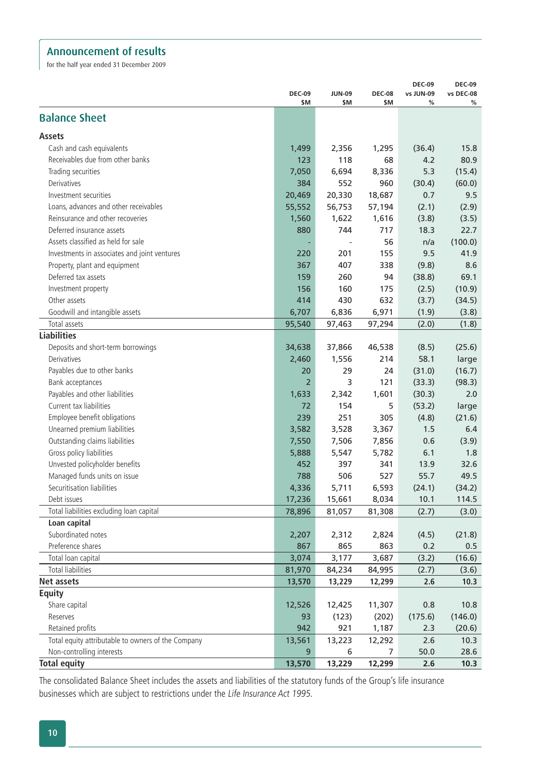for the half year ended 31 December 2009

|                                                    |                      |                      |                      | <b>DEC-09</b>  | <b>DEC-09</b>  |
|----------------------------------------------------|----------------------|----------------------|----------------------|----------------|----------------|
|                                                    | <b>DEC-09</b><br>\$M | <b>JUN-09</b><br>\$M | <b>DEC-08</b><br>\$M | vs JUN-09<br>% | vs DEC-08<br>% |
| <b>Balance Sheet</b>                               |                      |                      |                      |                |                |
| <b>Assets</b>                                      |                      |                      |                      |                |                |
| Cash and cash equivalents                          | 1,499                | 2,356                | 1,295                | (36.4)         | 15.8           |
| Receivables due from other banks                   | 123                  | 118                  | 68                   | 4.2            | 80.9           |
| Trading securities                                 | 7,050                | 6,694                | 8,336                | 5.3            | (15.4)         |
| Derivatives                                        | 384                  | 552                  | 960                  | (30.4)         | (60.0)         |
| Investment securities                              | 20,469               | 20,330               | 18,687               | 0.7            | 9.5            |
| Loans, advances and other receivables              | 55,552               | 56,753               | 57,194               | (2.1)          | (2.9)          |
| Reinsurance and other recoveries                   | 1,560                | 1,622                | 1,616                | (3.8)          | (3.5)          |
| Deferred insurance assets                          | 880                  | 744                  | 717                  | 18.3           | 22.7           |
| Assets classified as held for sale                 |                      |                      | 56                   | n/a            | (100.0)        |
| Investments in associates and joint ventures       | 220                  | 201                  | 155                  | 9.5            | 41.9           |
| Property, plant and equipment                      | 367                  | 407                  | 338                  | (9.8)          | 8.6            |
| Deferred tax assets                                | 159                  | 260                  | 94                   | (38.8)         | 69.1           |
| Investment property                                | 156                  | 160                  | 175                  | (2.5)          | (10.9)         |
| Other assets                                       | 414                  | 430                  | 632                  | (3.7)          | (34.5)         |
| Goodwill and intangible assets                     | 6,707                | 6,836                | 6,971                | (1.9)          | (3.8)          |
| Total assets                                       | 95,540               | 97,463               | 97,294               | (2.0)          | (1.8)          |
| <b>Liabilities</b>                                 |                      |                      |                      |                |                |
| Deposits and short-term borrowings                 | 34,638               | 37,866               | 46,538               | (8.5)          | (25.6)         |
| Derivatives                                        | 2,460                | 1,556                | 214                  | 58.1           | large          |
| Payables due to other banks                        | 20                   | 29                   | 24                   | (31.0)         | (16.7)         |
| Bank acceptances                                   | 2                    | 3                    | 121                  | (33.3)         | (98.3)         |
| Payables and other liabilities                     | 1,633                | 2,342                | 1,601                | (30.3)         | 2.0            |
| Current tax liabilities                            | 72                   | 154                  | 5                    | (53.2)         | large          |
| Employee benefit obligations                       | 239                  | 251                  | 305                  | (4.8)          | (21.6)         |
| Unearned premium liabilities                       | 3,582                | 3,528                | 3,367                | 1.5            | 6.4            |
| Outstanding claims liabilities                     | 7,550                | 7,506                | 7,856                | 0.6            | (3.9)          |
| Gross policy liabilities                           | 5,888                | 5,547                | 5,782                | 6.1            | 1.8            |
| Unvested policyholder benefits                     | 452                  | 397                  | 341                  | 13.9           | 32.6           |
| Managed funds units on issue                       | 788                  | 506                  | 527                  | 55.7           | 49.5           |
| Securitisation liabilities                         | 4,336                | 5,711                | 6,593                | (24.1)         | (34.2)         |
| Debt issues                                        | 17,236               | 15,661               | 8,034                | 10.1           | 114.5          |
| Total liabilities excluding loan capital           | 78,896               | 81,057               | 81,308               | (2.7)          | (3.0)          |
| Loan capital                                       |                      |                      |                      |                |                |
| Subordinated notes                                 | 2,207                | 2,312                | 2,824                | (4.5)          | (21.8)         |
| Preference shares                                  | 867                  | 865                  | 863                  | 0.2            | 0.5            |
| Total loan capital                                 | 3,074                | 3,177                | 3,687                | (3.2)          | (16.6)         |
| <b>Total liabilities</b>                           | 81,970               | 84,234               | 84,995               | (2.7)          | (3.6)          |
| <b>Net assets</b>                                  | 13,570               | 13,229               | 12,299               | 2.6            | 10.3           |
| <b>Equity</b>                                      |                      |                      |                      |                |                |
| Share capital                                      | 12,526               | 12,425               | 11,307               | 0.8            | 10.8           |
| Reserves                                           | 93                   | (123)                | (202)                | (175.6)        | (146.0)        |
| Retained profits                                   | 942                  | 921                  | 1,187                | 2.3            | (20.6)         |
| Total equity attributable to owners of the Company | 13,561               | 13,223               | 12,292               | 2.6            | 10.3           |
| Non-controlling interests                          | 9                    | 6                    | 7                    | 50.0           | 28.6           |
| <b>Total equity</b>                                | 13,570               | 13,229               | 12,299               | 2.6            | 10.3           |

The consolidated Balance Sheet includes the assets and liabilities of the statutory funds of the Group's life insurance businesses which are subject to restrictions under the Life Insurance Act 1995.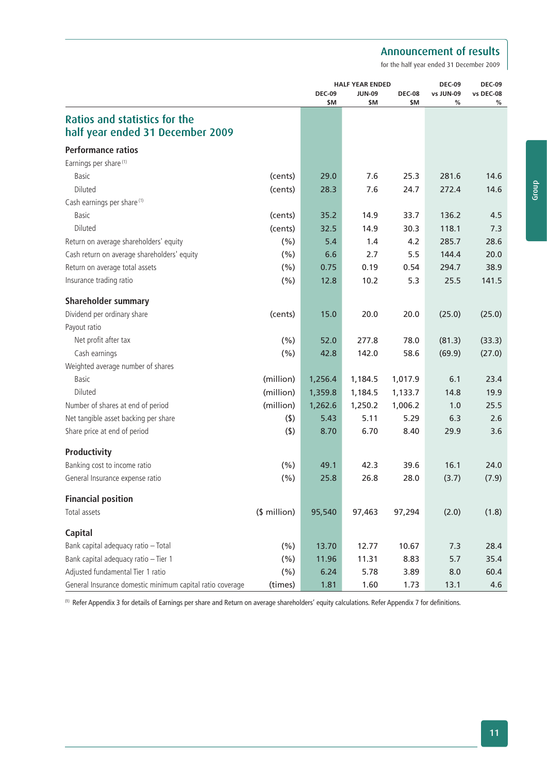for the half year ended 31 December 2009

|                                                           |              |               | <b>HALF YEAR ENDED</b><br><b>DEC-09</b> |               |           | <b>DEC-09</b> |
|-----------------------------------------------------------|--------------|---------------|-----------------------------------------|---------------|-----------|---------------|
|                                                           |              | <b>DEC-09</b> | <b>JUN-09</b>                           | <b>DEC-08</b> | vs JUN-09 | vs DEC-08     |
|                                                           |              | \$M           | \$M                                     | \$M           | %         | %             |
| Ratios and statistics for the                             |              |               |                                         |               |           |               |
| half year ended 31 December 2009                          |              |               |                                         |               |           |               |
| <b>Performance ratios</b>                                 |              |               |                                         |               |           |               |
| Earnings per share <sup>(1)</sup>                         |              |               |                                         |               |           |               |
| Basic                                                     | (cents)      | 29.0          | 7.6                                     | 25.3          | 281.6     | 14.6          |
| Diluted                                                   | (cents)      | 28.3          | 7.6                                     | 24.7          | 272.4     | 14.6          |
| Cash earnings per share <sup>(1)</sup>                    |              |               |                                         |               |           |               |
| Basic                                                     | (cents)      | 35.2          | 14.9                                    | 33.7          | 136.2     | 4.5           |
| Diluted                                                   | (cents)      | 32.5          | 14.9                                    | 30.3          | 118.1     | 7.3           |
| Return on average shareholders' equity                    | (%)          | 5.4           | 1.4                                     | 4.2           | 285.7     | 28.6          |
| Cash return on average shareholders' equity               | (%)          | 6.6           | 2.7                                     | 5.5           | 144.4     | 20.0          |
| Return on average total assets                            | (%)          | 0.75          | 0.19                                    | 0.54          | 294.7     | 38.9          |
| Insurance trading ratio                                   | (%)          | 12.8          | 10.2                                    | 5.3           | 25.5      | 141.5         |
|                                                           |              |               |                                         |               |           |               |
| <b>Shareholder summary</b>                                |              |               |                                         |               |           |               |
| Dividend per ordinary share                               | (cents)      | 15.0          | 20.0                                    | 20.0          | (25.0)    | (25.0)        |
| Payout ratio                                              |              |               |                                         |               |           |               |
| Net profit after tax                                      | (%)          | 52.0          | 277.8                                   | 78.0          | (81.3)    | (33.3)        |
| Cash earnings                                             | (%)          | 42.8          | 142.0                                   | 58.6          | (69.9)    | (27.0)        |
| Weighted average number of shares                         |              |               |                                         |               |           |               |
| <b>Basic</b>                                              | (million)    | 1,256.4       | 1,184.5                                 | 1,017.9       | 6.1       | 23.4          |
| Diluted                                                   | (million)    | 1,359.8       | 1,184.5                                 | 1,133.7       | 14.8      | 19.9          |
| Number of shares at end of period                         | (million)    | 1,262.6       | 1,250.2                                 | 1,006.2       | 1.0       | 25.5          |
| Net tangible asset backing per share                      | (5)          | 5.43          | 5.11                                    | 5.29          | 6.3       | 2.6           |
| Share price at end of period                              | $($ \$)      | 8.70          | 6.70                                    | 8.40          | 29.9      | 3.6           |
| Productivity                                              |              |               |                                         |               |           |               |
| Banking cost to income ratio                              | (% )         | 49.1          | 42.3                                    | 39.6          | 16.1      | 24.0          |
| General Insurance expense ratio                           | (% )         | 25.8          | 26.8                                    | 28.0          | (3.7)     | (7.9)         |
|                                                           |              |               |                                         |               |           |               |
| <b>Financial position</b>                                 |              |               |                                         |               |           |               |
| Total assets                                              | (\$ million) | 95,540        | 97,463                                  | 97,294        | (2.0)     | (1.8)         |
| <b>Capital</b>                                            |              |               |                                         |               |           |               |
| Bank capital adequacy ratio - Total                       | (%)          | 13.70         | 12.77                                   | 10.67         | 7.3       | 28.4          |
| Bank capital adequacy ratio - Tier 1                      | (%)          | 11.96         | 11.31                                   | 8.83          | 5.7       | 35.4          |
| Adjusted fundamental Tier 1 ratio                         | $(\% )$      | 6.24          | 5.78                                    | 3.89          | 8.0       | 60.4          |
| General Insurance domestic minimum capital ratio coverage | (times)      | 1.81          | 1.60                                    | 1.73          | 13.1      | 4.6           |

<sup>(1)</sup> Refer Appendix 3 for details of Earnings per share and Return on average shareholders' equity calculations. Refer Appendix 7 for definitions.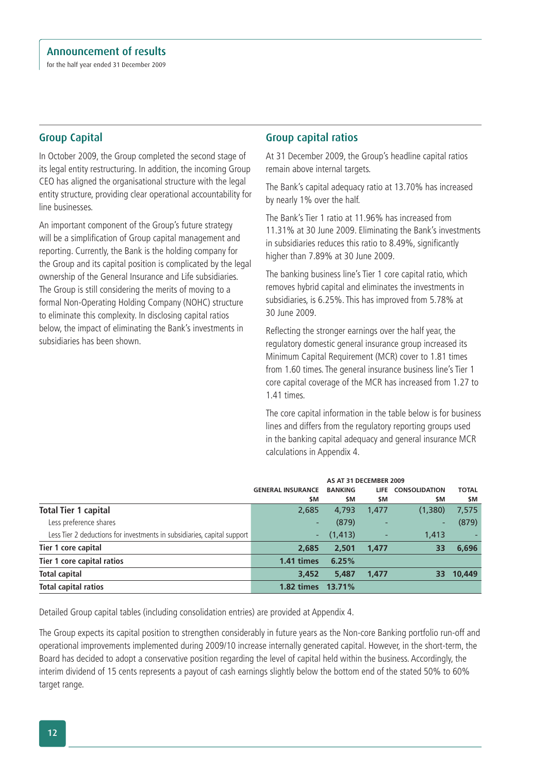for the half year ended 31 December 2009

#### Group Capital

In October 2009, the Group completed the second stage of its legal entity restructuring. In addition, the incoming Group CEO has aligned the organisational structure with the legal entity structure, providing clear operational accountability for line businesses.

An important component of the Group's future strategy will be a simplification of Group capital management and reporting. Currently, the Bank is the holding company for the Group and its capital position is complicated by the legal ownership of the General Insurance and Life subsidiaries. The Group is still considering the merits of moving to a formal Non-Operating Holding Company (NOHC) structure to eliminate this complexity. In disclosing capital ratios below, the impact of eliminating the Bank's investments in subsidiaries has been shown.

#### Group capital ratios

At 31 December 2009, the Group's headline capital ratios remain above internal targets.

The Bank's capital adequacy ratio at 13.70% has increased by nearly 1% over the half.

The Bank's Tier 1 ratio at 11.96% has increased from 11.31% at 30 June 2009. Eliminating the Bank's investments in subsidiaries reduces this ratio to 8.49%, significantly higher than 7.89% at 30 June 2009.

The banking business line's Tier 1 core capital ratio, which removes hybrid capital and eliminates the investments in subsidiaries, is 6.25%. This has improved from 5.78% at 30 June 2009.

Reflecting the stronger earnings over the half year, the regulatory domestic general insurance group increased its Minimum Capital Requirement (MCR) cover to 1.81 times from 1.60 times. The general insurance business line's Tier 1 core capital coverage of the MCR has increased from 1.27 to 1.41 times.

The core capital information in the table below is for business lines and differs from the regulatory reporting groups used in the banking capital adequacy and general insurance MCR calculations in Appendix 4.

|                                                                         | AS AT 31 DECEMBER 2009   |                |       |                      |              |
|-------------------------------------------------------------------------|--------------------------|----------------|-------|----------------------|--------------|
|                                                                         | <b>GENERAL INSURANCE</b> | <b>BANKING</b> | LIFE. | <b>CONSOLIDATION</b> | <b>TOTAL</b> |
|                                                                         | \$M                      | \$M.           | \$M   | SM.                  | \$M          |
| <b>Total Tier 1 capital</b>                                             | 2,685                    | 4,793          | 1,477 | (1,380)              | 7,575        |
| Less preference shares                                                  | -                        | (879)          |       | ٠                    | (879)        |
| Less Tier 2 deductions for investments in subsidiaries, capital support | ٠.                       | (1, 413)       |       | 1,413                |              |
| Tier 1 core capital                                                     | 2,685                    | 2,501          | 1,477 | 33                   | 6,696        |
| Tier 1 core capital ratios                                              | 1.41 times               | 6.25%          |       |                      |              |
| <b>Total capital</b>                                                    | 3.452                    | 5,487          | 1,477 |                      | 33 10,449    |
| <b>Total capital ratios</b>                                             | 1.82 times               | 13.71%         |       |                      |              |

Detailed Group capital tables (including consolidation entries) are provided at Appendix 4.

The Group expects its capital position to strengthen considerably in future years as the Non-core Banking portfolio run-off and operational improvements implemented during 2009/10 increase internally generated capital. However, in the short-term, the Board has decided to adopt a conservative position regarding the level of capital held within the business. Accordingly, the interim dividend of 15 cents represents a payout of cash earnings slightly below the bottom end of the stated 50% to 60% target range.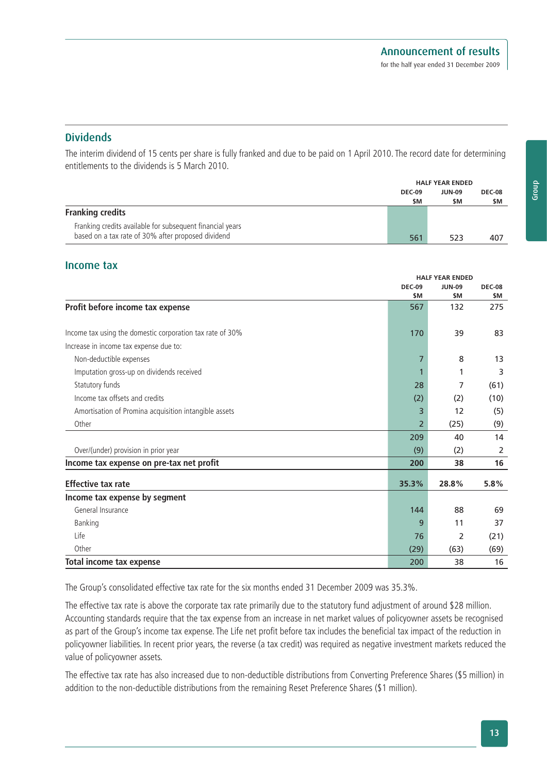#### Dividends

The interim dividend of 15 cents per share is fully franked and due to be paid on 1 April 2010. The record date for determining entitlements to the dividends is 5 March 2010.

|                                                           | <b>HALF YEAR ENDED</b> |        |        |
|-----------------------------------------------------------|------------------------|--------|--------|
|                                                           | <b>DEC-09</b>          | JUN-09 | DEC-08 |
|                                                           | <b>SM</b>              | \$M    | \$M    |
| <b>Franking credits</b>                                   |                        |        |        |
| Franking credits available for subsequent financial years |                        |        |        |
| based on a tax rate of 30% after proposed dividend        | 561                    | 523    | 407    |

#### Income tax

|                                                           |                | <b>HALF YEAR ENDED</b> |               |  |
|-----------------------------------------------------------|----------------|------------------------|---------------|--|
|                                                           | <b>DEC-09</b>  | <b>JUN-09</b>          | <b>DEC-08</b> |  |
|                                                           | \$M            | \$M                    | \$M           |  |
| Profit before income tax expense                          | 567            | 132                    | 275           |  |
|                                                           |                |                        |               |  |
| Income tax using the domestic corporation tax rate of 30% | 170            | 39                     | 83            |  |
| Increase in income tax expense due to:                    |                |                        |               |  |
| Non-deductible expenses                                   | 7              | 8                      | 13            |  |
| Imputation gross-up on dividends received                 |                |                        | 3             |  |
| Statutory funds                                           | 28             | 7                      | (61)          |  |
| Income tax offsets and credits                            | (2)            | (2)                    | (10)          |  |
| Amortisation of Promina acquisition intangible assets     | 3              | 12                     | (5)           |  |
| Other                                                     | $\overline{2}$ | (25)                   | (9)           |  |
|                                                           | 209            | 40                     | 14            |  |
| Over/(under) provision in prior year                      | (9)            | (2)                    | 2             |  |
| Income tax expense on pre-tax net profit                  | 200            | 38                     | 16            |  |
| <b>Effective tax rate</b>                                 | 35.3%          | 28.8%                  | 5.8%          |  |
| Income tax expense by segment                             |                |                        |               |  |
| General Insurance                                         | 144            | 88                     | 69            |  |
| Banking                                                   | 9              | 11                     | 37            |  |
| Life                                                      | 76             | 2                      | (21)          |  |
| Other                                                     | (29)           | (63)                   | (69)          |  |
| Total income tax expense                                  | 200            | 38                     | 16            |  |

The Group's consolidated effective tax rate for the six months ended 31 December 2009 was 35.3%.

The effective tax rate is above the corporate tax rate primarily due to the statutory fund adjustment of around \$28 million. Accounting standards require that the tax expense from an increase in net market values of policyowner assets be recognised as part of the Group's income tax expense. The Life net profit before tax includes the beneficial tax impact of the reduction in policyowner liabilities. In recent prior years, the reverse (a tax credit) was required as negative investment markets reduced the value of policyowner assets.

The effective tax rate has also increased due to non-deductible distributions from Converting Preference Shares (\$5 million) in addition to the non-deductible distributions from the remaining Reset Preference Shares (\$1 million).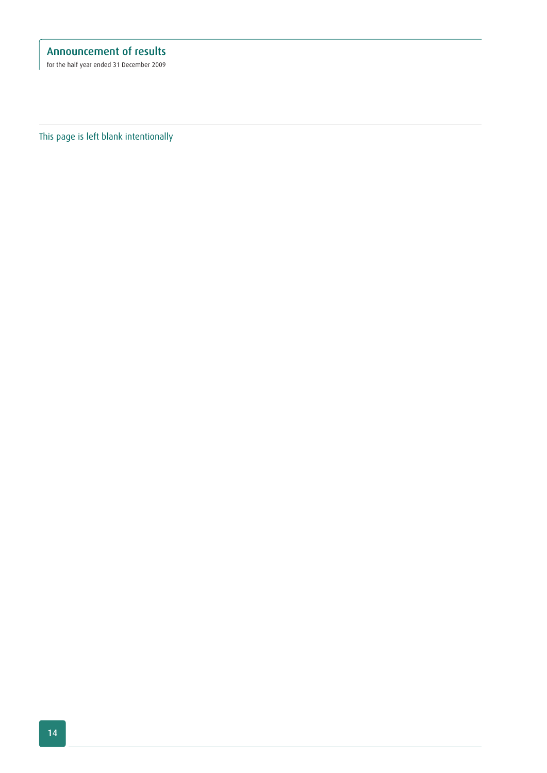for the half year ended 31 December 2009

This page is left blank intentionally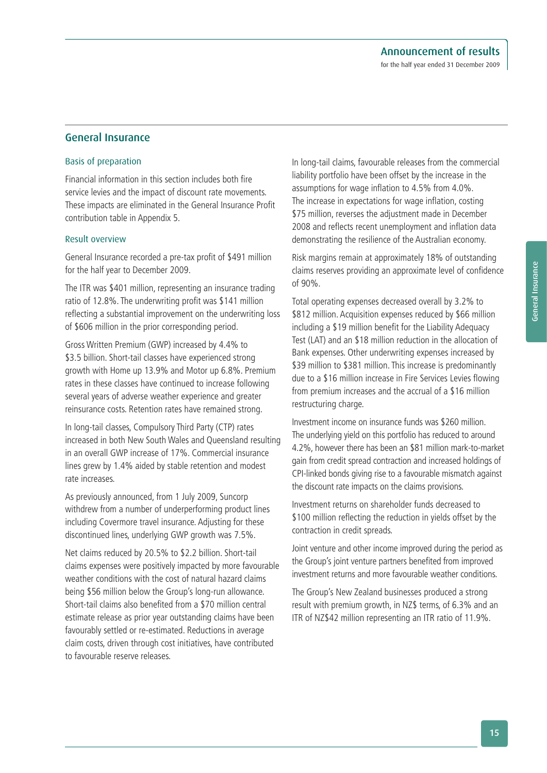#### General Insurance

#### Basis of preparation

Financial information in this section includes both fire service levies and the impact of discount rate movements. These impacts are eliminated in the General Insurance Profit contribution table in Appendix 5.

#### Result overview

General Insurance recorded a pre-tax profit of \$491 million for the half year to December 2009.

The ITR was \$401 million, representing an insurance trading ratio of 12.8%. The underwriting profit was \$141 million reflecting a substantial improvement on the underwriting loss of \$606 million in the prior corresponding period.

Gross Written Premium (GWP) increased by 4.4% to \$3.5 billion. Short-tail classes have experienced strong growth with Home up 13.9% and Motor up 6.8%. Premium rates in these classes have continued to increase following several years of adverse weather experience and greater reinsurance costs. Retention rates have remained strong.

In long-tail classes, Compulsory Third Party (CTP) rates increased in both New South Wales and Queensland resulting in an overall GWP increase of 17%. Commercial insurance lines grew by 1.4% aided by stable retention and modest rate increases.

As previously announced, from 1 July 2009, Suncorp withdrew from a number of underperforming product lines including Covermore travel insurance. Adjusting for these discontinued lines, underlying GWP growth was 7.5%.

Net claims reduced by 20.5% to \$2.2 billion. Short-tail claims expenses were positively impacted by more favourable weather conditions with the cost of natural hazard claims being \$56 million below the Group's long-run allowance. Short-tail claims also benefited from a \$70 million central estimate release as prior year outstanding claims have been favourably settled or re-estimated. Reductions in average claim costs, driven through cost initiatives, have contributed to favourable reserve releases.

In long-tail claims, favourable releases from the commercial liability portfolio have been offset by the increase in the assumptions for wage inflation to 4.5% from 4.0%. The increase in expectations for wage inflation, costing \$75 million, reverses the adjustment made in December 2008 and reflects recent unemployment and inflation data demonstrating the resilience of the Australian economy.

Risk margins remain at approximately 18% of outstanding claims reserves providing an approximate level of confidence of 90%.

Total operating expenses decreased overall by 3.2% to \$812 million. Acquisition expenses reduced by \$66 million including a \$19 million benefit for the Liability Adequacy Test (LAT) and an \$18 million reduction in the allocation of Bank expenses. Other underwriting expenses increased by \$39 million to \$381 million. This increase is predominantly due to a \$16 million increase in Fire Services Levies flowing from premium increases and the accrual of a \$16 million restructuring charge.

Investment income on insurance funds was \$260 million. The underlying yield on this portfolio has reduced to around 4.2%, however there has been an \$81 million mark-to-market gain from credit spread contraction and increased holdings of CPI-linked bonds giving rise to a favourable mismatch against the discount rate impacts on the claims provisions.

Investment returns on shareholder funds decreased to \$100 million reflecting the reduction in yields offset by the contraction in credit spreads.

Joint venture and other income improved during the period as the Group's joint venture partners benefited from improved investment returns and more favourable weather conditions.

The Group's New Zealand businesses produced a strong result with premium growth, in NZ\$ terms, of 6.3% and an ITR of NZ\$42 million representing an ITR ratio of 11.9%.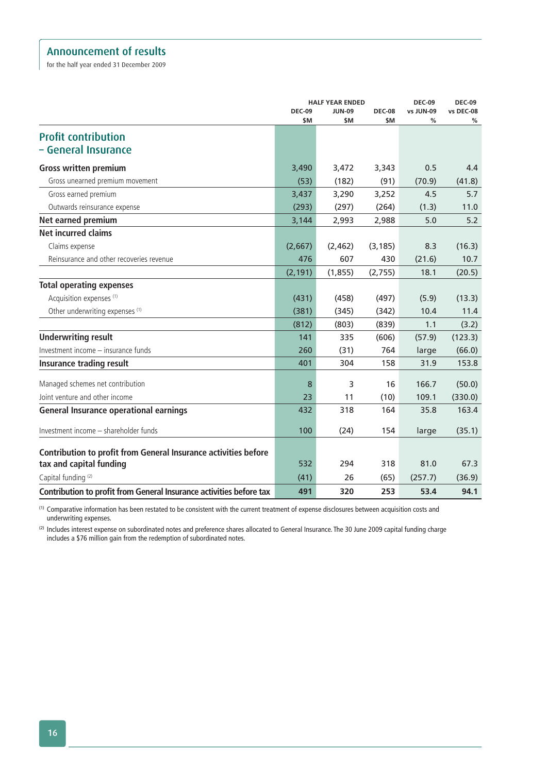for the half year ended 31 December 2009

|                                                                                                   | <b>HALF YEAR ENDED</b> |               |               | <b>DEC-09</b> | <b>DEC-09</b> |
|---------------------------------------------------------------------------------------------------|------------------------|---------------|---------------|---------------|---------------|
|                                                                                                   | <b>DEC-09</b>          | <b>JUN-09</b> | <b>DEC-08</b> | vs JUN-09     | vs DEC-08     |
|                                                                                                   | \$M                    | \$M           | \$M           | %             | %             |
| <b>Profit contribution</b>                                                                        |                        |               |               |               |               |
| - General Insurance                                                                               |                        |               |               |               |               |
| <b>Gross written premium</b>                                                                      | 3,490                  | 3,472         | 3,343         | 0.5           | 4.4           |
| Gross unearned premium movement                                                                   | (53)                   | (182)         | (91)          | (70.9)        | (41.8)        |
| Gross earned premium                                                                              | 3,437                  | 3,290         | 3,252         | 4.5           | 5.7           |
| Outwards reinsurance expense                                                                      | (293)                  | (297)         | (264)         | (1.3)         | 11.0          |
| Net earned premium                                                                                | 3,144                  | 2,993         | 2,988         | 5.0           | 5.2           |
| <b>Net incurred claims</b>                                                                        |                        |               |               |               |               |
| Claims expense                                                                                    | (2,667)                | (2, 462)      | (3, 185)      | 8.3           | (16.3)        |
| Reinsurance and other recoveries revenue                                                          | 476                    | 607           | 430           | (21.6)        | 10.7          |
|                                                                                                   | (2, 191)               | (1, 855)      | (2,755)       | 18.1          | (20.5)        |
| <b>Total operating expenses</b>                                                                   |                        |               |               |               |               |
| Acquisition expenses <sup>(1)</sup>                                                               | (431)                  | (458)         | (497)         | (5.9)         | (13.3)        |
| Other underwriting expenses (1)                                                                   | (381)                  | (345)         | (342)         | 10.4          | 11.4          |
|                                                                                                   | (812)                  | (803)         | (839)         | 1.1           | (3.2)         |
| <b>Underwriting result</b>                                                                        | 141                    | 335           | (606)         | (57.9)        | (123.3)       |
| Investment income - insurance funds                                                               | 260                    | (31)          | 764           | large         | (66.0)        |
| <b>Insurance trading result</b>                                                                   | 401                    | 304           | 158           | 31.9          | 153.8         |
| Managed schemes net contribution                                                                  | 8                      | 3             | 16            | 166.7         | (50.0)        |
| Joint venture and other income                                                                    | 23                     | 11            | (10)          | 109.1         | (330.0)       |
| <b>General Insurance operational earnings</b>                                                     | 432                    | 318           | 164           | 35.8          | 163.4         |
|                                                                                                   |                        |               |               |               |               |
| Investment income - shareholder funds                                                             | 100                    | (24)          | 154           | large         | (35.1)        |
|                                                                                                   |                        |               |               |               |               |
| <b>Contribution to profit from General Insurance activities before</b><br>tax and capital funding | 532                    | 294           | 318           | 81.0          | 67.3          |
| Capital funding <sup>(2)</sup>                                                                    | (41)                   | 26            | (65)          | (257.7)       | (36.9)        |
| Contribution to profit from General Insurance activities before tax                               | 491                    | 320           | 253           | 53.4          | 94.1          |

(1) Comparative information has been restated to be consistent with the current treatment of expense disclosures between acquisition costs and underwriting expenses.

(2) Includes interest expense on subordinated notes and preference shares allocated to General Insurance. The 30 June 2009 capital funding charge includes a \$76 million gain from the redemption of subordinated notes.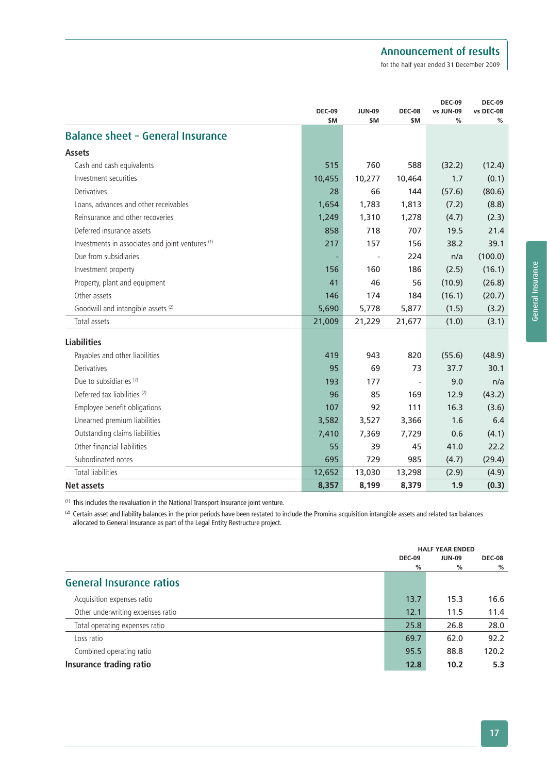for the half year ended 31 December 2009

|                                                  |               | <b>DEC-09</b>  | <b>DEC-09</b> |           |           |
|--------------------------------------------------|---------------|----------------|---------------|-----------|-----------|
|                                                  | <b>DEC-09</b> | <b>JUN-09</b>  | <b>DEC-08</b> | vs JUN-09 | vs DEC-08 |
|                                                  | \$M           | \$M            | \$M           | %         | ℅         |
| <b>Balance sheet - General Insurance</b>         |               |                |               |           |           |
| <b>Assets</b>                                    |               |                |               |           |           |
| Cash and cash equivalents                        | 515           | 760            | 588           | (32.2)    | (12.4)    |
| Investment securities                            | 10,455        | 10,277         | 10,464        | 1.7       | (0.1)     |
| Derivatives                                      | 28            | 66             | 144           | (57.6)    | (80.6)    |
| Loans, advances and other receivables            | 1,654         | 1,783          | 1,813         | (7.2)     | (8.8)     |
| Reinsurance and other recoveries                 | 1,249         | 1,310          | 1,278         | (4.7)     | (2.3)     |
| Deferred insurance assets                        | 858           | 718            | 707           | 19.5      | 21.4      |
| Investments in associates and joint ventures (1) | 217           | 157            | 156           | 38.2      | 39.1      |
| Due from subsidiaries                            |               | $\overline{a}$ | 224           | n/a       | (100.0)   |
| Investment property                              | 156           | 160            | 186           | (2.5)     | (16.1)    |
| Property, plant and equipment                    | 41            | 46             | 56            | (10.9)    | (26.8)    |
| Other assets                                     | 146           | 174            | 184           | (16.1)    | (20.7)    |
| Goodwill and intangible assets (2)               | 5,690         | 5,778          | 5,877         | (1.5)     | (3.2)     |
| Total assets                                     | 21,009        | 21,229         | 21,677        | (1.0)     | (3.1)     |
| <b>Liabilities</b>                               |               |                |               |           |           |
| Payables and other liabilities                   | 419           | 943            | 820           | (55.6)    | (48.9)    |
| Derivatives                                      | 95            | 69             | 73            | 37.7      | 30.1      |
| Due to subsidiaries <sup>(2)</sup>               | 193           | 177            |               | 9.0       | n/a       |
| Deferred tax liabilities <sup>(2)</sup>          | 96            | 85             | 169           | 12.9      | (43.2)    |
| Employee benefit obligations                     | 107           | 92             | 111           | 16.3      | (3.6)     |
| Unearned premium liabilities                     | 3,582         | 3,527          | 3,366         | 1.6       | 6.4       |
| Outstanding claims liabilities                   | 7,410         | 7,369          | 7,729         | 0.6       | (4.1)     |
| Other financial liabilities                      | 55            | 39             | 45            | 41.0      | 22.2      |
| Subordinated notes                               | 695           | 729            | 985           | (4.7)     | (29.4)    |
| <b>Total liabilities</b>                         | 12,652        | 13,030         | 13,298        | (2.9)     | (4.9)     |
| Net assets                                       | 8,357         | 8,199          | 8,379         | 1.9       | (0.3)     |

 $(1)$  This includes the revaluation in the National Transport Insurance joint venture.

(2) Certain asset and liability balances in the prior periods have been restated to include the Promina acquisition intangible assets and related tax balances allocated to General Insurance as part of the Legal Entity Restructure project.

|                                   | <b>HALF YEAR ENDED</b> |               |               |
|-----------------------------------|------------------------|---------------|---------------|
|                                   | <b>DEC-09</b>          | <b>JUN-09</b> | <b>DEC-08</b> |
|                                   | %                      | %             | %             |
| <b>General Insurance ratios</b>   |                        |               |               |
| Acquisition expenses ratio        | 13.7                   | 15.3          | 16.6          |
| Other underwriting expenses ratio | 12.1                   | 11.5          | 11.4          |
| Total operating expenses ratio    | 25.8                   | 26.8          | 28.0          |
| Loss ratio                        | 69.7                   | 62.0          | 92.2          |
| Combined operating ratio          | 95.5                   | 88.8          | 120.2         |
| Insurance trading ratio           | 12.8                   | 10.2          | 5.3           |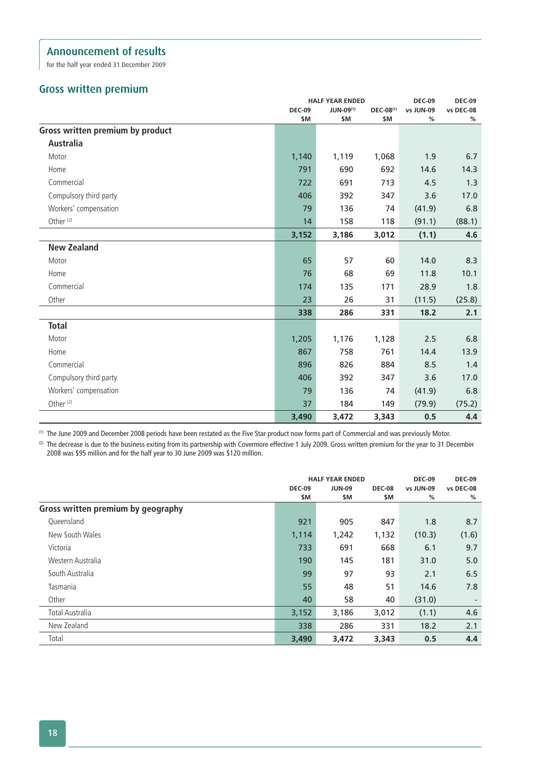for the half year ended 31 December 2009

## Gross written premium

|                                  |               | <b>HALF YEAR ENDED</b> |           | <b>DEC-09</b> | <b>DEC-09</b> |
|----------------------------------|---------------|------------------------|-----------|---------------|---------------|
|                                  | <b>DEC-09</b> | <b>JUN-09(1)</b>       | DEC-08(1) | vs JUN-09     | vs DEC-08     |
|                                  | \$M           | \$M                    | \$M       | %             | %             |
| Gross written premium by product |               |                        |           |               |               |
| <b>Australia</b>                 |               |                        |           |               |               |
| Motor                            | 1,140         | 1,119                  | 1,068     | 1.9           | 6.7           |
| Home                             | 791           | 690                    | 692       | 14.6          | 14.3          |
| Commercial                       | 722           | 691                    | 713       | 4.5           | 1.3           |
| Compulsory third party           | 406           | 392                    | 347       | 3.6           | 17.0          |
| Workers' compensation            | 79            | 136                    | 74        | (41.9)        | 6.8           |
| Other <sup>(2)</sup>             | 14            | 158                    | 118       | (91.1)        | (88.1)        |
|                                  | 3,152         | 3,186                  | 3,012     | (1.1)         | 4.6           |
| <b>New Zealand</b>               |               |                        |           |               |               |
| Motor                            | 65            | 57                     | 60        | 14.0          | 8.3           |
| Home                             | 76            | 68                     | 69        | 11.8          | 10.1          |
| Commercial                       | 174           | 135                    | 171       | 28.9          | 1.8           |
| Other                            | 23            | 26                     | 31        | (11.5)        | (25.8)        |
|                                  | 338           | 286                    | 331       | 18.2          | 2.1           |
| <b>Total</b>                     |               |                        |           |               |               |
| Motor                            | 1,205         | 1,176                  | 1,128     | 2.5           | 6.8           |
| Home                             | 867           | 758                    | 761       | 14.4          | 13.9          |
| Commercial                       | 896           | 826                    | 884       | 8.5           | 1.4           |
| Compulsory third party           | 406           | 392                    | 347       | 3.6           | 17.0          |
| Workers' compensation            | 79            | 136                    | 74        | (41.9)        | 6.8           |
| Other <sup>(2)</sup>             | 37            | 184                    | 149       | (79.9)        | (75.2)        |
|                                  | 3,490         | 3,472                  | 3,343     | 0.5           | 4.4           |

(1) The June 2009 and December 2008 periods have been restated as the Five Star product now forms part of Commercial and was previously Motor.

(2) The decrease is due to the business exiting from its partnership with Covermore effective 1 July 2009. Gross written premium for the year to 31 December 2008 was \$95 million and for the half year to 30 June 2009 was \$120 million.

|                                    |               | <b>HALF YEAR ENDED</b> | <b>DEC-09</b> | <b>DEC-09</b> |           |
|------------------------------------|---------------|------------------------|---------------|---------------|-----------|
|                                    | <b>DEC-09</b> | <b>JUN-09</b>          | <b>DEC-08</b> | vs JUN-09     | vs DEC-08 |
|                                    | \$M           | \$M                    | \$M           | %             | %         |
| Gross written premium by geography |               |                        |               |               |           |
| Queensland                         | 921           | 905                    | 847           | 1.8           | 8.7       |
| New South Wales                    | 1,114         | 1,242                  | 1,132         | (10.3)        | (1.6)     |
| Victoria                           | 733           | 691                    | 668           | 6.1           | 9.7       |
| Western Australia                  | 190           | 145                    | 181           | 31.0          | 5.0       |
| South Australia                    | 99            | 97                     | 93            | 2.1           | 6.5       |
| Tasmania                           | 55            | 48                     | 51            | 14.6          | 7.8       |
| Other                              | 40            | 58                     | 40            | (31.0)        |           |
| <b>Total Australia</b>             | 3,152         | 3,186                  | 3,012         | (1.1)         | 4.6       |
| New Zealand                        | 338           | 286                    | 331           | 18.2          | 2.1       |
| Total                              | 3,490         | 3,472                  | 3,343         | 0.5           | 4.4       |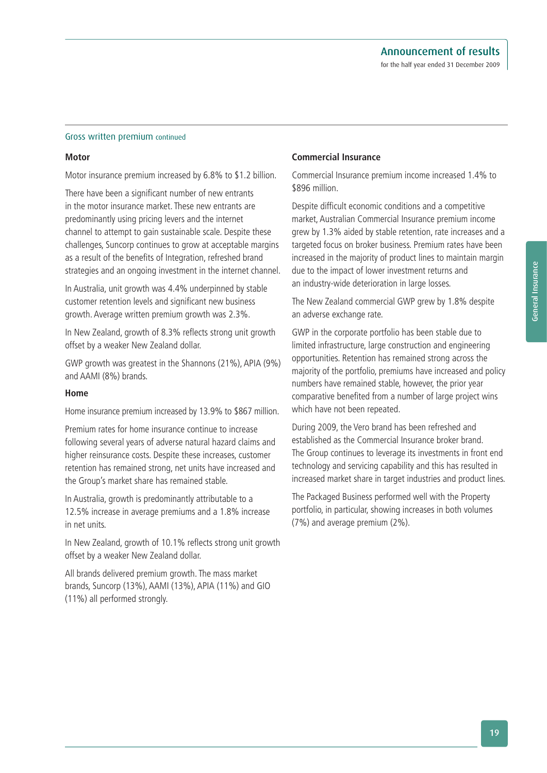#### Gross written premium continued

#### **Motor**

Motor insurance premium increased by 6.8% to \$1.2 billion.

There have been a significant number of new entrants in the motor insurance market. These new entrants are predominantly using pricing levers and the internet channel to attempt to gain sustainable scale. Despite these challenges, Suncorp continues to grow at acceptable margins as a result of the benefits of Integration, refreshed brand strategies and an ongoing investment in the internet channel.

In Australia, unit growth was 4.4% underpinned by stable customer retention levels and significant new business growth. Average written premium growth was 2.3%.

In New Zealand, growth of 8.3% reflects strong unit growth offset by a weaker New Zealand dollar.

GWP growth was greatest in the Shannons (21%), APIA (9%) and AAMI (8%) brands.

#### **Home**

Home insurance premium increased by 13.9% to \$867 million.

Premium rates for home insurance continue to increase following several years of adverse natural hazard claims and higher reinsurance costs. Despite these increases, customer retention has remained strong, net units have increased and the Group's market share has remained stable.

In Australia, growth is predominantly attributable to a 12.5% increase in average premiums and a 1.8% increase in net units.

In New Zealand, growth of 10.1% reflects strong unit growth offset by a weaker New Zealand dollar.

All brands delivered premium growth. The mass market brands, Suncorp (13%), AAMI (13%), APIA (11%) and GIO (11%) all performed strongly.

#### **Commercial Insurance**

Commercial Insurance premium income increased 1.4% to \$896 million.

Despite difficult economic conditions and a competitive market, Australian Commercial Insurance premium income grew by 1.3% aided by stable retention, rate increases and a targeted focus on broker business. Premium rates have been increased in the majority of product lines to maintain margin due to the impact of lower investment returns and an industry-wide deterioration in large losses.

The New Zealand commercial GWP grew by 1.8% despite an adverse exchange rate.

GWP in the corporate portfolio has been stable due to limited infrastructure, large construction and engineering opportunities. Retention has remained strong across the majority of the portfolio, premiums have increased and policy numbers have remained stable, however, the prior year comparative benefited from a number of large project wins which have not been repeated.

During 2009, the Vero brand has been refreshed and established as the Commercial Insurance broker brand. The Group continues to leverage its investments in front end technology and servicing capability and this has resulted in increased market share in target industries and product lines.

The Packaged Business performed well with the Property portfolio, in particular, showing increases in both volumes (7%) and average premium (2%).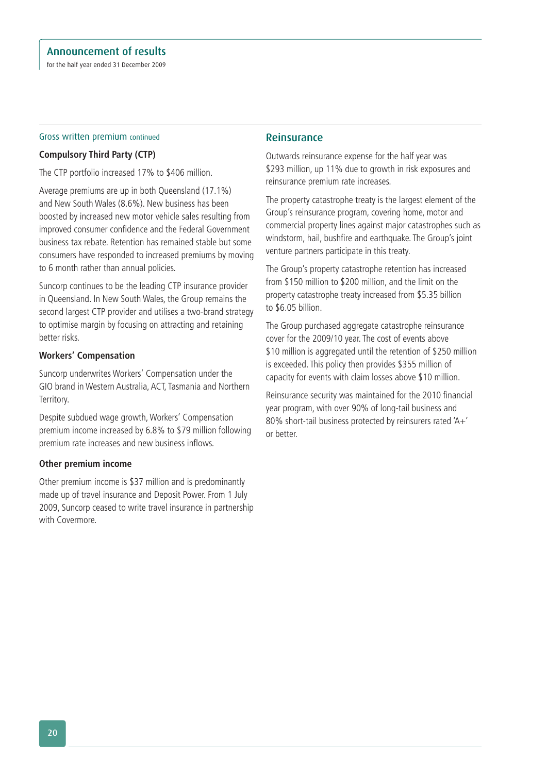#### Gross written premium continued

#### **Compulsory Third Party (CTP)**

The CTP portfolio increased 17% to \$406 million.

Average premiums are up in both Queensland (17.1%) and New South Wales (8.6%). New business has been boosted by increased new motor vehicle sales resulting from improved consumer confidence and the Federal Government business tax rebate. Retention has remained stable but some consumers have responded to increased premiums by moving to 6 month rather than annual policies.

Suncorp continues to be the leading CTP insurance provider in Queensland. In New South Wales, the Group remains the second largest CTP provider and utilises a two-brand strategy to optimise margin by focusing on attracting and retaining better risks.

#### **Workers' Compensation**

Suncorp underwrites Workers' Compensation under the GIO brand in Western Australia, ACT, Tasmania and Northern Territory.

Despite subdued wage growth, Workers' Compensation premium income increased by 6.8% to \$79 million following premium rate increases and new business inflows.

#### **Other premium income**

Other premium income is \$37 million and is predominantly made up of travel insurance and Deposit Power. From 1 July 2009, Suncorp ceased to write travel insurance in partnership with Covermore.

#### Reinsurance

Outwards reinsurance expense for the half year was \$293 million, up 11% due to growth in risk exposures and reinsurance premium rate increases.

The property catastrophe treaty is the largest element of the Group's reinsurance program, covering home, motor and commercial property lines against major catastrophes such as windstorm, hail, bushfire and earthquake. The Group's joint venture partners participate in this treaty.

The Group's property catastrophe retention has increased from \$150 million to \$200 million, and the limit on the property catastrophe treaty increased from \$5.35 billion to \$6.05 billion.

The Group purchased aggregate catastrophe reinsurance cover for the 2009/10 year. The cost of events above \$10 million is aggregated until the retention of \$250 million is exceeded. This policy then provides \$355 million of capacity for events with claim losses above \$10 million.

Reinsurance security was maintained for the 2010 financial year program, with over 90% of long-tail business and 80% short-tail business protected by reinsurers rated 'A+' or better.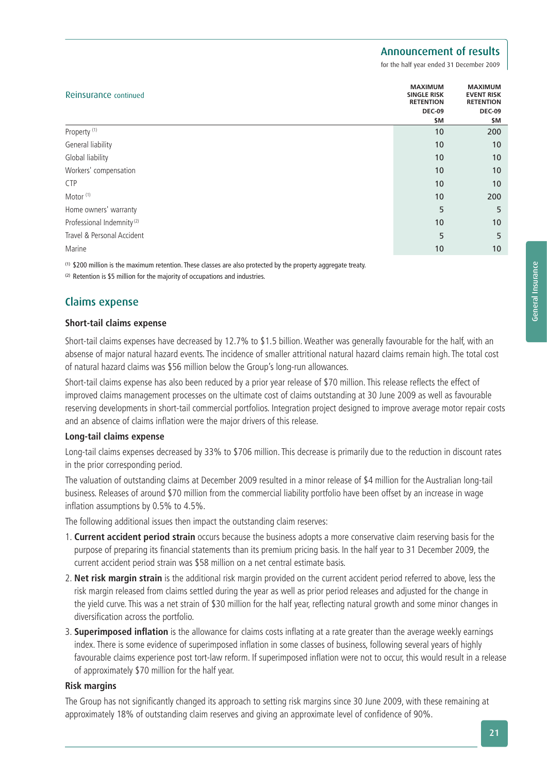for the half year ended 31 December 2009

| Reinsurance continued                 | <b>MAXIMUM</b><br><b>SINGLE RISK</b><br><b>RETENTION</b><br><b>DEC-09</b><br>\$M | <b>MAXIMUM</b><br><b>EVENT RISK</b><br><b>RETENTION</b><br><b>DEC-09</b><br>\$M |
|---------------------------------------|----------------------------------------------------------------------------------|---------------------------------------------------------------------------------|
| Property <sup>(1)</sup>               | 10                                                                               | 200                                                                             |
| General liability                     | 10                                                                               | 10                                                                              |
| Global liability                      | 10                                                                               | 10                                                                              |
| Workers' compensation                 | 10                                                                               | 10                                                                              |
| <b>CTP</b>                            | 10                                                                               | 10                                                                              |
| Motor <sup>(1)</sup>                  | 10                                                                               | 200                                                                             |
| Home owners' warranty                 | 5                                                                                | 5                                                                               |
| Professional Indemnity <sup>(2)</sup> | 10                                                                               | 10                                                                              |
| Travel & Personal Accident            | 5                                                                                | 5                                                                               |
| Marine                                | 10                                                                               | 10                                                                              |

<sup>(1)</sup> \$200 million is the maximum retention. These classes are also protected by the property aggregate treaty.

 $(2)$  Retention is \$5 million for the majority of occupations and industries.

## Claims expense

#### **Short-tail claims expense**

Short-tail claims expenses have decreased by 12.7% to \$1.5 billion. Weather was generally favourable for the half, with an absense of major natural hazard events. The incidence of smaller attritional natural hazard claims remain high. The total cost of natural hazard claims was \$56 million below the Group's long-run allowances.

Short-tail claims expense has also been reduced by a prior year release of \$70 million. This release reflects the effect of improved claims management processes on the ultimate cost of claims outstanding at 30 June 2009 as well as favourable reserving developments in short-tail commercial portfolios. Integration project designed to improve average motor repair costs and an absence of claims inflation were the major drivers of this release.

#### **Long-tail claims expense**

Long-tail claims expenses decreased by 33% to \$706 million. This decrease is primarily due to the reduction in discount rates in the prior corresponding period.

The valuation of outstanding claims at December 2009 resulted in a minor release of \$4 million for the Australian long-tail business. Releases of around \$70 million from the commercial liability portfolio have been offset by an increase in wage inflation assumptions by 0.5% to 4.5%.

The following additional issues then impact the outstanding claim reserves:

- 1. **Current accident period strain** occurs because the business adopts a more conservative claim reserving basis for the purpose of preparing its financial statements than its premium pricing basis. In the half year to 31 December 2009, the current accident period strain was \$58 million on a net central estimate basis.
- 2. **Net risk margin strain** is the additional risk margin provided on the current accident period referred to above, less the risk margin released from claims settled during the year as well as prior period releases and adjusted for the change in the yield curve. This was a net strain of \$30 million for the half year, reflecting natural growth and some minor changes in diversification across the portfolio.
- 3. **Superimposed inflation** is the allowance for claims costs inflating at a rate greater than the average weekly earnings index. There is some evidence of superimposed inflation in some classes of business, following several years of highly favourable claims experience post tort-law reform. If superimposed inflation were not to occur, this would result in a release of approximately \$70 million for the half year.

#### **Risk margins**

The Group has not significantly changed its approach to setting risk margins since 30 June 2009, with these remaining at approximately 18% of outstanding claim reserves and giving an approximate level of confidence of 90%.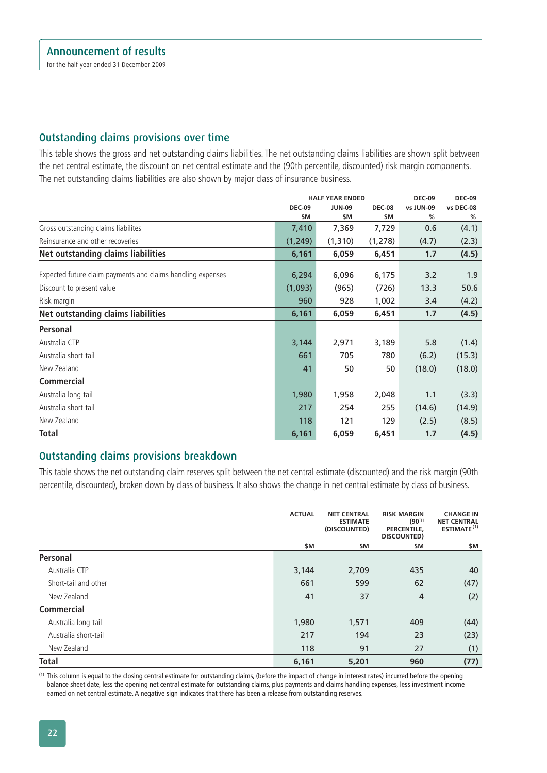#### Outstanding claims provisions over time

This table shows the gross and net outstanding claims liabilities. The net outstanding claims liabilities are shown split between the net central estimate, the discount on net central estimate and the (90th percentile, discounted) risk margin components. The net outstanding claims liabilities are also shown by major class of insurance business.

|                                                             | <b>HALF YEAR ENDED</b> |               |               | <b>DEC-09</b> | <b>DEC-09</b> |
|-------------------------------------------------------------|------------------------|---------------|---------------|---------------|---------------|
|                                                             | <b>DEC-09</b>          | <b>JUN-09</b> | <b>DEC-08</b> | vs JUN-09     | vs DEC-08     |
|                                                             | \$M                    | \$M           | \$M           | $\%$          | %             |
| Gross outstanding claims liabilites                         | 7,410                  | 7,369         | 7,729         | 0.6           | (4.1)         |
| Reinsurance and other recoveries                            | (1, 249)               | (1,310)       | (1,278)       | (4.7)         | (2.3)         |
| Net outstanding claims liabilities                          | 6,161                  | 6,059         | 6,451         | 1.7           | (4.5)         |
|                                                             |                        |               |               |               |               |
| Expected future claim payments and claims handling expenses | 6,294                  | 6,096         | 6,175         | 3.2           | 1.9           |
| Discount to present value                                   | (1,093)                | (965)         | (726)         | 13.3          | 50.6          |
| Risk margin                                                 | 960                    | 928           | 1,002         | 3.4           | (4.2)         |
| Net outstanding claims liabilities                          | 6,161                  | 6,059         | 6,451         | 1.7           | (4.5)         |
| Personal                                                    |                        |               |               |               |               |
| Australia CTP                                               | 3,144                  | 2,971         | 3,189         | 5.8           | (1.4)         |
| Australia short-tail                                        | 661                    | 705           | 780           | (6.2)         | (15.3)        |
| New Zealand                                                 | 41                     | 50            | 50            | (18.0)        | (18.0)        |
| <b>Commercial</b>                                           |                        |               |               |               |               |
| Australia long-tail                                         | 1,980                  | 1,958         | 2,048         | 1.1           | (3.3)         |
| Australia short-tail                                        | 217                    | 254           | 255           | (14.6)        | (14.9)        |
| New Zealand                                                 | 118                    | 121           | 129           | (2.5)         | (8.5)         |
| <b>Total</b>                                                | 6,161                  | 6,059         | 6,451         | 1.7           | (4.5)         |

#### Outstanding claims provisions breakdown

This table shows the net outstanding claim reserves split between the net central estimate (discounted) and the risk margin (90th percentile, discounted), broken down by class of business. It also shows the change in net central estimate by class of business.

|                      | <b>ACTUAL</b> | <b>NET CENTRAL</b><br><b>ESTIMATE</b><br>(DISCOUNTED) | <b>RISK MARGIN</b><br>(90 <sup>TH</sup> )<br>PERCENTILE,<br>DISCOUNTED) | <b>CHANGE IN</b><br><b>NET CENTRAL</b><br>ESTIMATE <sup>(1)</sup> |
|----------------------|---------------|-------------------------------------------------------|-------------------------------------------------------------------------|-------------------------------------------------------------------|
|                      | \$M           | \$M                                                   | \$M                                                                     | \$M                                                               |
| Personal             |               |                                                       |                                                                         |                                                                   |
| Australia CTP        | 3,144         | 2,709                                                 | 435                                                                     | 40                                                                |
| Short-tail and other | 661           | 599                                                   | 62                                                                      | (47)                                                              |
| New Zealand          | 41            | 37                                                    | 4                                                                       | (2)                                                               |
| Commercial           |               |                                                       |                                                                         |                                                                   |
| Australia long-tail  | 1,980         | 1,571                                                 | 409                                                                     | (44)                                                              |
| Australia short-tail | 217           | 194                                                   | 23                                                                      | (23)                                                              |
| New Zealand          | 118           | 91                                                    | 27                                                                      | (1)                                                               |
| <b>Total</b>         | 6,161         | 5,201                                                 | 960                                                                     | (77)                                                              |

(1) This column is equal to the closing central estimate for outstanding claims, (before the impact of change in interest rates) incurred before the opening balance sheet date, less the opening net central estimate for outstanding claims, plus payments and claims handling expenses, less investment income earned on net central estimate. A negative sign indicates that there has been a release from outstanding reserves.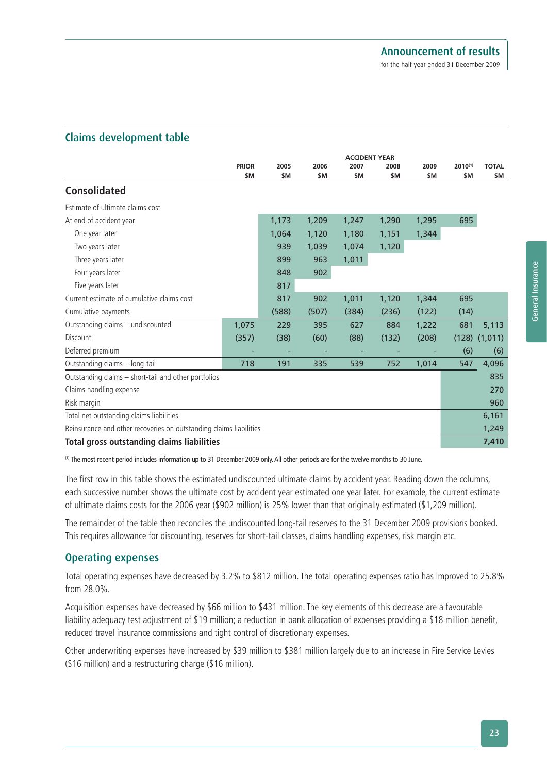## Claims development table

|                                                                    |                     |             |             | <b>ACCIDENT YEAR</b> |             |             |                     |                     |
|--------------------------------------------------------------------|---------------------|-------------|-------------|----------------------|-------------|-------------|---------------------|---------------------|
|                                                                    | <b>PRIOR</b><br>\$M | 2005<br>\$M | 2006<br>\$M | 2007<br>\$M          | 2008<br>\$M | 2009<br>\$M | $2010^{(1)}$<br>\$M | <b>TOTAL</b><br>\$M |
| <b>Consolidated</b>                                                |                     |             |             |                      |             |             |                     |                     |
| Estimate of ultimate claims cost                                   |                     |             |             |                      |             |             |                     |                     |
| At end of accident year                                            |                     | 1,173       | 1,209       | 1,247                | 1,290       | 1,295       | 695                 |                     |
| One year later                                                     |                     | 1,064       | 1,120       | 1,180                | 1,151       | 1,344       |                     |                     |
| Two years later                                                    |                     | 939         | 1,039       | 1,074                | 1,120       |             |                     |                     |
| Three years later                                                  |                     | 899         | 963         | 1,011                |             |             |                     |                     |
| Four years later                                                   |                     | 848         | 902         |                      |             |             |                     |                     |
| Five years later                                                   |                     | 817         |             |                      |             |             |                     |                     |
| Current estimate of cumulative claims cost                         |                     | 817         | 902         | 1,011                | 1,120       | 1,344       | 695                 |                     |
| Cumulative payments                                                |                     | (588)       | (507)       | (384)                | (236)       | (122)       | (14)                |                     |
| Outstanding claims - undiscounted                                  | 1,075               | 229         | 395         | 627                  | 884         | 1,222       | 681                 | 5,113               |
| Discount                                                           | (357)               | (38)        | (60)        | (88)                 | (132)       | (208)       |                     | $(128)$ $(1,011)$   |
| Deferred premium                                                   |                     |             |             |                      |             |             | (6)                 | (6)                 |
| Outstanding claims - long-tail                                     | 718                 | 191         | 335         | 539                  | 752         | 1,014       | 547                 | 4,096               |
| Outstanding claims - short-tail and other portfolios               |                     |             |             |                      |             |             |                     | 835                 |
| Claims handling expense                                            |                     |             |             |                      |             |             |                     | 270                 |
| Risk margin                                                        |                     |             |             |                      |             |             |                     | 960                 |
| Total net outstanding claims liabilities                           |                     |             |             |                      |             |             |                     | 6,161               |
| Reinsurance and other recoveries on outstanding claims liabilities |                     |             |             |                      |             |             |                     | 1,249               |
| <b>Total gross outstanding claims liabilities</b>                  |                     |             |             |                      |             |             |                     | 7,410               |

(1) The most recent period includes information up to 31 December 2009 only.All other periods are for the twelve months to 30 June.

The first row in this table shows the estimated undiscounted ultimate claims by accident year. Reading down the columns, each successive number shows the ultimate cost by accident year estimated one year later. For example, the current estimate of ultimate claims costs for the 2006 year (\$902 million) is 25% lower than that originally estimated (\$1,209 million).

The remainder of the table then reconciles the undiscounted long-tail reserves to the 31 December 2009 provisions booked. This requires allowance for discounting, reserves for short-tail classes, claims handling expenses, risk margin etc.

#### Operating expenses

Total operating expenses have decreased by 3.2% to \$812 million. The total operating expenses ratio has improved to 25.8% from 28.0%.

Acquisition expenses have decreased by \$66 million to \$431 million. The key elements of this decrease are a favourable liability adequacy test adjustment of \$19 million; a reduction in bank allocation of expenses providing a \$18 million benefit, reduced travel insurance commissions and tight control of discretionary expenses.

Other underwriting expenses have increased by \$39 million to \$381 million largely due to an increase in Fire Service Levies (\$16 million) and a restructuring charge (\$16 million).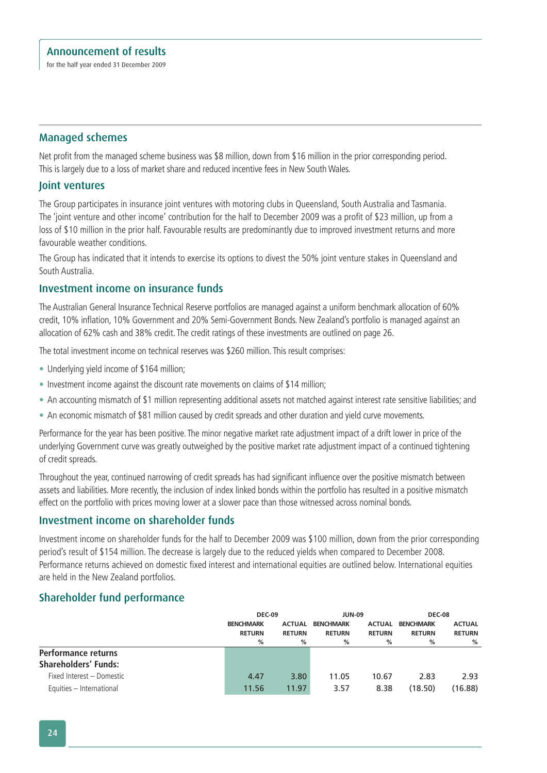#### Managed schemes

Net profit from the managed scheme business was \$8 million, down from \$16 million in the prior corresponding period. This is largely due to a loss of market share and reduced incentive fees in New South Wales.

#### Joint ventures

The Group participates in insurance joint ventures with motoring clubs in Queensland, South Australia and Tasmania. The 'joint venture and other income' contribution for the half to December 2009 was a profit of \$23 million, up from a loss of \$10 million in the prior half. Favourable results are predominantly due to improved investment returns and more favourable weather conditions.

The Group has indicated that it intends to exercise its options to divest the 50% joint venture stakes in Queensland and South Australia.

#### Investment income on insurance funds

The Australian General Insurance Technical Reserve portfolios are managed against a uniform benchmark allocation of 60% credit, 10% inflation, 10% Government and 20% Semi-Government Bonds. New Zealand's portfolio is managed against an allocation of 62% cash and 38% credit. The credit ratings of these investments are outlined on page 26.

The total investment income on technical reserves was \$260 million. This result comprises:

- Underlying yield income of \$164 million;
- Investment income against the discount rate movements on claims of \$14 million;
- An accounting mismatch of \$1 million representing additional assets not matched against interest rate sensitive liabilities; and
- An economic mismatch of \$81 million caused by credit spreads and other duration and yield curve movements.

Performance for the year has been positive. The minor negative market rate adjustment impact of a drift lower in price of the underlying Government curve was greatly outweighed by the positive market rate adjustment impact of a continued tightening of credit spreads.

Throughout the year, continued narrowing of credit spreads has had significant influence over the positive mismatch between assets and liabilities. More recently, the inclusion of index linked bonds within the portfolio has resulted in a positive mismatch effect on the portfolio with prices moving lower at a slower pace than those witnessed across nominal bonds.

#### Investment income on shareholder funds

Investment income on shareholder funds for the half to December 2009 was \$100 million, down from the prior corresponding period's result of \$154 million. The decrease is largely due to the reduced yields when compared to December 2008. Performance returns achieved on domestic fixed interest and international equities are outlined below. International equities are held in the New Zealand portfolios.

#### Shareholder fund performance

|                             | <b>DEC-09</b>    |               | <b>JUN-09</b>    |               | <b>DEC-08</b>    |               |
|-----------------------------|------------------|---------------|------------------|---------------|------------------|---------------|
|                             | <b>BENCHMARK</b> | <b>ACTUAL</b> | <b>BENCHMARK</b> | <b>ACTUAL</b> | <b>BENCHMARK</b> | <b>ACTUAL</b> |
|                             | <b>RETURN</b>    | <b>RETURN</b> | <b>RETURN</b>    | <b>RETURN</b> | <b>RETURN</b>    | <b>RETURN</b> |
|                             | %                | %             | %                | %             | %                | %             |
| Performance returns         |                  |               |                  |               |                  |               |
| <b>Shareholders' Funds:</b> |                  |               |                  |               |                  |               |
| Fixed Interest - Domestic   | 4.47             | 3.80          | 11.05            | 10.67         | 2.83             | 2.93          |
| Equities - International    | 11.56            | 11.97         | 3.57             | 8.38          | (18.50)          | (16.88)       |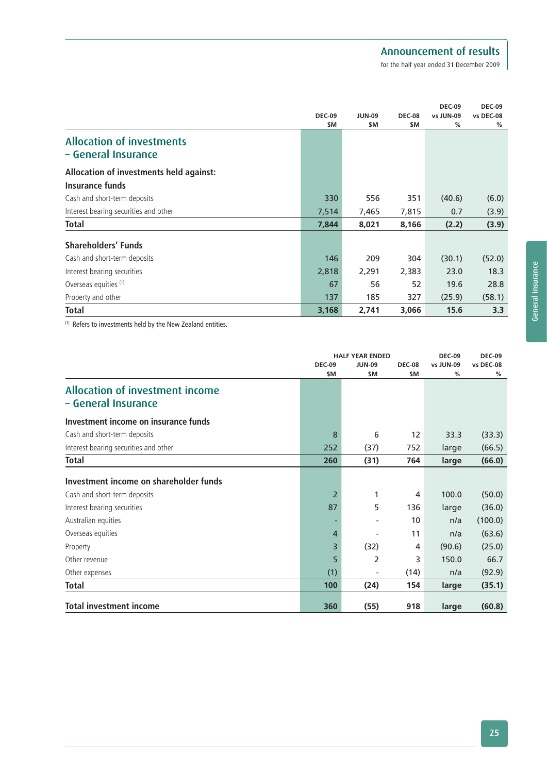for the half year ended 31 December 2009

|                                                         |               |               |               | <b>DEC-09</b> | <b>DEC-09</b> |
|---------------------------------------------------------|---------------|---------------|---------------|---------------|---------------|
|                                                         | <b>DEC-09</b> | <b>JUN-09</b> | <b>DEC-08</b> | vs JUN-09     | vs DEC-08     |
|                                                         | \$M           | \$M           | \$M           | %             | %             |
| <b>Allocation of investments</b><br>- General Insurance |               |               |               |               |               |
| Allocation of investments held against:                 |               |               |               |               |               |
| <b>Insurance funds</b>                                  |               |               |               |               |               |
| Cash and short-term deposits                            | 330           | 556           | 351           | (40.6)        | (6.0)         |
| Interest bearing securities and other                   | 7,514         | 7,465         | 7,815         | 0.7           | (3.9)         |
| Total                                                   | 7,844         | 8,021         | 8,166         | (2.2)         | (3.9)         |
| <b>Shareholders' Funds</b>                              |               |               |               |               |               |
| Cash and short-term deposits                            | 146           | 209           | 304           | (30.1)        | (52.0)        |
| Interest bearing securities                             | 2,818         | 2,291         | 2,383         | 23.0          | 18.3          |
| Overseas equities (1)                                   | 67            | 56            | 52            | 19.6          | 28.8          |
| Property and other                                      | 137           | 185           | 327           | (25.9)        | (58.1)        |
| Total                                                   | 3,168         | 2,741         | 3,066         | 15.6          | 3.3           |

 $(1)$  Refers to investments held by the New Zealand entities.

|                                                        | <b>HALF YEAR ENDED</b>     |                      |                      | <b>DEC-09</b>     | <b>DEC-09</b>  |
|--------------------------------------------------------|----------------------------|----------------------|----------------------|-------------------|----------------|
|                                                        | <b>DEC-09</b><br><b>SM</b> | <b>JUN-09</b><br>\$M | <b>DEC-08</b><br>\$M | vs JUN-09<br>$\%$ | vs DEC-08<br>% |
| Allocation of investment income<br>- General Insurance |                            |                      |                      |                   |                |
| Investment income on insurance funds                   |                            |                      |                      |                   |                |
| Cash and short-term deposits                           | 8                          | 6                    | 12                   | 33.3              | (33.3)         |
| Interest bearing securities and other                  | 252                        | (37)                 | 752                  | large             | (66.5)         |
| Total                                                  | 260                        | (31)                 | 764                  | large             | (66.0)         |
| Investment income on shareholder funds                 |                            |                      |                      |                   |                |
| Cash and short-term deposits                           | $\overline{2}$             | 1                    | 4                    | 100.0             | (50.0)         |
| Interest bearing securities                            | 87                         | 5                    | 136                  | large             | (36.0)         |
| Australian equities                                    |                            |                      | 10                   | n/a               | (100.0)        |
| Overseas equities                                      | 4                          |                      | 11                   | n/a               | (63.6)         |
| Property                                               | 3                          | (32)                 | 4                    | (90.6)            | (25.0)         |
| Other revenue                                          | 5                          | $\overline{2}$       | 3                    | 150.0             | 66.7           |
| Other expenses                                         | (1)                        |                      | (14)                 | n/a               | (92.9)         |
| Total                                                  | 100                        | (24)                 | 154                  | large             | (35.1)         |
| <b>Total investment income</b>                         | 360                        | (55)                 | 918                  | large             | (60.8)         |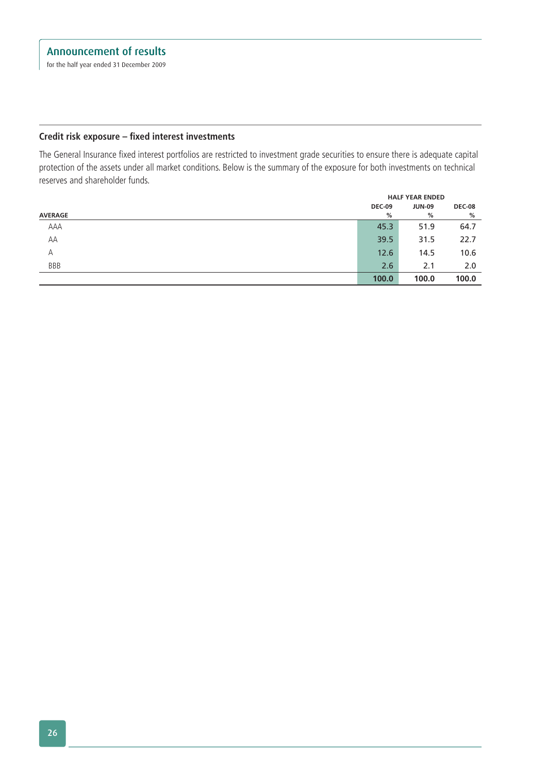#### **Credit risk exposure – fixed interest investments**

The General Insurance fixed interest portfolios are restricted to investment grade securities to ensure there is adequate capital protection of the assets under all market conditions. Below is the summary of the exposure for both investments on technical reserves and shareholder funds.

|                | <b>HALF YEAR ENDED</b> |               |               |
|----------------|------------------------|---------------|---------------|
|                | <b>DEC-09</b>          | <b>JUN-09</b> | <b>DEC-08</b> |
| <b>AVERAGE</b> | %                      | %             | %             |
| AAA            | 45.3                   | 51.9          | 64.7          |
| AA             | 39.5                   | 31.5          | 22.7          |
| Α              | 12.6                   | 14.5          | 10.6          |
| <b>BBB</b>     | 2.6                    | 2.1           | 2.0           |
|                | 100.0                  | 100.0         | 100.0         |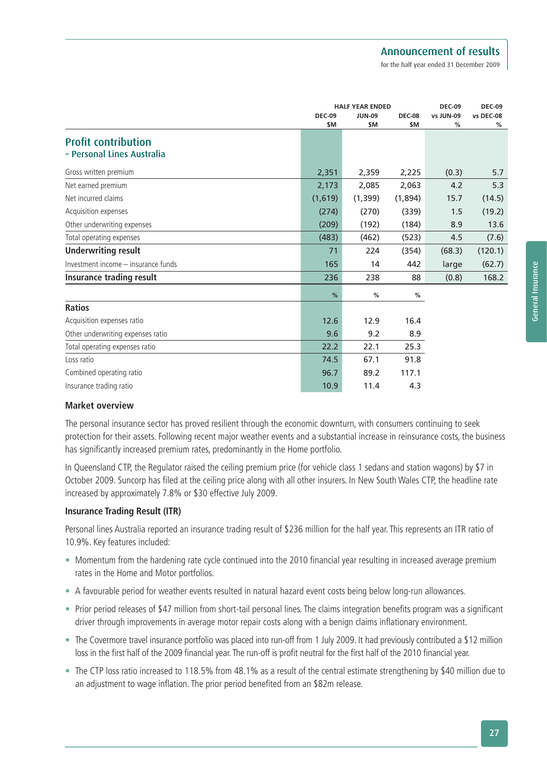|                                                          | <b>HALF YEAR ENDED</b> |               |               | <b>DEC-09</b> | <b>DEC-09</b> |
|----------------------------------------------------------|------------------------|---------------|---------------|---------------|---------------|
|                                                          | <b>DEC-09</b>          | <b>JUN-09</b> | <b>DEC-08</b> | vs JUN-09     | vs DEC-08     |
|                                                          | <b>SM</b>              | <b>SM</b>     | <b>SM</b>     | %             | %             |
| <b>Profit contribution</b><br>- Personal Lines Australia |                        |               |               |               |               |
| Gross written premium                                    | 2,351                  | 2,359         | 2,225         | (0.3)         | 5.7           |
| Net earned premium                                       | 2,173                  | 2,085         | 2,063         | 4.2           | 5.3           |
| Net incurred claims                                      | (1,619)                | (1, 399)      | (1,894)       | 15.7          | (14.5)        |
| Acquisition expenses                                     | (274)                  | (270)         | (339)         | 1.5           | (19.2)        |
| Other underwriting expenses                              | (209)                  | (192)         | (184)         | 8.9           | 13.6          |
| Total operating expenses                                 | (483)                  | (462)         | (523)         | 4.5           | (7.6)         |
| <b>Underwriting result</b>                               | 71                     | 224           | (354)         | (68.3)        | (120.1)       |
| Investment income - insurance funds                      | 165                    | 14            | 442           | large         | (62.7)        |
| <b>Insurance trading result</b>                          | 236                    | 238           | 88            | (0.8)         | 168.2         |
|                                                          | %                      | $\%$          | %             |               |               |
| <b>Ratios</b>                                            |                        |               |               |               |               |
| Acquisition expenses ratio                               | 12.6                   | 12.9          | 16.4          |               |               |
| Other underwriting expenses ratio                        | 9.6                    | 9.2           | 8.9           |               |               |
| Total operating expenses ratio                           | 22.2                   | 22.1          | 25.3          |               |               |
| Loss ratio                                               | 74.5                   | 67.1          | 91.8          |               |               |
| Combined operating ratio                                 | 96.7                   | 89.2          | 117.1         |               |               |
| Insurance trading ratio                                  | 10.9                   | 11.4          | 4.3           |               |               |

#### **Market overview**

The personal insurance sector has proved resilient through the economic downturn, with consumers continuing to seek protection for their assets. Following recent major weather events and a substantial increase in reinsurance costs, the business has significantly increased premium rates, predominantly in the Home portfolio.

In Queensland CTP, the Regulator raised the ceiling premium price (for vehicle class 1 sedans and station wagons) by \$7 in October 2009. Suncorp has filed at the ceiling price along with all other insurers. In New South Wales CTP, the headline rate increased by approximately 7.8% or \$30 effective July 2009.

#### **Insurance Trading Result (ITR)**

Personal lines Australia reported an insurance trading result of \$236 million for the half year. This represents an ITR ratio of 10.9%. Key features included:

- Momentum from the hardening rate cycle continued into the 2010 financial year resulting in increased average premium rates in the Home and Motor portfolios.
- A favourable period for weather events resulted in natural hazard event costs being below long-run allowances.
- Prior period releases of \$47 million from short-tail personal lines. The claims integration benefits program was a significant driver through improvements in average motor repair costs along with a benign claims inflationary environment.
- The Covermore travel insurance portfolio was placed into run-off from 1 July 2009. It had previously contributed a \$12 million loss in the first half of the 2009 financial year. The run-off is profit neutral for the first half of the 2010 financial year.
- The CTP loss ratio increased to 118.5% from 48.1% as a result of the central estimate strengthening by \$40 million due to an adjustment to wage inflation. The prior period benefited from an \$82m release.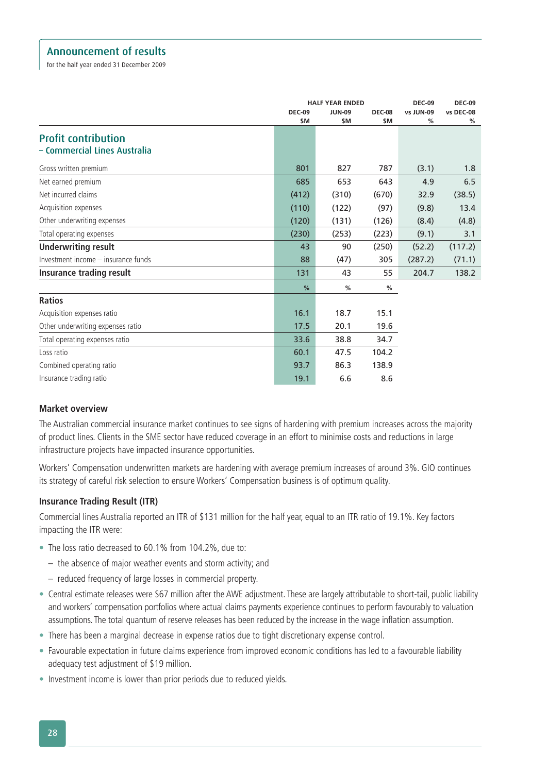for the half year ended 31 December 2009

|                                                            | <b>DEC-09</b><br><b>SM</b> | <b>HALF YEAR ENDED</b><br><b>JUN-09</b><br>\$M | <b>DEC-08</b><br>\$M | <b>DEC-09</b><br>vs JUN-09<br>% | <b>DEC-09</b><br>vs DEC-08<br>% |
|------------------------------------------------------------|----------------------------|------------------------------------------------|----------------------|---------------------------------|---------------------------------|
| <b>Profit contribution</b><br>- Commercial Lines Australia |                            |                                                |                      |                                 |                                 |
| Gross written premium                                      | 801                        | 827                                            | 787                  | (3.1)                           | 1.8                             |
| Net earned premium                                         | 685                        | 653                                            | 643                  | 4.9                             | 6.5                             |
| Net incurred claims                                        | (412)                      | (310)                                          | (670)                | 32.9                            | (38.5)                          |
| Acquisition expenses                                       | (110)                      | (122)                                          | (97)                 | (9.8)                           | 13.4                            |
| Other underwriting expenses                                | (120)                      | (131)                                          | (126)                | (8.4)                           | (4.8)                           |
| Total operating expenses                                   | (230)                      | (253)                                          | (223)                | (9.1)                           | 3.1                             |
| <b>Underwriting result</b>                                 | 43                         | 90                                             | (250)                | (52.2)                          | (117.2)                         |
| Investment income - insurance funds                        | 88                         | (47)                                           | 305                  | (287.2)                         | (71.1)                          |
| <b>Insurance trading result</b>                            | 131                        | 43                                             | 55                   | 204.7                           | 138.2                           |
|                                                            | %                          | %                                              | %                    |                                 |                                 |
| <b>Ratios</b>                                              |                            |                                                |                      |                                 |                                 |
| Acquisition expenses ratio                                 | 16.1                       | 18.7                                           | 15.1                 |                                 |                                 |
| Other underwriting expenses ratio                          | 17.5                       | 20.1                                           | 19.6                 |                                 |                                 |
| Total operating expenses ratio                             | 33.6                       | 38.8                                           | 34.7                 |                                 |                                 |
| Loss ratio                                                 | 60.1                       | 47.5                                           | 104.2                |                                 |                                 |
| Combined operating ratio                                   | 93.7                       | 86.3                                           | 138.9                |                                 |                                 |
| Insurance trading ratio                                    | 19.1                       | 6.6                                            | 8.6                  |                                 |                                 |

#### **Market overview**

The Australian commercial insurance market continues to see signs of hardening with premium increases across the majority of product lines. Clients in the SME sector have reduced coverage in an effort to minimise costs and reductions in large infrastructure projects have impacted insurance opportunities.

Workers' Compensation underwritten markets are hardening with average premium increases of around 3%. GIO continues its strategy of careful risk selection to ensure Workers' Compensation business is of optimum quality.

#### **Insurance Trading Result (ITR)**

Commercial lines Australia reported an ITR of \$131 million for the half year, equal to an ITR ratio of 19.1%. Key factors impacting the ITR were:

- The loss ratio decreased to 60.1% from 104.2%, due to:
	- the absence of major weather events and storm activity; and
	- reduced frequency of large losses in commercial property.
- Central estimate releases were \$67 million after the AWE adjustment. These are largely attributable to short-tail, public liability and workers' compensation portfolios where actual claims payments experience continues to perform favourably to valuation assumptions. The total quantum of reserve releases has been reduced by the increase in the wage inflation assumption.
- There has been a marginal decrease in expense ratios due to tight discretionary expense control.
- Favourable expectation in future claims experience from improved economic conditions has led to a favourable liability adequacy test adjustment of \$19 million.
- Investment income is lower than prior periods due to reduced vields.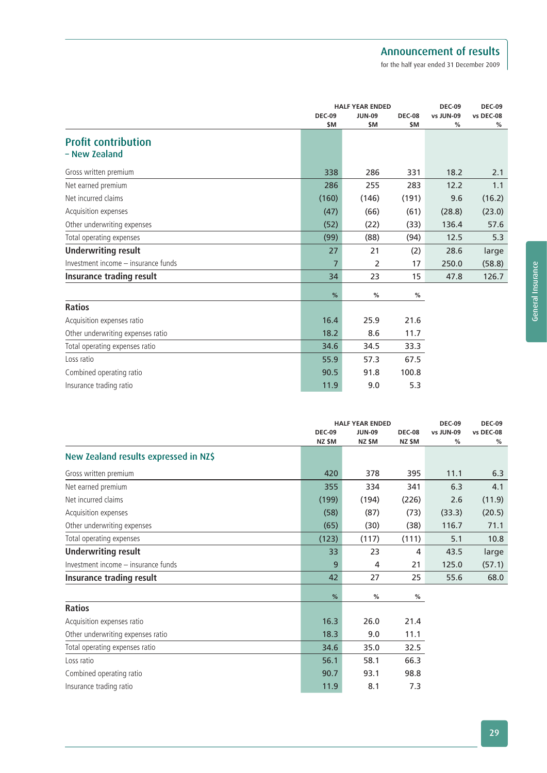for the half year ended 31 December 2009

|                                             | <b>HALF YEAR ENDED</b> |               |               | <b>DEC-09</b> | <b>DEC-09</b> |
|---------------------------------------------|------------------------|---------------|---------------|---------------|---------------|
|                                             | <b>DEC-09</b>          | <b>JUN-09</b> | <b>DEC-08</b> | vs JUN-09     | vs DEC-08     |
|                                             | \$M                    | \$M           | \$M           | %             | %             |
| <b>Profit contribution</b><br>- New Zealand |                        |               |               |               |               |
| Gross written premium                       | 338                    | 286           | 331           | 18.2          | 2.1           |
| Net earned premium                          | 286                    | 255           | 283           | 12.2          | 1.1           |
| Net incurred claims                         | (160)                  | (146)         | (191)         | 9.6           | (16.2)        |
| Acquisition expenses                        | (47)                   | (66)          | (61)          | (28.8)        | (23.0)        |
| Other underwriting expenses                 | (52)                   | (22)          | (33)          | 136.4         | 57.6          |
| Total operating expenses                    | (99)                   | (88)          | (94)          | 12.5          | 5.3           |
| <b>Underwriting result</b>                  | 27                     | 21            | (2)           | 28.6          | large         |
| Investment income - insurance funds         | 7                      | 2             | 17            | 250.0         | (58.8)        |
| <b>Insurance trading result</b>             | 34                     | 23            | 15            | 47.8          | 126.7         |
|                                             | %                      | $\%$          | %             |               |               |
| <b>Ratios</b>                               |                        |               |               |               |               |
| Acquisition expenses ratio                  | 16.4                   | 25.9          | 21.6          |               |               |
| Other underwriting expenses ratio           | 18.2                   | 8.6           | 11.7          |               |               |
| Total operating expenses ratio              | 34.6                   | 34.5          | 33.3          |               |               |
| Loss ratio                                  | 55.9                   | 57.3          | 67.5          |               |               |
| Combined operating ratio                    | 90.5                   | 91.8          | 100.8         |               |               |
| Insurance trading ratio                     | 11.9                   | 9.0           | 5.3           |               |               |

|                                       | <b>HALF YEAR ENDED</b> |               |               | <b>DEC-09</b> | <b>DEC-09</b> |
|---------------------------------------|------------------------|---------------|---------------|---------------|---------------|
|                                       | <b>DEC-09</b>          | <b>JUN-09</b> | <b>DEC-08</b> | vs JUN-09     | vs DEC-08     |
|                                       | NZ SM                  | NZ SM         | NZ SM         | %             | %             |
| New Zealand results expressed in NZ\$ |                        |               |               |               |               |
| Gross written premium                 | 420                    | 378           | 395           | 11.1          | 6.3           |
| Net earned premium                    | 355                    | 334           | 341           | 6.3           | 4.1           |
| Net incurred claims                   | (199)                  | (194)         | (226)         | 2.6           | (11.9)        |
| Acquisition expenses                  | (58)                   | (87)          | (73)          | (33.3)        | (20.5)        |
| Other underwriting expenses           | (65)                   | (30)          | (38)          | 116.7         | 71.1          |
| Total operating expenses              | (123)                  | (117)         | (111)         | 5.1           | 10.8          |
| <b>Underwriting result</b>            | 33                     | 23            | 4             | 43.5          | large         |
| Investment income - insurance funds   | 9                      | 4             | 21            | 125.0         | (57.1)        |
| <b>Insurance trading result</b>       | 42                     | 27            | 25            | 55.6          | 68.0          |
|                                       | %                      | $\%$          | %             |               |               |
| <b>Ratios</b>                         |                        |               |               |               |               |
| Acquisition expenses ratio            | 16.3                   | 26.0          | 21.4          |               |               |
| Other underwriting expenses ratio     | 18.3                   | 9.0           | 11.1          |               |               |
| Total operating expenses ratio        | 34.6                   | 35.0          | 32.5          |               |               |
| Loss ratio                            | 56.1                   | 58.1          | 66.3          |               |               |
| Combined operating ratio              | 90.7                   | 93.1          | 98.8          |               |               |
| Insurance trading ratio               | 11.9                   | 8.1           | 7.3           |               |               |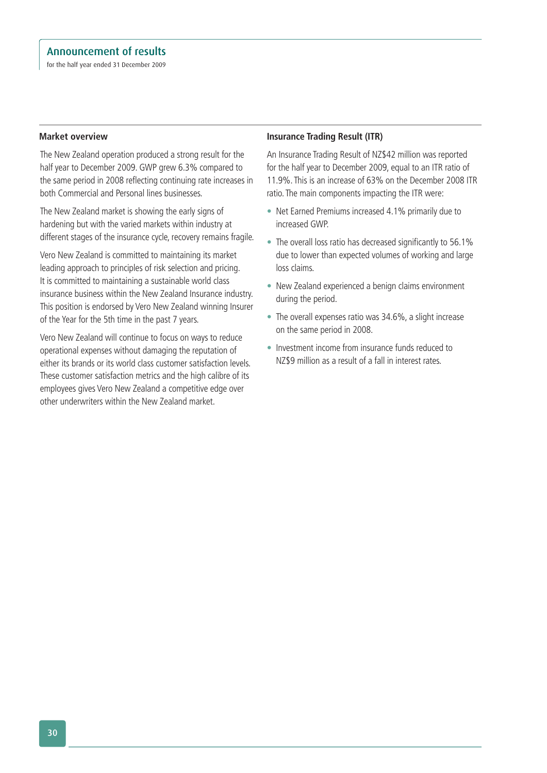for the half year ended 31 December 2009

#### **Market overview**

The New Zealand operation produced a strong result for the half year to December 2009. GWP grew 6.3% compared to the same period in 2008 reflecting continuing rate increases in both Commercial and Personal lines businesses.

The New Zealand market is showing the early signs of hardening but with the varied markets within industry at different stages of the insurance cycle, recovery remains fragile.

Vero New Zealand is committed to maintaining its market leading approach to principles of risk selection and pricing. It is committed to maintaining a sustainable world class insurance business within the New Zealand Insurance industry. This position is endorsed by Vero New Zealand winning Insurer of the Year for the 5th time in the past 7 years.

Vero New Zealand will continue to focus on ways to reduce operational expenses without damaging the reputation of either its brands or its world class customer satisfaction levels. These customer satisfaction metrics and the high calibre of its employees gives Vero New Zealand a competitive edge over other underwriters within the New Zealand market.

#### **Insurance Trading Result (ITR)**

An Insurance Trading Result of NZ\$42 million was reported for the half year to December 2009, equal to an ITR ratio of 11.9%. This is an increase of 63% on the December 2008 ITR ratio. The main components impacting the ITR were:

- Net Earned Premiums increased 4.1% primarily due to increased GWP.
- The overall loss ratio has decreased significantly to 56.1% due to lower than expected volumes of working and large loss claims.
- New Zealand experienced a benign claims environment during the period.
- The overall expenses ratio was 34.6%, a slight increase on the same period in 2008.
- Investment income from insurance funds reduced to NZ\$9 million as a result of a fall in interest rates.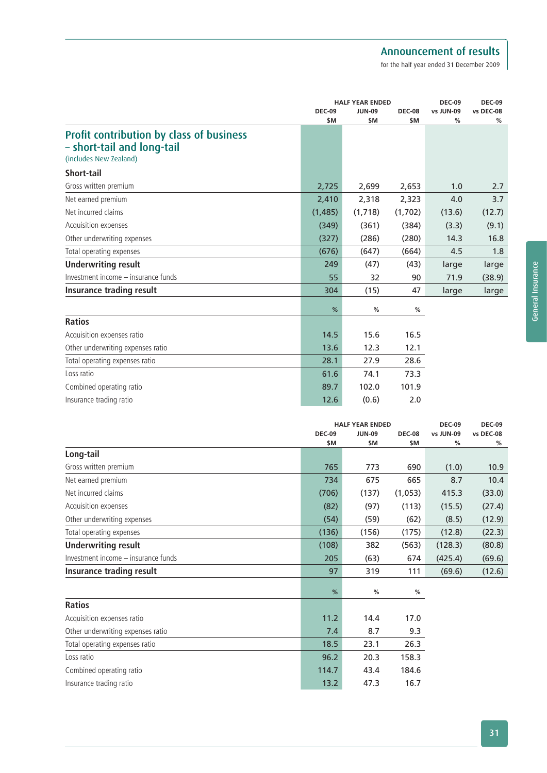for the half year ended 31 December 2009

|                                                                                                  |               | <b>HALF YEAR ENDED</b> |               |           | <b>DEC-09</b> |
|--------------------------------------------------------------------------------------------------|---------------|------------------------|---------------|-----------|---------------|
|                                                                                                  | <b>DEC-09</b> | <b>JUN-09</b>          | <b>DEC-08</b> | vs JUN-09 | vs DEC-08     |
|                                                                                                  | \$M           | \$M                    | \$M           | %         | %             |
| Profit contribution by class of business<br>- short-tail and long-tail<br>(includes New Zealand) |               |                        |               |           |               |
| Short-tail                                                                                       |               |                        |               |           |               |
| Gross written premium                                                                            | 2,725         | 2,699                  | 2,653         | 1.0       | 2.7           |
| Net earned premium                                                                               | 2,410         | 2,318                  | 2,323         | 4.0       | 3.7           |
| Net incurred claims                                                                              | (1,485)       | (1,718)                | (1,702)       | (13.6)    | (12.7)        |
| Acquisition expenses                                                                             | (349)         | (361)                  | (384)         | (3.3)     | (9.1)         |
| Other underwriting expenses                                                                      | (327)         | (286)                  | (280)         | 14.3      | 16.8          |
| Total operating expenses                                                                         | (676)         | (647)                  | (664)         | 4.5       | 1.8           |
| <b>Underwriting result</b>                                                                       | 249           | (47)                   | (43)          | large     | large         |
| Investment income - insurance funds                                                              | 55            | 32                     | 90            | 71.9      | (38.9)        |
| Insurance trading result                                                                         | 304           | (15)                   | 47            | large     | large         |
|                                                                                                  | %             | $\%$                   | %             |           |               |
| <b>Ratios</b>                                                                                    |               |                        |               |           |               |
| Acquisition expenses ratio                                                                       | 14.5          | 15.6                   | 16.5          |           |               |
| Other underwriting expenses ratio                                                                | 13.6          | 12.3                   | 12.1          |           |               |
| Total operating expenses ratio                                                                   | 28.1          | 27.9                   | 28.6          |           |               |
| Loss ratio                                                                                       | 61.6          | 74.1                   | 73.3          |           |               |
| Combined operating ratio                                                                         | 89.7          | 102.0                  | 101.9         |           |               |
| Insurance trading ratio                                                                          | 12.6          | (0.6)                  | 2.0           |           |               |

|                                     | <b>HALF YEAR ENDED</b> |               |               | <b>DEC-09</b> | <b>DEC-09</b> |
|-------------------------------------|------------------------|---------------|---------------|---------------|---------------|
|                                     | <b>DEC-09</b>          | <b>JUN-09</b> | <b>DEC-08</b> | vs JUN-09     | vs DEC-08     |
|                                     | \$M                    | \$M           | \$M           | %             | %             |
| Long-tail                           |                        |               |               |               |               |
| Gross written premium               | 765                    | 773           | 690           | (1.0)         | 10.9          |
| Net earned premium                  | 734                    | 675           | 665           | 8.7           | 10.4          |
| Net incurred claims                 | (706)                  | (137)         | (1,053)       | 415.3         | (33.0)        |
| Acquisition expenses                | (82)                   | (97)          | (113)         | (15.5)        | (27.4)        |
| Other underwriting expenses         | (54)                   | (59)          | (62)          | (8.5)         | (12.9)        |
| Total operating expenses            | (136)                  | (156)         | (175)         | (12.8)        | (22.3)        |
| <b>Underwriting result</b>          | (108)                  | 382           | (563)         | (128.3)       | (80.8)        |
| Investment income - insurance funds | 205                    | (63)          | 674           | (425.4)       | (69.6)        |
| Insurance trading result            | 97                     | 319           | 111           | (69.6)        | (12.6)        |
|                                     |                        |               |               |               |               |
|                                     | %                      | $\%$          | $\%$          |               |               |
| <b>Ratios</b>                       |                        |               |               |               |               |
| Acquisition expenses ratio          | 11.2                   | 14.4          | 17.0          |               |               |
| Other underwriting expenses ratio   | 7.4                    | 8.7           | 9.3           |               |               |
| Total operating expenses ratio      | 18.5                   | 23.1          | 26.3          |               |               |
| Loss ratio                          | 96.2                   | 20.3          | 158.3         |               |               |
| Combined operating ratio            | 114.7                  | 43.4          | 184.6         |               |               |
| Insurance trading ratio             | 13.2                   | 47.3          | 16.7          |               |               |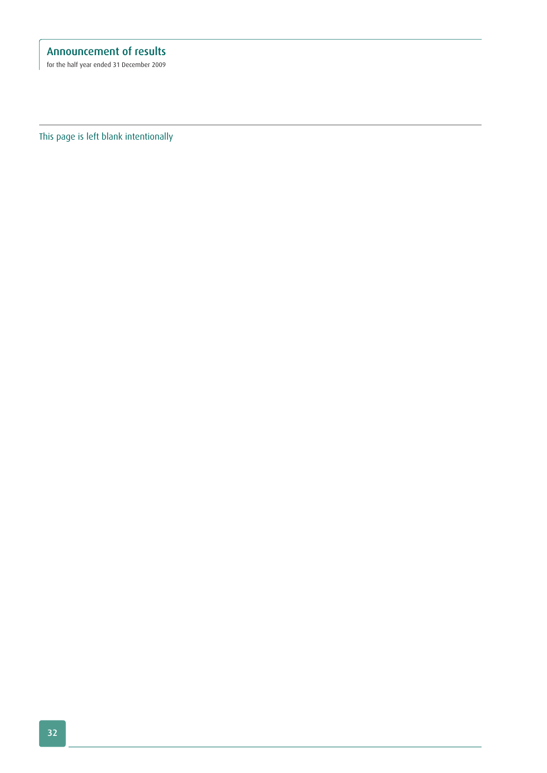for the half year ended 31 December 2009

This page is left blank intentionally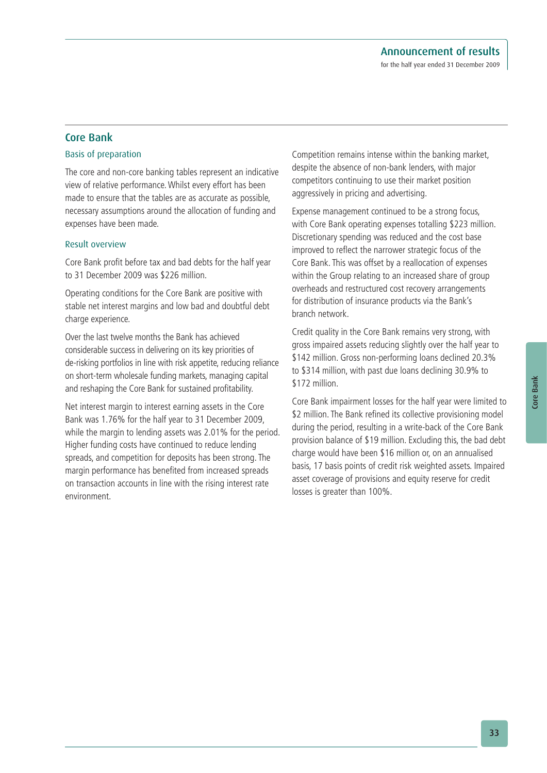#### Core Bank

#### Basis of preparation

The core and non-core banking tables represent an indicative view of relative performance. Whilst every effort has been made to ensure that the tables are as accurate as possible, necessary assumptions around the allocation of funding and expenses have been made.

#### Result overview

Core Bank profit before tax and bad debts for the half year to 31 December 2009 was \$226 million.

Operating conditions for the Core Bank are positive with stable net interest margins and low bad and doubtful debt charge experience.

Over the last twelve months the Bank has achieved considerable success in delivering on its key priorities of de-risking portfolios in line with risk appetite, reducing reliance on short-term wholesale funding markets, managing capital and reshaping the Core Bank for sustained profitability.

Net interest margin to interest earning assets in the Core Bank was 1.76% for the half year to 31 December 2009, while the margin to lending assets was 2.01% for the period. Higher funding costs have continued to reduce lending spreads, and competition for deposits has been strong. The margin performance has benefited from increased spreads on transaction accounts in line with the rising interest rate environment.

Competition remains intense within the banking market, despite the absence of non-bank lenders, with major competitors continuing to use their market position aggressively in pricing and advertising.

Expense management continued to be a strong focus, with Core Bank operating expenses totalling \$223 million. Discretionary spending was reduced and the cost base improved to reflect the narrower strategic focus of the Core Bank. This was offset by a reallocation of expenses within the Group relating to an increased share of group overheads and restructured cost recovery arrangements for distribution of insurance products via the Bank's branch network.

Credit quality in the Core Bank remains very strong, with gross impaired assets reducing slightly over the half year to \$142 million. Gross non-performing loans declined 20.3% to \$314 million, with past due loans declining 30.9% to \$172 million.

Core Bank impairment losses for the half year were limited to \$2 million. The Bank refined its collective provisioning model during the period, resulting in a write-back of the Core Bank provision balance of \$19 million. Excluding this, the bad debt charge would have been \$16 million or, on an annualised basis, 17 basis points of credit risk weighted assets. Impaired asset coverage of provisions and equity reserve for credit losses is greater than 100%.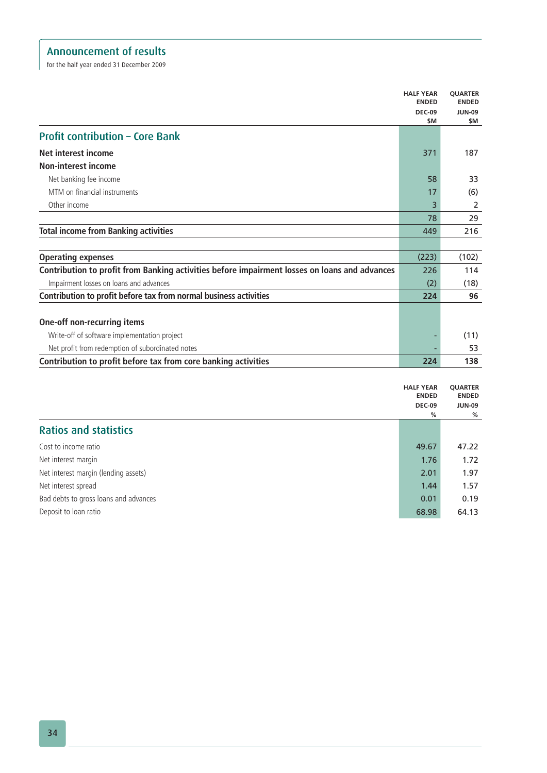for the half year ended 31 December 2009

|                                                                                               | <b>HALF YEAR</b><br><b>ENDED</b> | <b>QUARTER</b><br><b>ENDED</b> |
|-----------------------------------------------------------------------------------------------|----------------------------------|--------------------------------|
|                                                                                               | <b>DEC-09</b><br>\$M             | <b>JUN-09</b><br>SM.           |
| <b>Profit contribution - Core Bank</b>                                                        |                                  |                                |
| Net interest income                                                                           | 371                              | 187                            |
| <b>Non-interest income</b>                                                                    |                                  |                                |
| Net banking fee income                                                                        | 58                               | 33                             |
| MTM on financial instruments                                                                  | 17                               | (6)                            |
| Other income                                                                                  | 3                                | 2                              |
|                                                                                               | 78                               | 29                             |
| <b>Total income from Banking activities</b>                                                   | 449                              | 216                            |
|                                                                                               |                                  |                                |
| <b>Operating expenses</b>                                                                     | (223)                            | (102)                          |
| Contribution to profit from Banking activities before impairment losses on loans and advances | 226                              | 114                            |
| Impairment losses on loans and advances                                                       | (2)                              | (18)                           |
| Contribution to profit before tax from normal business activities                             | 224                              | 96                             |
|                                                                                               |                                  |                                |
| <b>One-off non-recurring items</b>                                                            |                                  |                                |
| Write-off of software implementation project                                                  |                                  | (11)                           |
| Net profit from redemption of subordinated notes                                              |                                  | 53                             |
| Contribution to profit before tax from core banking activities                                | 224                              | 138                            |

|                                       | <b>HALF YEAR</b><br><b>ENDED</b> | <b>QUARTER</b><br><b>ENDED</b> |
|---------------------------------------|----------------------------------|--------------------------------|
|                                       | <b>DEC-09</b>                    | <b>JUN-09</b>                  |
|                                       | %                                | %                              |
| <b>Ratios and statistics</b>          |                                  |                                |
| Cost to income ratio                  | 49.67                            | 47.22                          |
| Net interest margin                   | 1.76                             | 1.72                           |
| Net interest margin (lending assets)  | 2.01                             | 1.97                           |
| Net interest spread                   | 1.44                             | 1.57                           |
| Bad debts to gross loans and advances | 0.01                             | 0.19                           |
| Deposit to loan ratio                 | 68.98                            | 64.13                          |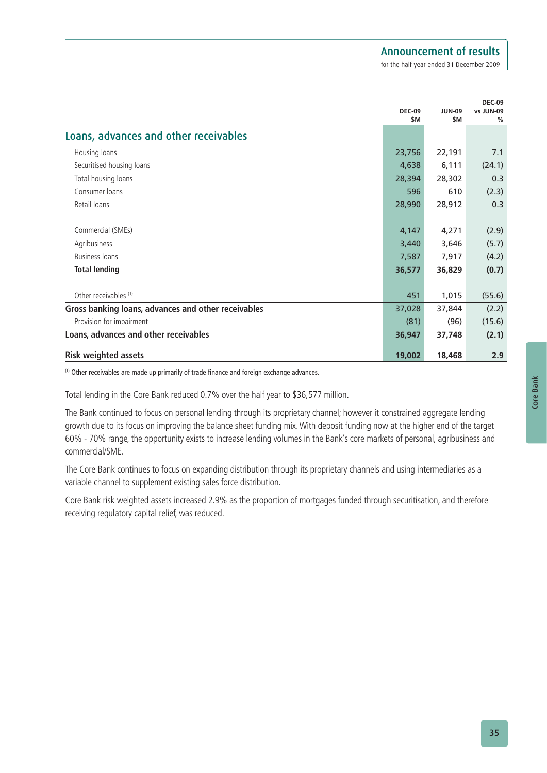for the half year ended 31 December 2009

|                                                     |                      |                      | <b>DEC-09</b>  |
|-----------------------------------------------------|----------------------|----------------------|----------------|
|                                                     | <b>DEC-09</b><br>\$M | <b>JUN-09</b><br>\$M | vs JUN-09<br>% |
| Loans, advances and other receivables               |                      |                      |                |
| Housing loans                                       | 23,756               | 22,191               | 7.1            |
| Securitised housing loans                           | 4,638                | 6,111                | (24.1)         |
| Total housing loans                                 | 28,394               | 28,302               | 0.3            |
| Consumer loans                                      | 596                  | 610                  | (2.3)          |
| Retail loans                                        | 28,990               | 28,912               | 0.3            |
|                                                     |                      |                      |                |
| Commercial (SMEs)                                   | 4,147                | 4,271                | (2.9)          |
| Agribusiness                                        | 3,440                | 3,646                | (5.7)          |
| <b>Business loans</b>                               | 7,587                | 7,917                | (4.2)          |
| <b>Total lending</b>                                | 36,577               | 36,829               | (0.7)          |
| Other receivables <sup>(1)</sup>                    | 451                  | 1,015                | (55.6)         |
| Gross banking loans, advances and other receivables | 37,028               | 37,844               | (2.2)          |
| Provision for impairment                            | (81)                 | (96)                 | (15.6)         |
| Loans, advances and other receivables               | 36,947               | 37,748               | (2.1)          |
| <b>Risk weighted assets</b>                         | 19,002               | 18,468               | 2.9            |

 $(1)$  Other receivables are made up primarily of trade finance and foreign exchange advances.

Total lending in the Core Bank reduced 0.7% over the half year to \$36,577 million.

The Bank continued to focus on personal lending through its proprietary channel; however it constrained aggregate lending growth due to its focus on improving the balance sheet funding mix. With deposit funding now at the higher end of the target 60% - 70% range, the opportunity exists to increase lending volumes in the Bank's core markets of personal, agribusiness and commercial/SME.

The Core Bank continues to focus on expanding distribution through its proprietary channels and using intermediaries as a variable channel to supplement existing sales force distribution.

Core Bank risk weighted assets increased 2.9% as the proportion of mortgages funded through securitisation, and therefore receiving regulatory capital relief, was reduced.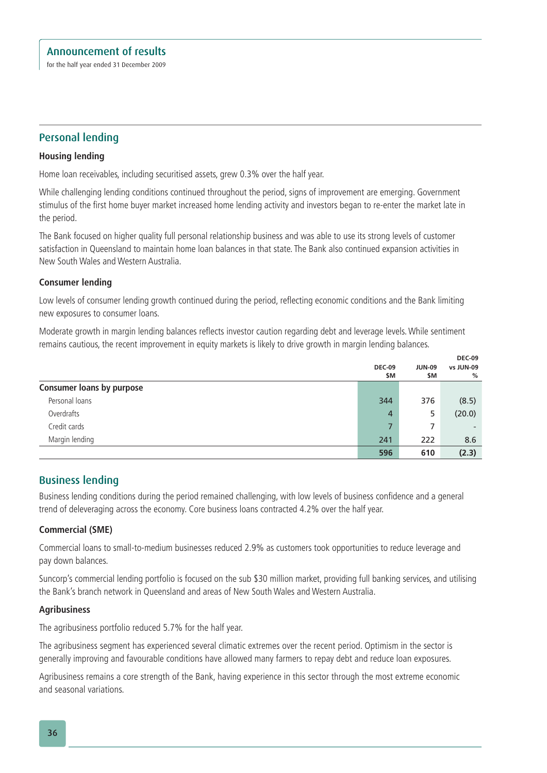#### Personal lending

#### **Housing lending**

Home loan receivables, including securitised assets, grew 0.3% over the half year.

While challenging lending conditions continued throughout the period, signs of improvement are emerging. Government stimulus of the first home buyer market increased home lending activity and investors began to re-enter the market late in the period.

The Bank focused on higher quality full personal relationship business and was able to use its strong levels of customer satisfaction in Queensland to maintain home loan balances in that state. The Bank also continued expansion activities in New South Wales and Western Australia.

#### **Consumer lending**

Low levels of consumer lending growth continued during the period, reflecting economic conditions and the Bank limiting new exposures to consumer loans.

Moderate growth in margin lending balances reflects investor caution regarding debt and leverage levels. While sentiment remains cautious, the recent improvement in equity markets is likely to drive growth in margin lending balances.

|                                  |                      |               | <b>DEC-09</b>  |
|----------------------------------|----------------------|---------------|----------------|
|                                  | <b>DEC-09</b><br>\$M | JUN-09<br>\$M | vs JUN-09<br>% |
|                                  |                      |               |                |
| <b>Consumer loans by purpose</b> |                      |               |                |
| Personal loans                   | 344                  | 376           | (8.5)          |
| Overdrafts                       | 4                    | 5             | (20.0)         |
| Credit cards                     | 7                    |               |                |
| Margin lending                   | 241                  | 222           | 8.6            |
|                                  | 596                  | 610           | (2.3)          |

#### Business lending

Business lending conditions during the period remained challenging, with low levels of business confidence and a general trend of deleveraging across the economy. Core business loans contracted 4.2% over the half year.

#### **Commercial (SME)**

Commercial loans to small-to-medium businesses reduced 2.9% as customers took opportunities to reduce leverage and pay down balances.

Suncorp's commercial lending portfolio is focused on the sub \$30 million market, providing full banking services, and utilising the Bank's branch network in Queensland and areas of New South Wales and Western Australia.

#### **Agribusiness**

The agribusiness portfolio reduced 5.7% for the half year.

The agribusiness segment has experienced several climatic extremes over the recent period. Optimism in the sector is generally improving and favourable conditions have allowed many farmers to repay debt and reduce loan exposures.

Agribusiness remains a core strength of the Bank, having experience in this sector through the most extreme economic and seasonal variations.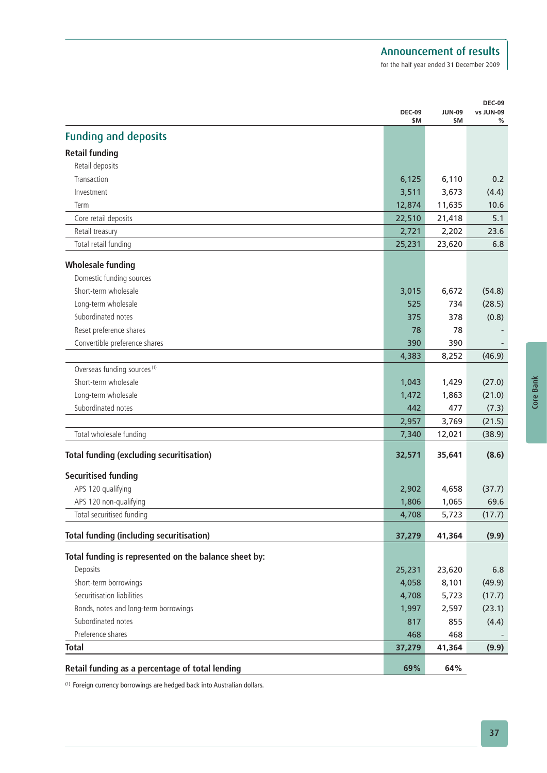for the half year ended 31 December 2009

|                                                       | <b>DEC-09</b><br>\$M | <b>JUN-09</b><br>\$M | <b>DEC-09</b><br>vs JUN-09<br>% |
|-------------------------------------------------------|----------------------|----------------------|---------------------------------|
| <b>Funding and deposits</b>                           |                      |                      |                                 |
| <b>Retail funding</b>                                 |                      |                      |                                 |
| Retail deposits                                       |                      |                      |                                 |
| Transaction                                           | 6,125                | 6,110                | 0.2                             |
| Investment                                            | 3,511                | 3,673                | (4.4)                           |
| Term                                                  | 12,874               | 11,635               | 10.6                            |
| Core retail deposits                                  | 22,510               | 21,418               | 5.1                             |
| Retail treasury                                       | 2,721                | 2,202                | 23.6                            |
| Total retail funding                                  | 25,231               | 23,620               | 6.8                             |
| <b>Wholesale funding</b>                              |                      |                      |                                 |
| Domestic funding sources                              |                      |                      |                                 |
| Short-term wholesale                                  | 3,015                | 6,672                | (54.8)                          |
| Long-term wholesale                                   | 525                  | 734                  | (28.5)                          |
| Subordinated notes                                    | 375                  | 378                  | (0.8)                           |
| Reset preference shares                               | 78                   | 78                   |                                 |
| Convertible preference shares                         | 390                  | 390                  |                                 |
|                                                       | 4,383                | 8,252                | (46.9)                          |
| Overseas funding sources <sup>(1)</sup>               |                      |                      |                                 |
| Short-term wholesale                                  | 1,043                | 1,429                | (27.0)                          |
| Long-term wholesale                                   | 1,472                | 1,863                | (21.0)                          |
| Subordinated notes                                    | 442                  | 477                  | (7.3)                           |
|                                                       | 2,957                | 3,769                | (21.5)                          |
| Total wholesale funding                               | 7,340                | 12,021               | (38.9)                          |
| <b>Total funding (excluding securitisation)</b>       | 32,571               | 35,641               | (8.6)                           |
| <b>Securitised funding</b>                            |                      |                      |                                 |
| APS 120 qualifying                                    | 2,902                | 4,658                | (37.7)                          |
| APS 120 non-qualifying                                | 1,806                | 1,065                | 69.6                            |
| Total securitised funding                             | 4,708                | 5,723                | (17.7)                          |
| <b>Total funding (including securitisation)</b>       | 37,279               | 41,364               | (9.9)                           |
| Total funding is represented on the balance sheet by: |                      |                      |                                 |
| Deposits                                              | 25,231               | 23,620               | 6.8                             |
| Short-term borrowings                                 | 4,058                | 8,101                | (49.9)                          |
| Securitisation liabilities                            | 4,708                | 5,723                | (17.7)                          |
| Bonds, notes and long-term borrowings                 | 1,997                | 2,597                | (23.1)                          |
| Subordinated notes                                    | 817                  | 855                  | (4.4)                           |
| Preference shares                                     | 468                  | 468                  |                                 |
| <b>Total</b>                                          | 37,279               | 41,364               | (9.9)                           |
| Retail funding as a percentage of total lending       | 69%                  | 64%                  |                                 |

 $(1)$  Foreign currency borrowings are hedged back into Australian dollars.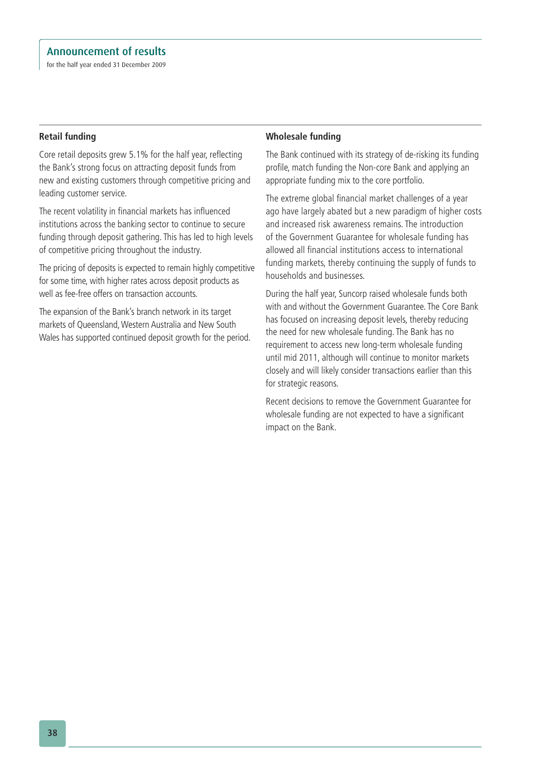for the half year ended 31 December 2009

#### **Retail funding**

Core retail deposits grew 5.1% for the half year, reflecting the Bank's strong focus on attracting deposit funds from new and existing customers through competitive pricing and leading customer service.

The recent volatility in financial markets has influenced institutions across the banking sector to continue to secure funding through deposit gathering. This has led to high levels of competitive pricing throughout the industry.

The pricing of deposits is expected to remain highly competitive for some time, with higher rates across deposit products as well as fee-free offers on transaction accounts.

The expansion of the Bank's branch network in its target markets of Queensland, Western Australia and New South Wales has supported continued deposit growth for the period.

#### **Wholesale funding**

The Bank continued with its strategy of de-risking its funding profile, match funding the Non-core Bank and applying an appropriate funding mix to the core portfolio.

The extreme global financial market challenges of a year ago have largely abated but a new paradigm of higher costs and increased risk awareness remains. The introduction of the Government Guarantee for wholesale funding has allowed all financial institutions access to international funding markets, thereby continuing the supply of funds to households and businesses.

During the half year, Suncorp raised wholesale funds both with and without the Government Guarantee. The Core Bank has focused on increasing deposit levels, thereby reducing the need for new wholesale funding. The Bank has no requirement to access new long-term wholesale funding until mid 2011, although will continue to monitor markets closely and will likely consider transactions earlier than this for strategic reasons.

Recent decisions to remove the Government Guarantee for wholesale funding are not expected to have a significant impact on the Bank.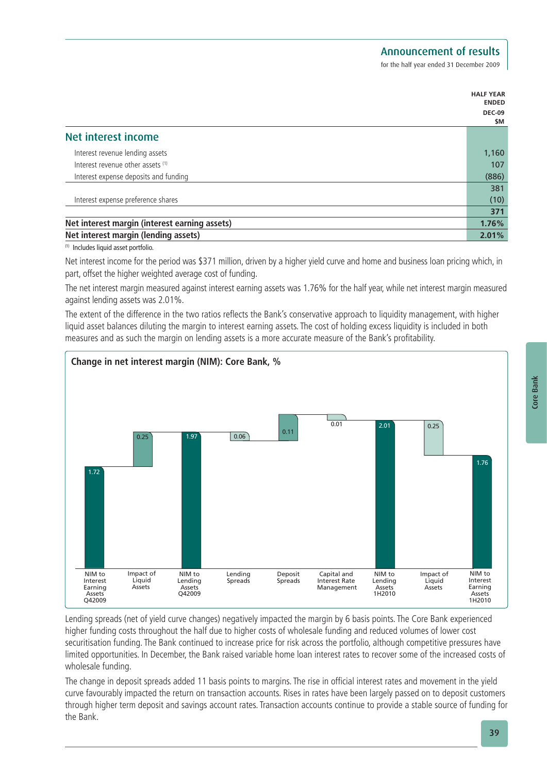for the half year ended 31 December 2009

|                                               | <b>HALF YEAR</b><br><b>ENDED</b> |
|-----------------------------------------------|----------------------------------|
|                                               | <b>DEC-09</b>                    |
|                                               | \$M                              |
| Net interest income                           |                                  |
| Interest revenue lending assets               | 1,160                            |
| Interest revenue other assets (1)             | 107                              |
| Interest expense deposits and funding         | (886)                            |
|                                               | 381                              |
| Interest expense preference shares            | (10)                             |
|                                               | 371                              |
| Net interest margin (interest earning assets) | 1.76%                            |
| Net interest margin (lending assets)          | 2.01%                            |

(1) Includes liquid asset portfolio.

Net interest income for the period was \$371 million, driven by a higher yield curve and home and business loan pricing which, in part, offset the higher weighted average cost of funding.

The net interest margin measured against interest earning assets was 1.76% for the half year, while net interest margin measured against lending assets was 2.01%.

The extent of the difference in the two ratios reflects the Bank's conservative approach to liquidity management, with higher liquid asset balances diluting the margin to interest earning assets. The cost of holding excess liquidity is included in both measures and as such the margin on lending assets is a more accurate measure of the Bank's profitability.



Lending spreads (net of yield curve changes) negatively impacted the margin by 6 basis points. The Core Bank experienced higher funding costs throughout the half due to higher costs of wholesale funding and reduced volumes of lower cost securitisation funding. The Bank continued to increase price for risk across the portfolio, although competitive pressures have limited opportunities. In December, the Bank raised variable home loan interest rates to recover some of the increased costs of wholesale funding.

The change in deposit spreads added 11 basis points to margins. The rise in official interest rates and movement in the yield curve favourably impacted the return on transaction accounts. Rises in rates have been largely passed on to deposit customers through higher term deposit and savings account rates. Transaction accounts continue to provide a stable source of funding for the Bank.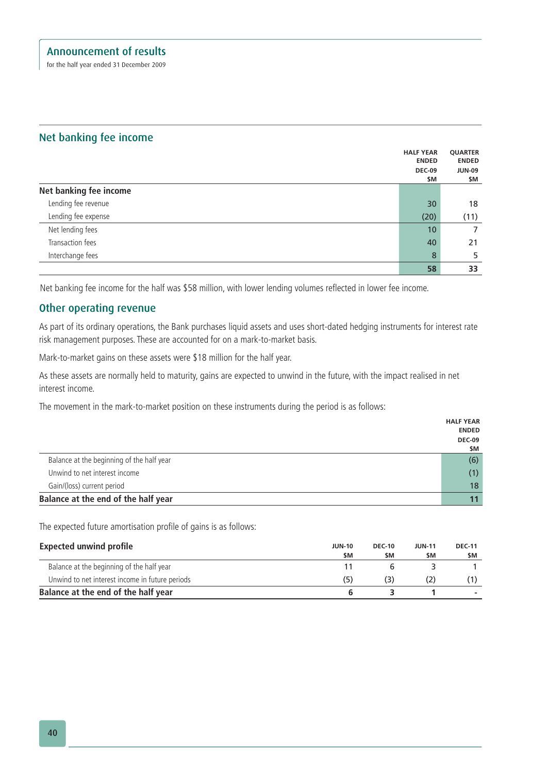for the half year ended 31 December 2009

### Net banking fee income

|                        | <b>HALF YEAR</b><br><b>ENDED</b> | <b>QUARTER</b><br><b>ENDED</b> |
|------------------------|----------------------------------|--------------------------------|
|                        | <b>DEC-09</b>                    | <b>JUN-09</b>                  |
|                        | \$M                              | \$M                            |
| Net banking fee income |                                  |                                |
| Lending fee revenue    | 30                               | 18                             |
| Lending fee expense    | (20)                             | (11)                           |
| Net lending fees       | 10                               | 7                              |
| Transaction fees       | 40                               | 21                             |
| Interchange fees       | 8                                | 5                              |
|                        | 58                               | 33                             |

Net banking fee income for the half was \$58 million, with lower lending volumes reflected in lower fee income.

## Other operating revenue

As part of its ordinary operations, the Bank purchases liquid assets and uses short-dated hedging instruments for interest rate risk management purposes. These are accounted for on a mark-to-market basis.

Mark-to-market gains on these assets were \$18 million for the half year.

As these assets are normally held to maturity, gains are expected to unwind in the future, with the impact realised in net interest income.

The movement in the mark-to-market position on these instruments during the period is as follows:

|                                           | <b>HALF YEAR</b> |
|-------------------------------------------|------------------|
|                                           | <b>ENDED</b>     |
|                                           | <b>DEC-09</b>    |
|                                           | \$M              |
| Balance at the beginning of the half year | (6)              |
| Unwind to net interest income             | (1)              |
| Gain/(loss) current period                | 18               |
| Balance at the end of the half year       | 11               |

The expected future amortisation profile of gains is as follows:

| <b>Expected unwind profile</b>                  | <b>JUN-10</b> | <b>DEC-10</b> | <b>JUN-11</b> | <b>DEC-11</b> |
|-------------------------------------------------|---------------|---------------|---------------|---------------|
|                                                 | <b>SM</b>     | SΜ            | \$M           | \$M           |
| Balance at the beginning of the half year       |               |               |               |               |
| Unwind to net interest income in future periods | (5)           |               |               |               |
| Balance at the end of the half year             |               |               |               |               |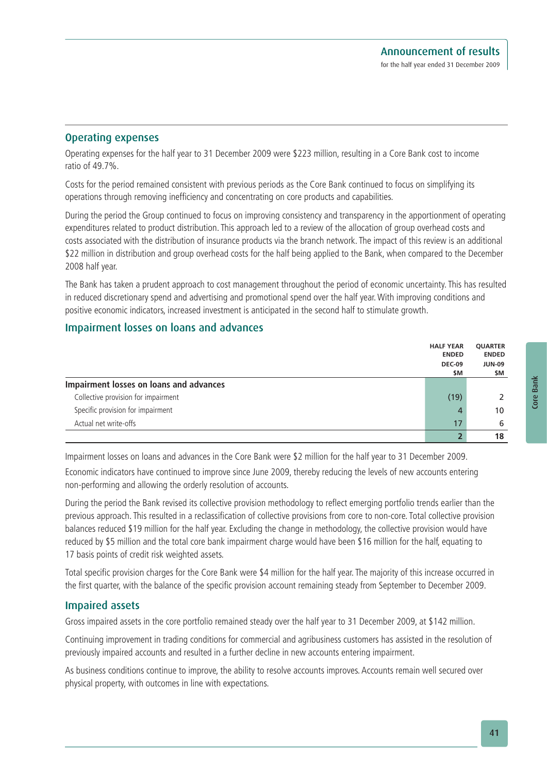### Operating expenses

Operating expenses for the half year to 31 December 2009 were \$223 million, resulting in a Core Bank cost to income ratio of 49.7%.

Costs for the period remained consistent with previous periods as the Core Bank continued to focus on simplifying its operations through removing inefficiency and concentrating on core products and capabilities.

During the period the Group continued to focus on improving consistency and transparency in the apportionment of operating expenditures related to product distribution. This approach led to a review of the allocation of group overhead costs and costs associated with the distribution of insurance products via the branch network. The impact of this review is an additional \$22 million in distribution and group overhead costs for the half being applied to the Bank, when compared to the December 2008 half year.

The Bank has taken a prudent approach to cost management throughout the period of economic uncertainty. This has resulted in reduced discretionary spend and advertising and promotional spend over the half year. With improving conditions and positive economic indicators, increased investment is anticipated in the second half to stimulate growth.

### Impairment losses on loans and advances

|                                         | <b>HALF YEAR</b><br><b>ENDED</b> | <b>QUARTER</b><br><b>ENDED</b> |
|-----------------------------------------|----------------------------------|--------------------------------|
|                                         | <b>DEC-09</b>                    | <b>JUN-09</b>                  |
|                                         | \$M                              | \$M                            |
| Impairment losses on loans and advances |                                  |                                |
| Collective provision for impairment     | (19)                             |                                |
| Specific provision for impairment       | 4                                | 10                             |
| Actual net write-offs                   | 17                               | 6                              |
|                                         |                                  | 18                             |

Impairment losses on loans and advances in the Core Bank were \$2 million for the half year to 31 December 2009.

Economic indicators have continued to improve since June 2009, thereby reducing the levels of new accounts entering non-performing and allowing the orderly resolution of accounts.

During the period the Bank revised its collective provision methodology to reflect emerging portfolio trends earlier than the previous approach. This resulted in a reclassification of collective provisions from core to non-core. Total collective provision balances reduced \$19 million for the half year. Excluding the change in methodology, the collective provision would have reduced by \$5 million and the total core bank impairment charge would have been \$16 million for the half, equating to 17 basis points of credit risk weighted assets.

Total specific provision charges for the Core Bank were \$4 million for the half year. The majority of this increase occurred in the first quarter, with the balance of the specific provision account remaining steady from September to December 2009.

#### Impaired assets

Gross impaired assets in the core portfolio remained steady over the half year to 31 December 2009, at \$142 million.

Continuing improvement in trading conditions for commercial and agribusiness customers has assisted in the resolution of previously impaired accounts and resulted in a further decline in new accounts entering impairment.

As business conditions continue to improve, the ability to resolve accounts improves. Accounts remain well secured over physical property, with outcomes in line with expectations.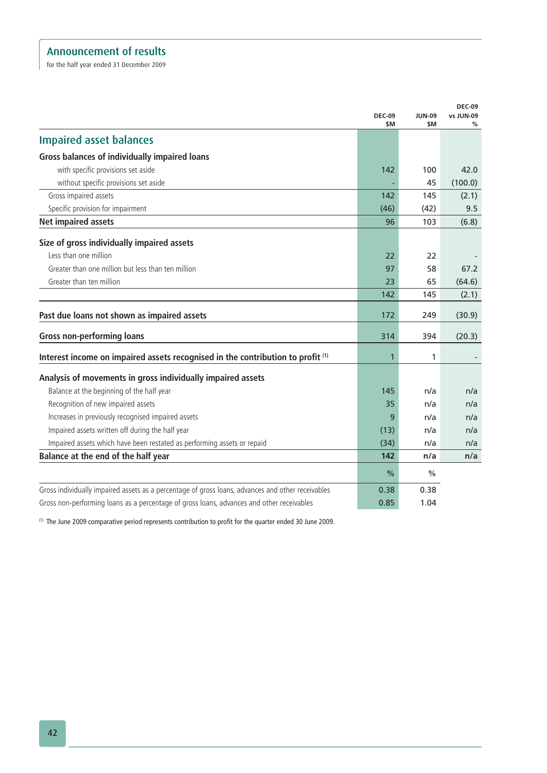for the half year ended 31 December 2009

|                                                                                                   |                      |                      | <b>DEC-09</b>     |
|---------------------------------------------------------------------------------------------------|----------------------|----------------------|-------------------|
|                                                                                                   | <b>DEC-09</b><br>\$M | <b>JUN-09</b><br>\$M | vs JUN-09<br>$\%$ |
| <b>Impaired asset balances</b>                                                                    |                      |                      |                   |
| <b>Gross balances of individually impaired loans</b>                                              |                      |                      |                   |
| with specific provisions set aside                                                                | 142                  | 100                  | 42.0              |
| without specific provisions set aside                                                             |                      | 45                   | (100.0)           |
| Gross impaired assets                                                                             | 142                  | 145                  | (2.1)             |
| Specific provision for impairment                                                                 | (46)                 | (42)                 | 9.5               |
| <b>Net impaired assets</b>                                                                        | 96                   | 103                  | (6.8)             |
| Size of gross individually impaired assets                                                        |                      |                      |                   |
| Less than one million                                                                             | 22                   | 22                   |                   |
| Greater than one million but less than ten million                                                | 97                   | 58                   | 67.2              |
| Greater than ten million                                                                          | 23                   | 65                   | (64.6)            |
|                                                                                                   | 142                  | 145                  | (2.1)             |
| Past due loans not shown as impaired assets                                                       | 172                  | 249                  | (30.9)            |
| <b>Gross non-performing loans</b>                                                                 | 314                  | 394                  | (20.3)            |
| Interest income on impaired assets recognised in the contribution to profit (1)                   | $\mathbf{1}$         | 1                    |                   |
| Analysis of movements in gross individually impaired assets                                       |                      |                      |                   |
| Balance at the beginning of the half year                                                         | 145                  | n/a                  | n/a               |
| Recognition of new impaired assets                                                                | 35                   | n/a                  | n/a               |
| Increases in previously recognised impaired assets                                                |                      | n/a                  | n/a               |
| Impaired assets written off during the half year                                                  | (13)                 | n/a                  | n/a               |
| Impaired assets which have been restated as performing assets or repaid                           | (34)                 | n/a                  | n/a               |
| Balance at the end of the half year                                                               | 142                  | n/a                  | n/a               |
|                                                                                                   | $\frac{0}{0}$        | $\frac{0}{0}$        |                   |
| Gross individually impaired assets as a percentage of gross loans, advances and other receivables | 0.38                 | 0.38                 |                   |
| Gross non-performing loans as a percentage of gross loans, advances and other receivables         | 0.85                 | 1.04                 |                   |

(1) The June 2009 comparative period represents contribution to profit for the quarter ended 30 June 2009.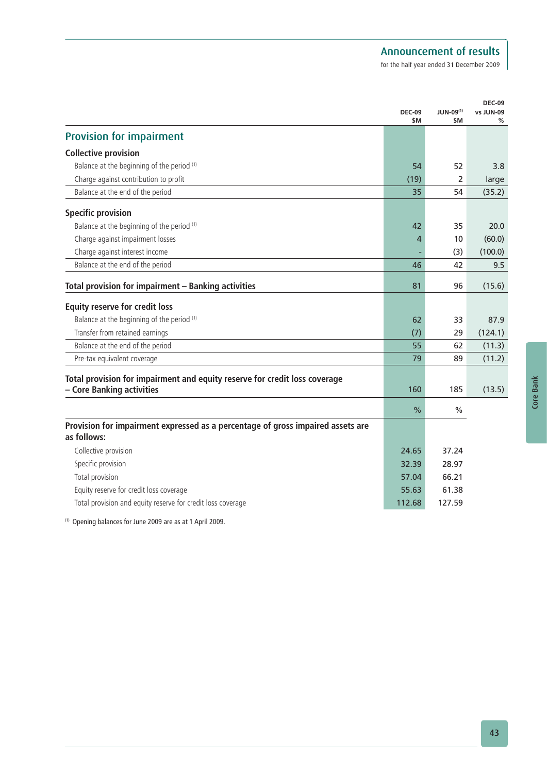for the half year ended 31 December 2009

|                                                                                                | <b>DEC-09</b><br>\$M | <b>JUN-09(1)</b><br>\$M | <b>DEC-09</b><br>vs JUN-09<br>% |
|------------------------------------------------------------------------------------------------|----------------------|-------------------------|---------------------------------|
| <b>Provision for impairment</b>                                                                |                      |                         |                                 |
| <b>Collective provision</b>                                                                    |                      |                         |                                 |
| Balance at the beginning of the period (1)                                                     | 54                   | 52                      | 3.8                             |
| Charge against contribution to profit                                                          | (19)                 | 2                       | large                           |
| Balance at the end of the period                                                               | 35                   | 54                      | (35.2)                          |
| <b>Specific provision</b>                                                                      |                      |                         |                                 |
| Balance at the beginning of the period (1)                                                     | 42                   | 35                      | 20.0                            |
| Charge against impairment losses                                                               | $\overline{4}$       | 10                      | (60.0)                          |
| Charge against interest income                                                                 |                      | (3)                     | (100.0)                         |
| Balance at the end of the period                                                               | 46                   | 42                      | 9.5                             |
| Total provision for impairment - Banking activities                                            | 81                   | 96                      | (15.6)                          |
| <b>Equity reserve for credit loss</b>                                                          |                      |                         |                                 |
| Balance at the beginning of the period (1)                                                     | 62                   | 33                      | 87.9                            |
| Transfer from retained earnings                                                                | (7)                  | 29                      | (124.1)                         |
| Balance at the end of the period                                                               | 55                   | 62                      | (11.3)                          |
| Pre-tax equivalent coverage                                                                    | 79                   | 89                      | (11.2)                          |
| Total provision for impairment and equity reserve for credit loss coverage                     |                      |                         |                                 |
| - Core Banking activities                                                                      | 160                  | 185                     | (13.5)                          |
|                                                                                                | $\frac{0}{0}$        | $\frac{0}{0}$           |                                 |
| Provision for impairment expressed as a percentage of gross impaired assets are<br>as follows: |                      |                         |                                 |
| Collective provision                                                                           | 24.65                | 37.24                   |                                 |
| Specific provision                                                                             | 32.39                | 28.97                   |                                 |
| Total provision                                                                                | 57.04                | 66.21                   |                                 |
| Equity reserve for credit loss coverage                                                        | 55.63                | 61.38                   |                                 |
| Total provision and equity reserve for credit loss coverage                                    | 112.68               | 127.59                  |                                 |

 $(1)$  Opening balances for June 2009 are as at 1 April 2009.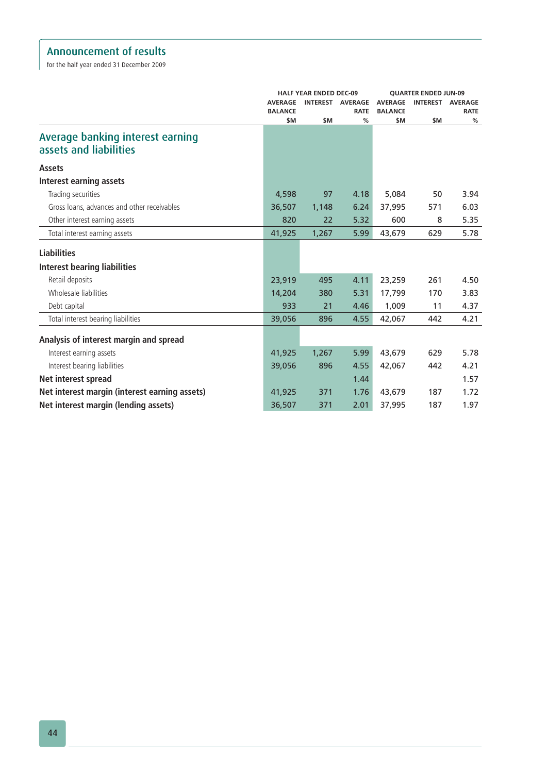for the half year ended 31 December 2009

|                                                            | <b>HALF YEAR ENDED DEC-09</b> |                 | <b>QUARTER ENDED JUN-09</b> |                       |                 |                  |
|------------------------------------------------------------|-------------------------------|-----------------|-----------------------------|-----------------------|-----------------|------------------|
|                                                            | <b>AVERAGE</b>                | <b>INTEREST</b> | <b>AVERAGE</b>              | <b>AVERAGE</b>        | <b>INTEREST</b> | <b>AVERAGE</b>   |
|                                                            | <b>BALANCE</b><br>\$M         | \$M             | <b>RATE</b><br>%            | <b>BALANCE</b><br>\$M | \$M             | <b>RATE</b><br>% |
| Average banking interest earning<br>assets and liabilities |                               |                 |                             |                       |                 |                  |
| <b>Assets</b>                                              |                               |                 |                             |                       |                 |                  |
| Interest earning assets                                    |                               |                 |                             |                       |                 |                  |
| Trading securities                                         | 4,598                         | 97              | 4.18                        | 5,084                 | 50              | 3.94             |
| Gross loans, advances and other receivables                | 36,507                        | 1,148           | 6.24                        | 37,995                | 571             | 6.03             |
| Other interest earning assets                              | 820                           | 22              | 5.32                        | 600                   | 8               | 5.35             |
| Total interest earning assets                              | 41,925                        | 1,267           | 5.99                        | 43,679                | 629             | 5.78             |
| <b>Liabilities</b>                                         |                               |                 |                             |                       |                 |                  |
| <b>Interest bearing liabilities</b>                        |                               |                 |                             |                       |                 |                  |
| Retail deposits                                            | 23,919                        | 495             | 4.11                        | 23,259                | 261             | 4.50             |
| Wholesale liabilities                                      | 14,204                        | 380             | 5.31                        | 17,799                | 170             | 3.83             |
| Debt capital                                               | 933                           | 21              | 4.46                        | 1,009                 | 11              | 4.37             |
| Total interest bearing liabilities                         | 39,056                        | 896             | 4.55                        | 42,067                | 442             | 4.21             |
| Analysis of interest margin and spread                     |                               |                 |                             |                       |                 |                  |
| Interest earning assets                                    | 41,925                        | 1,267           | 5.99                        | 43,679                | 629             | 5.78             |
| Interest bearing liabilities                               | 39,056                        | 896             | 4.55                        | 42,067                | 442             | 4.21             |
| Net interest spread                                        |                               |                 | 1.44                        |                       |                 | 1.57             |
| Net interest margin (interest earning assets)              | 41,925                        | 371             | 1.76                        | 43,679                | 187             | 1.72             |
| Net interest margin (lending assets)                       | 36,507                        | 371             | 2.01                        | 37,995                | 187             | 1.97             |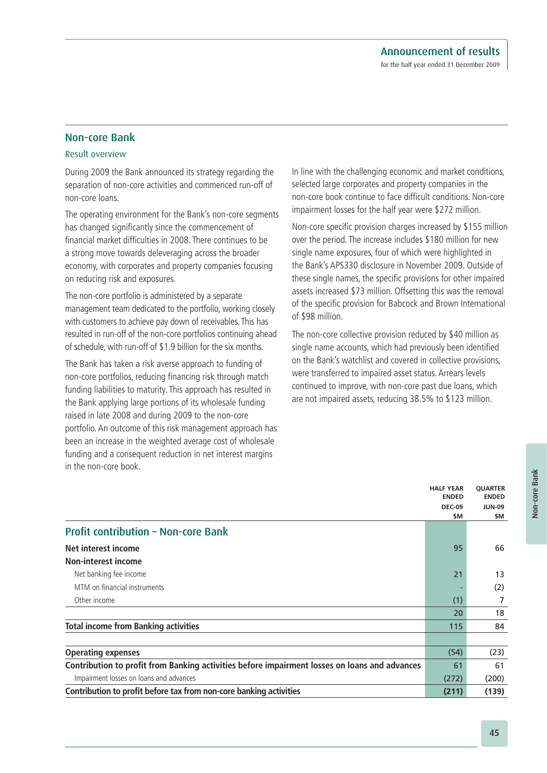### Non-core Bank

#### Result overview

During 2009 the Bank announced its strategy regarding the separation of non-core activities and commenced run-off of non-core loans.

The operating environment for the Bank's non-core segments has changed significantly since the commencement of financial market difficulties in 2008. There continues to be a strong move towards deleveraging across the broader economy, with corporates and property companies focusing on reducing risk and exposures.

The non-core portfolio is administered by a separate management team dedicated to the portfolio, working closely with customers to achieve pay down of receivables. This has resulted in run-off of the non-core portfolios continuing ahead of schedule, with run-off of \$1.9 billion for the six months.

The Bank has taken a risk averse approach to funding of non-core portfolios, reducing financing risk through match funding liabilities to maturity. This approach has resulted in the Bank applying large portions of its wholesale funding raised in late 2008 and during 2009 to the non-core portfolio. An outcome of this risk management approach has been an increase in the weighted average cost of wholesale funding and a consequent reduction in net interest margins in the non-core book.

In line with the challenging economic and market conditions, selected large corporates and property companies in the non-core book continue to face difficult conditions. Non-core impairment losses for the half year were \$272 million.

Non-core specific provision charges increased by \$155 million over the period. The increase includes \$180 million for new single name exposures, four of which were highlighted in the Bank's APS330 disclosure in November 2009. Outside of these single names, the specific provisions for other impaired assets increased \$73 million. Offsetting this was the removal of the specific provision for Babcock and Brown International of \$98 million.

The non-core collective provision reduced by \$40 million as single name accounts, which had previously been identified on the Bank's watchlist and covered in collective provisions, were transferred to impaired asset status. Arrears levels continued to improve, with non-core past due loans, which are not impaired assets, reducing 38.5% to \$123 million.

|                                                                                               | <b>HALF YEAR</b><br><b>ENDED</b> | <b>QUARTER</b><br><b>ENDED</b> |
|-----------------------------------------------------------------------------------------------|----------------------------------|--------------------------------|
|                                                                                               | <b>DEC-09</b><br>\$M             | <b>JUN-09</b><br>\$M           |
| <b>Profit contribution - Non-core Bank</b>                                                    |                                  |                                |
| Net interest income                                                                           | 95                               | 66                             |
| <b>Non-interest income</b>                                                                    |                                  |                                |
| Net banking fee income                                                                        | 21                               | 13                             |
| MTM on financial instruments                                                                  |                                  | (2)                            |
| Other income                                                                                  | (1)                              |                                |
|                                                                                               | 20                               | 18                             |
| <b>Total income from Banking activities</b>                                                   | 115                              | 84                             |
|                                                                                               |                                  |                                |
| <b>Operating expenses</b>                                                                     | (54)                             | (23)                           |
| Contribution to profit from Banking activities before impairment losses on loans and advances | 61                               | 61                             |
| Impairment losses on loans and advances                                                       | (272)                            | (200)                          |
| Contribution to profit before tax from non-core banking activities                            | (211)                            | (139)                          |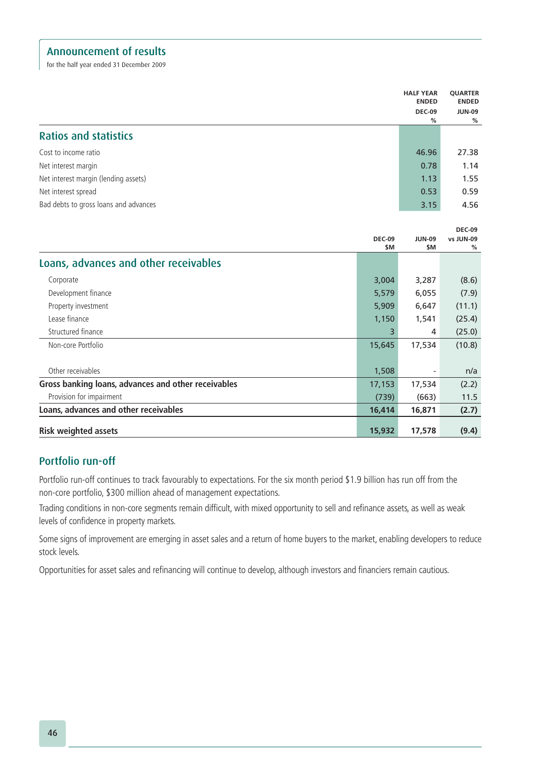for the half year ended 31 December 2009

|                                       | <b>HALF YEAR</b><br><b>ENDED</b><br><b>DEC-09</b><br>% | <b>QUARTER</b><br><b>ENDED</b><br><b>JUN-09</b><br>% |
|---------------------------------------|--------------------------------------------------------|------------------------------------------------------|
| <b>Ratios and statistics</b>          |                                                        |                                                      |
| Cost to income ratio                  | 46.96                                                  | 27.38                                                |
| Net interest margin                   | 0.78                                                   | 1.14                                                 |
| Net interest margin (lending assets)  | 1.13                                                   | 1.55                                                 |
| Net interest spread                   | 0.53                                                   | 0.59                                                 |
| Bad debts to gross loans and advances | 3.15                                                   | 4.56                                                 |

|                                                     |                      |                      | <b>DEC-09</b>  |
|-----------------------------------------------------|----------------------|----------------------|----------------|
|                                                     | <b>DEC-09</b><br>\$M | <b>JUN-09</b><br>\$M | vs JUN-09<br>% |
| Loans, advances and other receivables               |                      |                      |                |
| Corporate                                           | 3,004                | 3,287                | (8.6)          |
| Development finance                                 | 5,579                | 6,055                | (7.9)          |
| Property investment                                 | 5,909                | 6,647                | (11.1)         |
| Lease finance                                       | 1,150                | 1,541                | (25.4)         |
| Structured finance                                  |                      | 4                    | (25.0)         |
| Non-core Portfolio                                  | 15,645               | 17,534               | (10.8)         |
| Other receivables                                   | 1,508                |                      | n/a            |
| Gross banking loans, advances and other receivables | 17,153               | 17,534               | (2.2)          |
| Provision for impairment                            | (739)                | (663)                | 11.5           |
| Loans, advances and other receivables               | 16,414               | 16,871               | (2.7)          |
| <b>Risk weighted assets</b>                         | 15,932               | 17,578               | (9.4)          |

## Portfolio run-off

Portfolio run-off continues to track favourably to expectations. For the six month period \$1.9 billion has run off from the non-core portfolio, \$300 million ahead of management expectations.

Trading conditions in non-core segments remain difficult, with mixed opportunity to sell and refinance assets, as well as weak levels of confidence in property markets.

Some signs of improvement are emerging in asset sales and a return of home buyers to the market, enabling developers to reduce stock levels.

Opportunities for asset sales and refinancing will continue to develop, although investors and financiers remain cautious.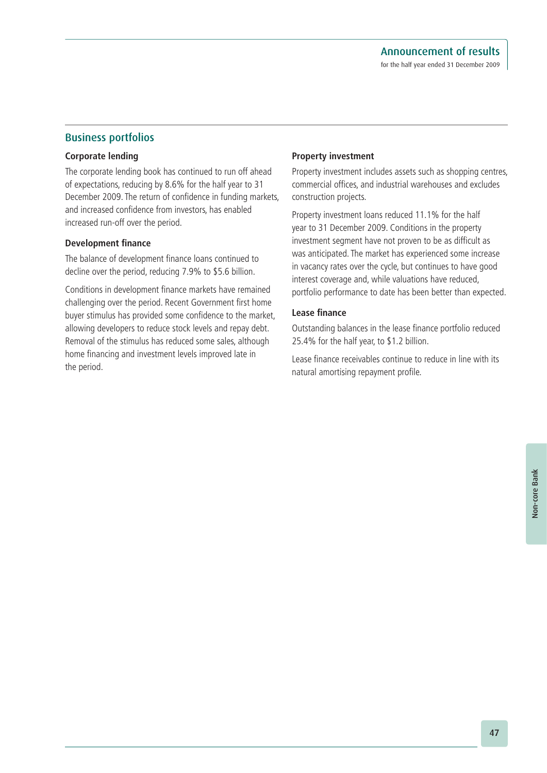### Business portfolios

#### **Corporate lending**

The corporate lending book has continued to run off ahead of expectations, reducing by 8.6% for the half year to 31 December 2009. The return of confidence in funding markets, and increased confidence from investors, has enabled increased run-off over the period.

#### **Development finance**

The balance of development finance loans continued to decline over the period, reducing 7.9% to \$5.6 billion.

Conditions in development finance markets have remained challenging over the period. Recent Government first home buyer stimulus has provided some confidence to the market, allowing developers to reduce stock levels and repay debt. Removal of the stimulus has reduced some sales, although home financing and investment levels improved late in the period.

#### **Property investment**

Property investment includes assets such as shopping centres, commercial offices, and industrial warehouses and excludes construction projects.

Property investment loans reduced 11.1% for the half year to 31 December 2009. Conditions in the property investment segment have not proven to be as difficult as was anticipated. The market has experienced some increase in vacancy rates over the cycle, but continues to have good interest coverage and, while valuations have reduced, portfolio performance to date has been better than expected.

#### **Lease finance**

Outstanding balances in the lease finance portfolio reduced 25.4% for the half year, to \$1.2 billion.

Lease finance receivables continue to reduce in line with its natural amortising repayment profile.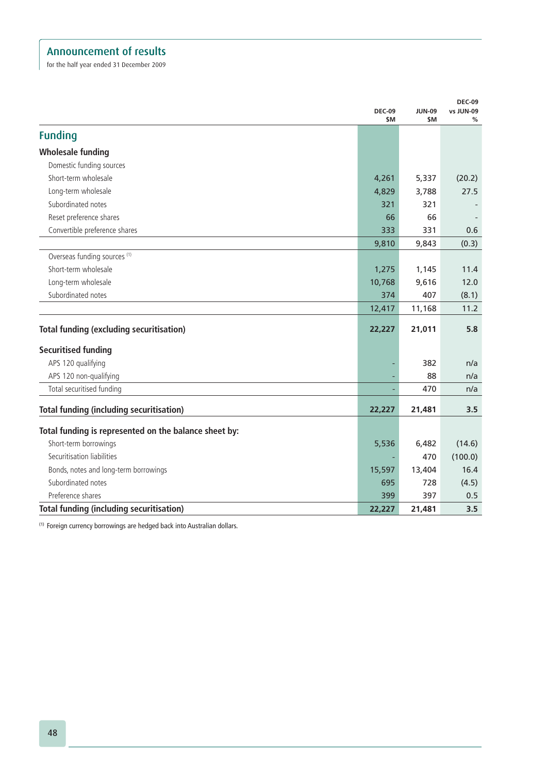for the half year ended 31 December 2009

|                                                       |                      |                      | <b>DEC-09</b>  |
|-------------------------------------------------------|----------------------|----------------------|----------------|
|                                                       | <b>DEC-09</b><br>\$M | <b>JUN-09</b><br>\$M | vs JUN-09<br>% |
| <b>Funding</b>                                        |                      |                      |                |
| <b>Wholesale funding</b>                              |                      |                      |                |
| Domestic funding sources                              |                      |                      |                |
| Short-term wholesale                                  | 4,261                | 5,337                | (20.2)         |
| Long-term wholesale                                   | 4,829                | 3,788                | 27.5           |
| Subordinated notes                                    | 321                  | 321                  |                |
| Reset preference shares                               | 66                   | 66                   |                |
| Convertible preference shares                         | 333                  | 331                  | 0.6            |
|                                                       | 9,810                | 9,843                | (0.3)          |
| Overseas funding sources (1)                          |                      |                      |                |
| Short-term wholesale                                  | 1,275                | 1,145                | 11.4           |
| Long-term wholesale                                   | 10,768               | 9,616                | 12.0           |
| Subordinated notes                                    | 374                  | 407                  | (8.1)          |
|                                                       | 12,417               | 11,168               | 11.2           |
| <b>Total funding (excluding securitisation)</b>       | 22,227               | 21,011               | 5.8            |
| <b>Securitised funding</b>                            |                      |                      |                |
| APS 120 qualifying                                    |                      | 382                  | n/a            |
| APS 120 non-qualifying                                |                      | 88                   | n/a            |
| Total securitised funding                             |                      | 470                  | n/a            |
| <b>Total funding (including securitisation)</b>       | 22,227               | 21,481               | 3.5            |
| Total funding is represented on the balance sheet by: |                      |                      |                |
| Short-term borrowings                                 | 5,536                | 6,482                | (14.6)         |
| Securitisation liabilities                            |                      | 470                  | (100.0)        |
| Bonds, notes and long-term borrowings                 | 15,597               | 13,404               | 16.4           |
| Subordinated notes                                    | 695                  | 728                  | (4.5)          |
| Preference shares                                     | 399                  | 397                  | 0.5            |
| <b>Total funding (including securitisation)</b>       | 22,227               | 21,481               | 3.5            |

(1) Foreign currency borrowings are hedged back into Australian dollars.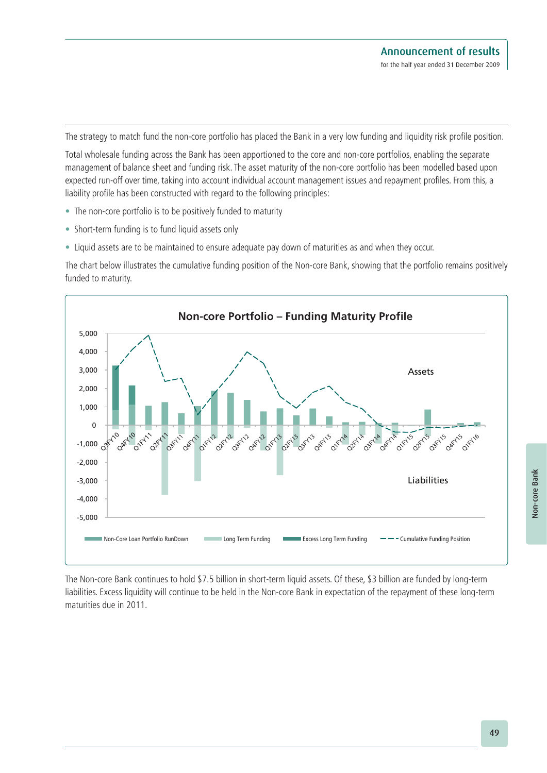The strategy to match fund the non-core portfolio has placed the Bank in a very low funding and liquidity risk profile position.

Total wholesale funding across the Bank has been apportioned to the core and non-core portfolios, enabling the separate management of balance sheet and funding risk. The asset maturity of the non-core portfolio has been modelled based upon expected run-off over time, taking into account individual account management issues and repayment profiles. From this, a liability profile has been constructed with regard to the following principles:

- The non-core portfolio is to be positively funded to maturity
- Short-term funding is to fund liquid assets only
- Liquid assets are to be maintained to ensure adequate pay down of maturities as and when they occur.

The chart below illustrates the cumulative funding position of the Non-core Bank, showing that the portfolio remains positively funded to maturity.



The Non-core Bank continues to hold \$7.5 billion in short-term liquid assets. Of these, \$3 billion are funded by long-term liabilities. Excess liquidity will continue to be held in the Non-core Bank in expectation of the repayment of these long-term maturities due in 2011.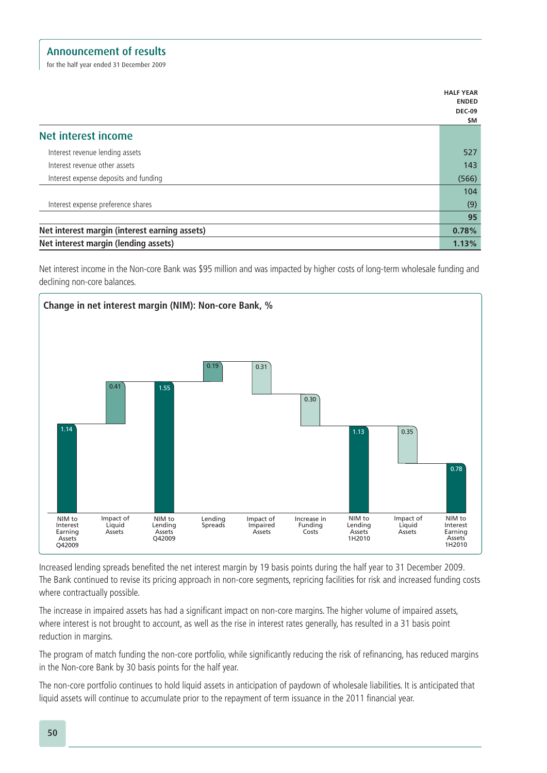for the half year ended 31 December 2009

|                                               | <b>HALF YEAR</b><br><b>ENDED</b> |
|-----------------------------------------------|----------------------------------|
|                                               | <b>DEC-09</b><br>\$M             |
| Net interest income                           |                                  |
| Interest revenue lending assets               | 527                              |
| Interest revenue other assets                 | 143                              |
| Interest expense deposits and funding         | (566)                            |
|                                               | 104                              |
| Interest expense preference shares            | (9)                              |
|                                               | 95                               |
| Net interest margin (interest earning assets) | 0.78%                            |
| Net interest margin (lending assets)          | 1.13%                            |

Net interest income in the Non-core Bank was \$95 million and was impacted by higher costs of long-term wholesale funding and declining non-core balances.



Increased lending spreads benefited the net interest margin by 19 basis points during the half year to 31 December 2009. The Bank continued to revise its pricing approach in non-core segments, repricing facilities for risk and increased funding costs where contractually possible.

The increase in impaired assets has had a significant impact on non-core margins. The higher volume of impaired assets, where interest is not brought to account, as well as the rise in interest rates generally, has resulted in a 31 basis point reduction in margins.

The program of match funding the non-core portfolio, while significantly reducing the risk of refinancing, has reduced margins in the Non-core Bank by 30 basis points for the half year.

The non-core portfolio continues to hold liquid assets in anticipation of paydown of wholesale liabilities. It is anticipated that liquid assets will continue to accumulate prior to the repayment of term issuance in the 2011 financial year.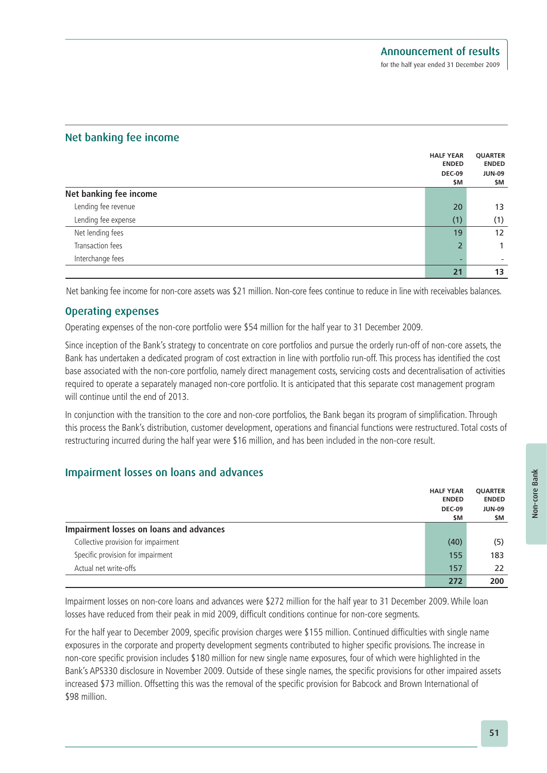### Net banking fee income

|                        | <b>HALF YEAR</b><br><b>ENDED</b> | <b>QUARTER</b><br><b>ENDED</b> |
|------------------------|----------------------------------|--------------------------------|
|                        | <b>DEC-09</b>                    | <b>JUN-09</b>                  |
|                        | \$M                              | \$M                            |
| Net banking fee income |                                  |                                |
| Lending fee revenue    | 20                               | 13                             |
| Lending fee expense    | (1)                              | (1)                            |
| Net lending fees       | 19                               | 12                             |
| Transaction fees       | $\overline{2}$                   | 1                              |
| Interchange fees       |                                  | $\overline{\phantom{0}}$       |
|                        | 21                               | 13                             |

Net banking fee income for non-core assets was \$21 million. Non-core fees continue to reduce in line with receivables balances.

### Operating expenses

Operating expenses of the non-core portfolio were \$54 million for the half year to 31 December 2009.

Since inception of the Bank's strategy to concentrate on core portfolios and pursue the orderly run-off of non-core assets, the Bank has undertaken a dedicated program of cost extraction in line with portfolio run-off. This process has identified the cost base associated with the non-core portfolio, namely direct management costs, servicing costs and decentralisation of activities required to operate a separately managed non-core portfolio. It is anticipated that this separate cost management program will continue until the end of 2013.

In conjunction with the transition to the core and non-core portfolios, the Bank began its program of simplification. Through this process the Bank's distribution, customer development, operations and financial functions were restructured. Total costs of restructuring incurred during the half year were \$16 million, and has been included in the non-core result.

### Impairment losses on loans and advances

|                                         | <b>HALF YEAR</b><br><b>ENDED</b> | <b>QUARTER</b><br><b>ENDED</b> |
|-----------------------------------------|----------------------------------|--------------------------------|
|                                         | <b>DEC-09</b>                    | <b>JUN-09</b>                  |
|                                         | \$M                              | \$M                            |
| Impairment losses on loans and advances |                                  |                                |
| Collective provision for impairment     | (40)                             | (5)                            |
| Specific provision for impairment       | 155                              | 183                            |
| Actual net write-offs                   | 157                              | 22                             |
|                                         | 272                              | 200                            |

Impairment losses on non-core loans and advances were \$272 million for the half year to 31 December 2009.While loan losses have reduced from their peak in mid 2009, difficult conditions continue for non-core segments.

For the half year to December 2009, specific provision charges were \$155 million. Continued difficulties with single name exposures in the corporate and property development segments contributed to higher specific provisions. The increase in non-core specific provision includes \$180 million for new single name exposures, four of which were highlighted in the Bank's APS330 disclosure in November 2009. Outside of these single names, the specific provisions for other impaired assets increased \$73 million. Offsetting this was the removal of the specific provision for Babcock and Brown International of \$98 million.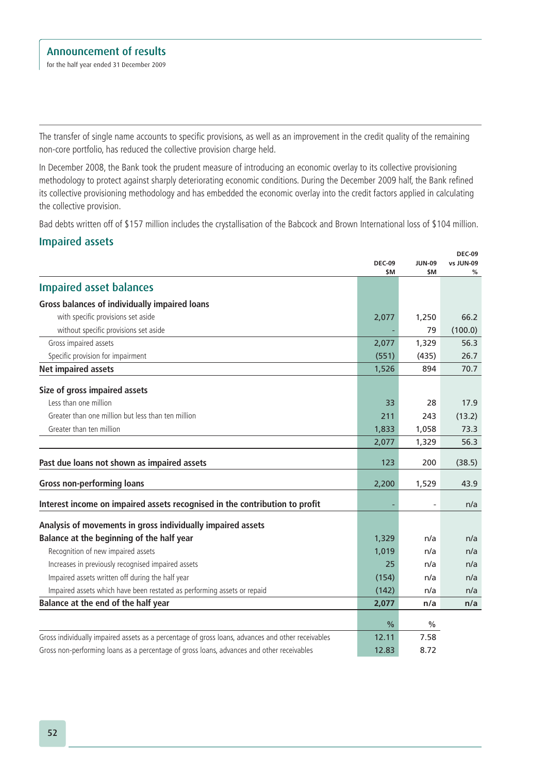for the half year ended 31 December 2009

The transfer of single name accounts to specific provisions, as well as an improvement in the credit quality of the remaining non-core portfolio, has reduced the collective provision charge held.

In December 2008, the Bank took the prudent measure of introducing an economic overlay to its collective provisioning methodology to protect against sharply deteriorating economic conditions. During the December 2009 half, the Bank refined its collective provisioning methodology and has embedded the economic overlay into the credit factors applied in calculating the collective provision.

Bad debts written off of \$157 million includes the crystallisation of the Babcock and Brown International loss of \$104 million.

## Impaired assets

|                                                                                                   | <b>DEC-09</b> | <b>JUN-09</b> | <b>DEC-09</b><br>vs JUN-09 |
|---------------------------------------------------------------------------------------------------|---------------|---------------|----------------------------|
|                                                                                                   | \$M           | \$M           | %                          |
| <b>Impaired asset balances</b>                                                                    |               |               |                            |
| <b>Gross balances of individually impaired loans</b>                                              |               |               |                            |
| with specific provisions set aside                                                                | 2,077         | 1,250         | 66.2                       |
| without specific provisions set aside                                                             |               | 79            | (100.0)                    |
| Gross impaired assets                                                                             | 2,077         | 1,329         | 56.3                       |
| Specific provision for impairment                                                                 | (551)         | (435)         | 26.7                       |
| <b>Net impaired assets</b>                                                                        | 1,526         | 894           | 70.7                       |
| Size of gross impaired assets                                                                     |               |               |                            |
| Less than one million                                                                             | 33            | 28            | 17.9                       |
| Greater than one million but less than ten million                                                | 211           | 243           | (13.2)                     |
| Greater than ten million                                                                          | 1,833         | 1,058         | 73.3                       |
|                                                                                                   | 2,077         | 1,329         | 56.3                       |
| Past due loans not shown as impaired assets                                                       | 123           | 200           | (38.5)                     |
| <b>Gross non-performing loans</b>                                                                 | 2,200         | 1,529         | 43.9                       |
| Interest income on impaired assets recognised in the contribution to profit                       |               |               | n/a                        |
| Analysis of movements in gross individually impaired assets                                       |               |               |                            |
| Balance at the beginning of the half year                                                         | 1,329         | n/a           | n/a                        |
| Recognition of new impaired assets                                                                | 1,019         | n/a           | n/a                        |
| Increases in previously recognised impaired assets                                                | 25            | n/a           | n/a                        |
| Impaired assets written off during the half year                                                  | (154)         | n/a           | n/a                        |
| Impaired assets which have been restated as performing assets or repaid                           | (142)         | n/a           | n/a                        |
| Balance at the end of the half year                                                               | 2,077         | n/a           | n/a                        |
|                                                                                                   | $\frac{0}{0}$ | $\%$          |                            |
| Gross individually impaired assets as a percentage of gross loans, advances and other receivables | 12.11         | 7.58          |                            |
| Gross non-performing loans as a percentage of gross loans, advances and other receivables         | 12.83         | 8.72          |                            |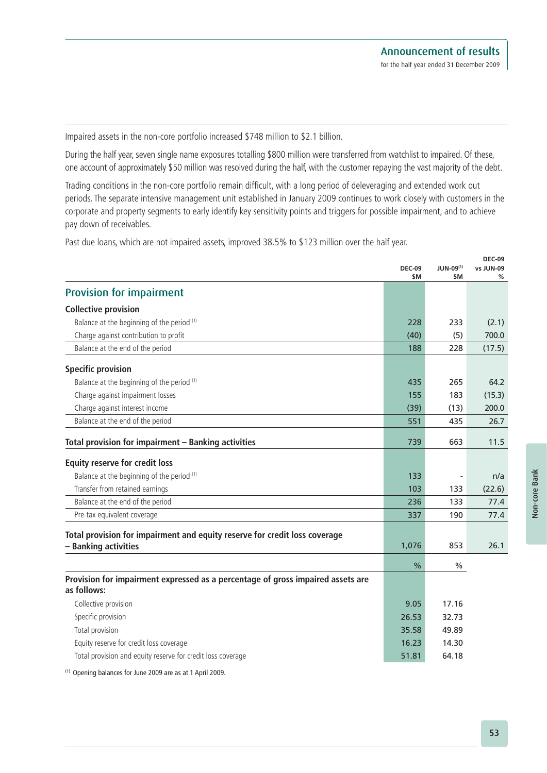Impaired assets in the non-core portfolio increased \$748 million to \$2.1 billion.

During the half year, seven single name exposures totalling \$800 million were transferred from watchlist to impaired. Of these, one account of approximately \$50 million was resolved during the half, with the customer repaying the vast majority of the debt.

Trading conditions in the non-core portfolio remain difficult, with a long period of deleveraging and extended work out periods. The separate intensive management unit established in January 2009 continues to work closely with customers in the corporate and property segments to early identify key sensitivity points and triggers for possible impairment, and to achieve pay down of receivables.

Past due loans, which are not impaired assets, improved 38.5% to \$123 million over the half year.

|                                                                                                                 |                      |                        | <b>DEC-09</b>     |
|-----------------------------------------------------------------------------------------------------------------|----------------------|------------------------|-------------------|
|                                                                                                                 | <b>DEC-09</b><br>\$M | JUN-09(1)<br><b>SM</b> | vs JUN-09<br>$\%$ |
| <b>Provision for impairment</b>                                                                                 |                      |                        |                   |
| <b>Collective provision</b>                                                                                     |                      |                        |                   |
| Balance at the beginning of the period (1)                                                                      | 228                  | 233                    | (2.1)             |
| Charge against contribution to profit                                                                           | (40)                 | (5)                    | 700.0             |
| Balance at the end of the period                                                                                | 188                  | 228                    | (17.5)            |
| <b>Specific provision</b>                                                                                       |                      |                        |                   |
| Balance at the beginning of the period (1)                                                                      | 435                  | 265                    | 64.2              |
| Charge against impairment losses                                                                                | 155                  | 183                    | (15.3)            |
| Charge against interest income                                                                                  | (39)                 | (13)                   | 200.0             |
| Balance at the end of the period                                                                                | 551                  | 435                    | 26.7              |
| Total provision for impairment - Banking activities                                                             | 739                  | 663                    | 11.5              |
| <b>Equity reserve for credit loss</b>                                                                           |                      |                        |                   |
| Balance at the beginning of the period (1)                                                                      | 133                  |                        | n/a               |
| Transfer from retained earnings                                                                                 | 103                  | 133                    | (22.6)            |
| Balance at the end of the period                                                                                | 236                  | 133                    | 77.4              |
| Pre-tax equivalent coverage                                                                                     | 337                  | 190                    | 77.4              |
| Total provision for impairment and equity reserve for credit loss coverage                                      |                      |                        |                   |
| - Banking activities                                                                                            | 1,076                | 853                    | 26.1              |
|                                                                                                                 | $\frac{0}{0}$        | $\%$                   |                   |
| Provision for impairment expressed as a percentage of gross impaired assets are<br>as follows:                  |                      |                        |                   |
| Collective provision                                                                                            | 9.05                 | 17.16                  |                   |
| Specific provision                                                                                              | 26.53                | 32.73                  |                   |
| Total provision                                                                                                 | 35.58                | 49.89                  |                   |
| Equity reserve for credit loss coverage                                                                         | 16.23                | 14.30                  |                   |
| Total provision and equity reserve for credit loss coverage                                                     | 51.81                | 64.18                  |                   |
| the contract of the contract of the contract of the contract of the contract of the contract of the contract of |                      |                        |                   |

(1) Opening balances for June 2009 are as at 1 April 2009.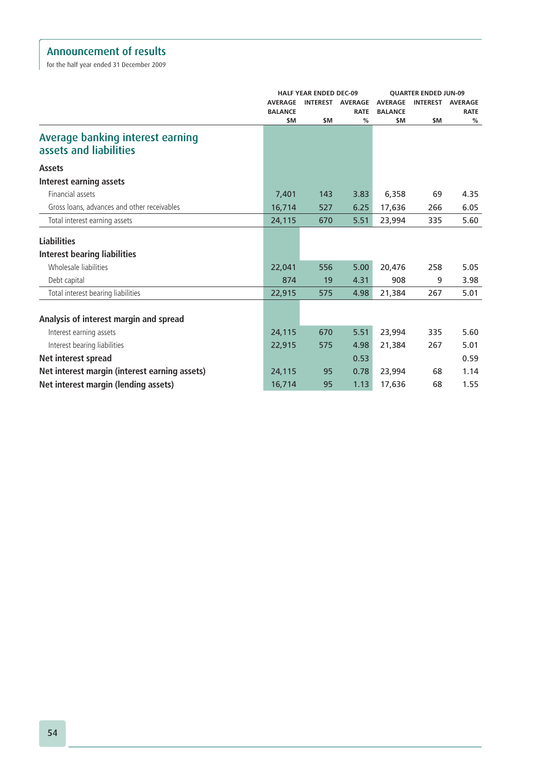for the half year ended 31 December 2009

|                                                            |                | <b>HALF YEAR ENDED DEC-09</b> |                         | <b>QUARTER ENDED JUN-09</b> |                 |                |
|------------------------------------------------------------|----------------|-------------------------------|-------------------------|-----------------------------|-----------------|----------------|
|                                                            | <b>AVERAGE</b> |                               | <b>INTEREST AVERAGE</b> | <b>AVERAGE</b>              | <b>INTEREST</b> | <b>AVERAGE</b> |
|                                                            | <b>BALANCE</b> |                               | <b>RATE</b>             | <b>BALANCE</b>              |                 | <b>RATE</b>    |
|                                                            | <b>SM</b>      | <b>SM</b>                     | %                       | \$M                         | <b>SM</b>       | %              |
| Average banking interest earning<br>assets and liabilities |                |                               |                         |                             |                 |                |
| <b>Assets</b>                                              |                |                               |                         |                             |                 |                |
| Interest earning assets                                    |                |                               |                         |                             |                 |                |
| Financial assets                                           | 7,401          | 143                           | 3.83                    | 6,358                       | 69              | 4.35           |
| Gross loans, advances and other receivables                | 16,714         | 527                           | 6.25                    | 17,636                      | 266             | 6.05           |
| Total interest earning assets                              | 24,115         | 670                           | 5.51                    | 23,994                      | 335             | 5.60           |
| <b>Liabilities</b>                                         |                |                               |                         |                             |                 |                |
| <b>Interest bearing liabilities</b>                        |                |                               |                         |                             |                 |                |
| Wholesale liabilities                                      | 22,041         | 556                           | 5.00                    | 20,476                      | 258             | 5.05           |
| Debt capital                                               | 874            | 19                            | 4.31                    | 908                         | 9               | 3.98           |
| Total interest bearing liabilities                         | 22,915         | 575                           | 4.98                    | 21,384                      | 267             | 5.01           |
| Analysis of interest margin and spread                     |                |                               |                         |                             |                 |                |
| Interest earning assets                                    | 24,115         | 670                           | 5.51                    | 23,994                      | 335             | 5.60           |
| Interest bearing liabilities                               | 22,915         | 575                           | 4.98                    | 21,384                      | 267             | 5.01           |
| Net interest spread                                        |                |                               | 0.53                    |                             |                 | 0.59           |
| Net interest margin (interest earning assets)              | 24,115         | 95                            | 0.78                    | 23,994                      | 68              | 1.14           |
| Net interest margin (lending assets)                       | 16,714         | 95                            | 1.13                    | 17,636                      | 68              | 1.55           |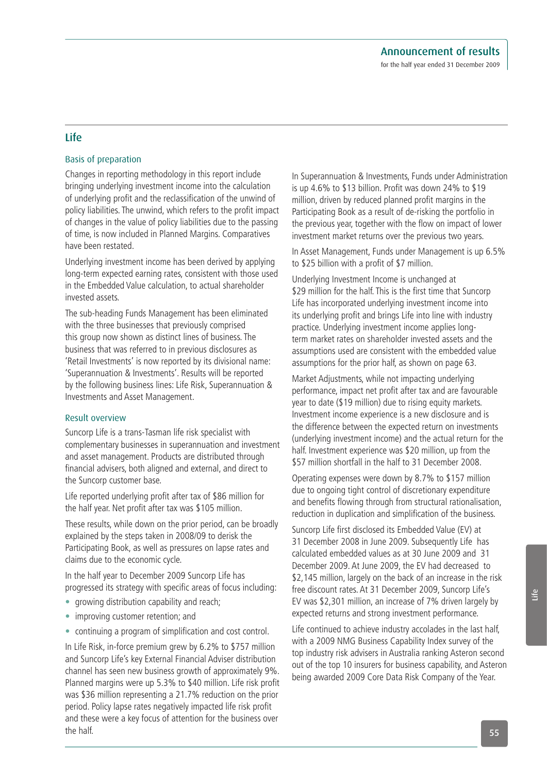### **Life**

#### Basis of preparation

Changes in reporting methodology in this report include bringing underlying investment income into the calculation of underlying profit and the reclassification of the unwind of policy liabilities. The unwind, which refers to the profit impact of changes in the value of policy liabilities due to the passing of time, is now included in Planned Margins. Comparatives have been restated.

Underlying investment income has been derived by applying long-term expected earning rates, consistent with those used in the Embedded Value calculation, to actual shareholder invested assets.

The sub-heading Funds Management has been eliminated with the three businesses that previously comprised this group now shown as distinct lines of business. The business that was referred to in previous disclosures as 'Retail Investments' is now reported by its divisional name: 'Superannuation & Investments'. Results will be reported by the following business lines: Life Risk, Superannuation & Investments and Asset Management.

#### Result overview

Suncorp Life is a trans-Tasman life risk specialist with complementary businesses in superannuation and investment and asset management. Products are distributed through financial advisers, both aligned and external, and direct to the Suncorp customer base.

Life reported underlying profit after tax of \$86 million for the half year. Net profit after tax was \$105 million.

These results, while down on the prior period, can be broadly explained by the steps taken in 2008/09 to derisk the Participating Book, as well as pressures on lapse rates and claims due to the economic cycle.

In the half year to December 2009 Suncorp Life has progressed its strategy with specific areas of focus including:

- growing distribution capability and reach;
- improving customer retention; and
- continuing a program of simplification and cost control.

In Life Risk, in-force premium grew by 6.2% to \$757 million and Suncorp Life's key External Financial Adviser distribution channel has seen new business growth of approximately 9%. Planned margins were up 5.3% to \$40 million. Life risk profit was \$36 million representing a 21.7% reduction on the prior period. Policy lapse rates negatively impacted life risk profit and these were a key focus of attention for the business over the half.

In Superannuation & Investments, Funds under Administration is up 4.6% to \$13 billion. Profit was down 24% to \$19 million, driven by reduced planned profit margins in the Participating Book as a result of de-risking the portfolio in the previous year, together with the flow on impact of lower investment market returns over the previous two years.

In Asset Management, Funds under Management is up 6.5% to \$25 billion with a profit of \$7 million.

Underlying Investment Income is unchanged at \$29 million for the half. This is the first time that Suncorp Life has incorporated underlying investment income into its underlying profit and brings Life into line with industry practice. Underlying investment income applies longterm market rates on shareholder invested assets and the assumptions used are consistent with the embedded value assumptions for the prior half, as shown on page 63.

Market Adjustments, while not impacting underlying performance, impact net profit after tax and are favourable year to date (\$19 million) due to rising equity markets. Investment income experience is a new disclosure and is the difference between the expected return on investments (underlying investment income) and the actual return for the half. Investment experience was \$20 million, up from the \$57 million shortfall in the half to 31 December 2008.

Operating expenses were down by 8.7% to \$157 million due to ongoing tight control of discretionary expenditure and benefits flowing through from structural rationalisation, reduction in duplication and simplification of the business.

Suncorp Life first disclosed its Embedded Value (EV) at 31 December 2008 in June 2009. Subsequently Life has calculated embedded values as at 30 June 2009 and 31 December 2009. At June 2009, the EV had decreased to \$2,145 million, largely on the back of an increase in the risk free discount rates. At 31 December 2009, Suncorp Life's EV was \$2,301 million, an increase of 7% driven largely by expected returns and strong investment performance.

Life continued to achieve industry accolades in the last half, with a 2009 NMG Business Capability Index survey of the top industry risk advisers in Australia ranking Asteron second out of the top 10 insurers for business capability, and Asteron being awarded 2009 Core Data Risk Company of the Year.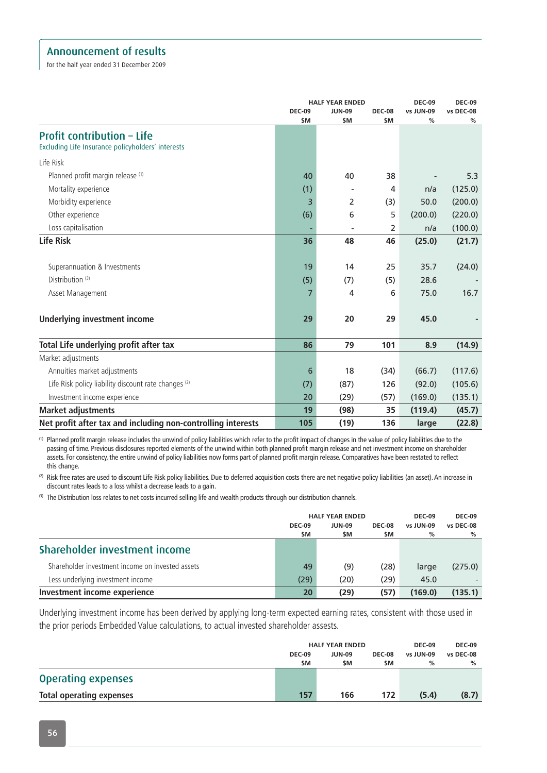for the half year ended 31 December 2009

|                                                                                        | <b>DEC-09</b><br>\$M | <b>HALF YEAR ENDED</b><br><b>JUN-09</b><br>\$M | <b>DEC-08</b><br>\$M | <b>DEC-09</b><br>vs JUN-09<br>% | <b>DEC-09</b><br>vs DEC-08<br>% |
|----------------------------------------------------------------------------------------|----------------------|------------------------------------------------|----------------------|---------------------------------|---------------------------------|
| <b>Profit contribution - Life</b><br>Excluding Life Insurance policyholders' interests |                      |                                                |                      |                                 |                                 |
| Life Risk                                                                              |                      |                                                |                      |                                 |                                 |
| Planned profit margin release (1)                                                      | 40                   | 40                                             | 38                   |                                 | 5.3                             |
| Mortality experience                                                                   | (1)                  |                                                | 4                    | n/a                             | (125.0)                         |
| Morbidity experience                                                                   | 3                    | 2                                              | (3)                  | 50.0                            | (200.0)                         |
| Other experience                                                                       | (6)                  | 6                                              | 5                    | (200.0)                         | (220.0)                         |
| Loss capitalisation                                                                    |                      |                                                | 2                    | n/a                             | (100.0)                         |
| <b>Life Risk</b>                                                                       | 36                   | 48                                             | 46                   | (25.0)                          | (21.7)                          |
| Superannuation & Investments                                                           | 19                   | 14                                             | 25                   | 35.7                            | (24.0)                          |
| Distribution <sup>(3)</sup>                                                            | (5)                  | (7)                                            | (5)                  | 28.6                            |                                 |
| Asset Management                                                                       | 7                    | 4                                              | 6                    | 75.0                            | 16.7                            |
| <b>Underlying investment income</b>                                                    | 29                   | 20                                             | 29                   | 45.0                            |                                 |
| Total Life underlying profit after tax                                                 | 86                   | 79                                             | 101                  | 8.9                             | (14.9)                          |
| Market adjustments                                                                     |                      |                                                |                      |                                 |                                 |
| Annuities market adjustments                                                           | 6                    | 18                                             | (34)                 | (66.7)                          | (117.6)                         |
| Life Risk policy liability discount rate changes (2)                                   | (7)                  | (87)                                           | 126                  | (92.0)                          | (105.6)                         |
| Investment income experience                                                           | 20                   | (29)                                           | (57)                 | (169.0)                         | (135.1)                         |
| <b>Market adjustments</b>                                                              | 19                   | (98)                                           | 35                   | (119.4)                         | (45.7)                          |
| Net profit after tax and including non-controlling interests                           | 105                  | (19)                                           | 136                  | large                           | (22.8)                          |

(1) Planned profit margin release includes the unwind of policy liabilities which refer to the profit impact of changes in the value of policy liabilities due to the passing of time. Previous disclosures reported elements of the unwind within both planned profit margin release and net investment income on shareholder assets. For consistency, the entire unwind of policy liabilities now forms part of planned profit margin release. Comparatives have been restated to reflect this change.

(2) Risk free rates are used to discount Life Risk policy liabilities. Due to deferred acquisition costs there are net negative policy liabilities (an asset). An increase in discount rates leads to a loss whilst a decrease leads to a gain.

(3) The Distribution loss relates to net costs incurred selling life and wealth products through our distribution channels.

|                                                  | <b>HALF YEAR ENDED</b> |      |      | DEC-09        | <b>DEC-09</b> |           |           |
|--------------------------------------------------|------------------------|------|------|---------------|---------------|-----------|-----------|
|                                                  | <b>DEC-09</b>          |      |      | <b>JUN-09</b> | <b>DEC-08</b> | vs JUN-09 | vs DEC-08 |
|                                                  | \$M                    | \$M  | \$M  | %             | %             |           |           |
| Shareholder investment income                    |                        |      |      |               |               |           |           |
| Shareholder investment income on invested assets | 49                     | (9)  | (28) | large         | (275.0)       |           |           |
| Less underlying investment income                | (29)                   | (20) | (29) | 45.0          |               |           |           |
| Investment income experience                     | 20                     | (29) | (57) | (169.0)       | (135.1)       |           |           |

Underlying investment income has been derived by applying long-term expected earning rates, consistent with those used in the prior periods Embedded Value calculations, to actual invested shareholder assests.

|                                 | <b>HALF YEAR ENDED</b> |               |     | <b>DEC-09</b> | <b>DEC-09</b> |
|---------------------------------|------------------------|---------------|-----|---------------|---------------|
|                                 | <b>DEC-09</b>          | <b>JUN-09</b> |     | vs JUN-09     | vs DEC-08     |
|                                 | \$M                    | <b>SM</b>     | \$M | ℅             | %             |
| <b>Operating expenses</b>       |                        |               |     |               |               |
| <b>Total operating expenses</b> | 157                    | 166           | 172 | (5.4)         | (8.7)         |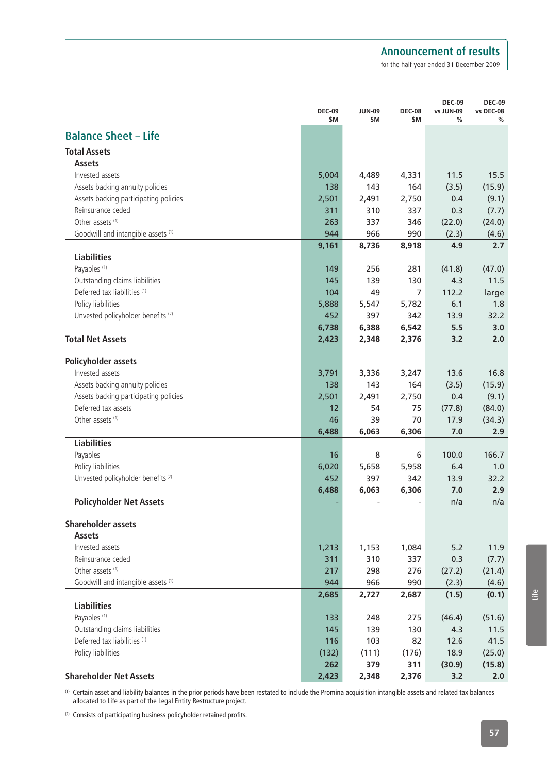for the half year ended 31 December 2009

|                                               | <b>DEC-09</b> | <b>JUN-09</b> | <b>DEC-08</b> | <b>DEC-09</b><br>vs JUN-09 | <b>DEC-09</b><br>vs DEC-08 |
|-----------------------------------------------|---------------|---------------|---------------|----------------------------|----------------------------|
|                                               | \$M           | \$M           | \$M           | %                          | %                          |
| <b>Balance Sheet - Life</b>                   |               |               |               |                            |                            |
| <b>Total Assets</b>                           |               |               |               |                            |                            |
| Assets                                        |               |               |               |                            |                            |
| Invested assets                               | 5,004         | 4,489         | 4,331         | 11.5                       | 15.5                       |
| Assets backing annuity policies               | 138           | 143           | 164           | (3.5)                      | (15.9)                     |
| Assets backing participating policies         | 2,501         | 2,491         | 2,750         | 0.4                        | (9.1)                      |
| Reinsurance ceded                             | 311           | 310           | 337           | 0.3                        | (7.7)                      |
| Other assets <sup>(1)</sup>                   | 263           | 337           | 346           | (22.0)                     | (24.0)                     |
| Goodwill and intangible assets (1)            | 944           | 966           | 990           | (2.3)                      | (4.6)                      |
|                                               | 9,161         | 8,736         | 8,918         | 4.9                        | 2.7                        |
| <b>Liabilities</b>                            |               |               |               |                            |                            |
| Payables <sup>(1)</sup>                       | 149           | 256           | 281           | (41.8)                     | (47.0)                     |
| Outstanding claims liabilities                | 145           | 139           | 130           | 4.3                        | 11.5                       |
| Deferred tax liabilities (1)                  | 104           | 49            | 7             | 112.2                      | large                      |
| Policy liabilities                            | 5,888         | 5,547         | 5,782         | 6.1                        | 1.8                        |
| Unvested policyholder benefits <sup>(2)</sup> | 452           | 397           | 342           | 13.9                       | 32.2                       |
|                                               | 6,738         | 6,388         | 6,542         | 5.5                        | 3.0                        |
| <b>Total Net Assets</b>                       | 2,423         | 2,348         | 2,376         | 3.2                        | 2.0                        |
|                                               |               |               |               |                            |                            |
| <b>Policyholder assets</b>                    |               |               |               |                            |                            |
| Invested assets                               | 3,791         | 3,336         | 3,247         | 13.6                       | 16.8                       |
| Assets backing annuity policies               | 138           | 143           | 164           | (3.5)                      | (15.9)                     |
| Assets backing participating policies         | 2,501         | 2,491         | 2,750         | 0.4                        | (9.1)                      |
| Deferred tax assets                           | 12            | 54            | 75            | (77.8)                     | (84.0)                     |
| Other assets (1)                              | 46            | 39            | 70            | 17.9                       | (34.3)                     |
|                                               | 6,488         | 6,063         | 6,306         | 7.0                        | 2.9                        |
| <b>Liabilities</b>                            |               |               |               |                            |                            |
| Payables                                      | 16            | 8             | 6             | 100.0                      | 166.7                      |
| Policy liabilities                            | 6,020         | 5,658         | 5,958         | 6.4                        | 1.0                        |
| Unvested policyholder benefits <sup>(2)</sup> | 452           | 397           | 342           | 13.9                       | 32.2                       |
|                                               | 6,488         | 6,063         | 6,306         | 7.0                        | 2.9                        |
| <b>Policyholder Net Assets</b>                |               |               |               | n/a                        | n/a                        |
| <b>Shareholder assets</b>                     |               |               |               |                            |                            |
| Assets                                        |               |               |               |                            |                            |
| Invested assets                               | 1,213         | 1,153         | 1,084         | 5.2                        | 11.9                       |
| Reinsurance ceded                             | 311           | 310           | 337           | 0.3                        | (7.7)                      |
| Other assets <sup>(1)</sup>                   | 217           | 298           | 276           | (27.2)                     | (21.4)                     |
| Goodwill and intangible assets (1)            | 944           | 966           | 990           | (2.3)                      | (4.6)                      |
|                                               | 2,685         | 2,727         | 2,687         | (1.5)                      | (0.1)                      |
| <b>Liabilities</b>                            |               |               |               |                            |                            |
| Payables <sup>(1)</sup>                       | 133           | 248           | 275           | (46.4)                     | (51.6)                     |
| Outstanding claims liabilities                | 145           | 139           | 130           | 4.3                        | 11.5                       |
| Deferred tax liabilities <sup>(1)</sup>       | 116           | 103           | 82            | 12.6                       | 41.5                       |
| Policy liabilities                            | (132)         | (111)         | (176)         | 18.9                       | (25.0)                     |
|                                               | 262           | 379           | 311           | (30.9)                     | (15.8)                     |
| <b>Shareholder Net Assets</b>                 | 2,423         | 2,348         | 2,376         | 3.2                        | 2.0                        |

 $^{(1)}$  Certain asset and liability balances in the prior periods have been restated to include the Promina acquisition intangible assets and related tax balances allocated to Life as part of the Legal Entity Restructure project.

 $(2)$  Consists of participating business policyholder retained profits.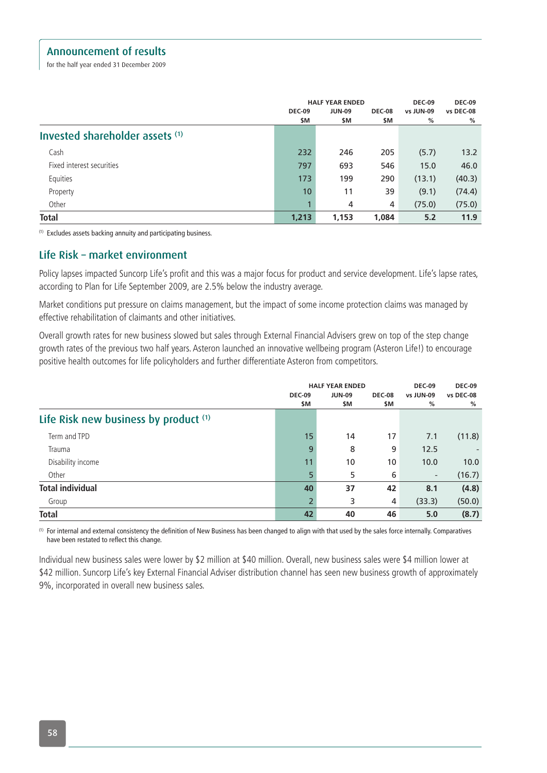for the half year ended 31 December 2009

|                                 |               | <b>HALF YEAR ENDED</b> |               |           | <b>DEC-09</b> |
|---------------------------------|---------------|------------------------|---------------|-----------|---------------|
|                                 | <b>DEC-09</b> | <b>JUN-09</b>          | <b>DEC-08</b> | vs JUN-09 | vs DEC-08     |
|                                 | \$M           | \$M                    | \$M           | %         | %             |
| Invested shareholder assets (1) |               |                        |               |           |               |
| Cash                            | 232           | 246                    | 205           | (5.7)     | 13.2          |
| Fixed interest securities       | 797           | 693                    | 546           | 15.0      | 46.0          |
| Equities                        | 173           | 199                    | 290           | (13.1)    | (40.3)        |
| Property                        | 10            | 11                     | 39            | (9.1)     | (74.4)        |
| Other                           | и             | 4                      | 4             | (75.0)    | (75.0)        |
| <b>Total</b>                    | 1,213         | 1,153                  | 1,084         | 5.2       | 11.9          |

 $(1)$  Excludes assets backing annuity and participating business.

#### Life Risk – market environment

Policy lapses impacted Suncorp Life's profit and this was a major focus for product and service development. Life's lapse rates, according to Plan for Life September 2009, are 2.5% below the industry average.

Market conditions put pressure on claims management, but the impact of some income protection claims was managed by effective rehabilitation of claimants and other initiatives.

Overall growth rates for new business slowed but sales through External Financial Advisers grew on top of the step change growth rates of the previous two half years. Asteron launched an innovative wellbeing program (Asteron Life!) to encourage positive health outcomes for life policyholders and further differentiate Asteron from competitors.

|                                       |               | <b>HALF YEAR ENDED</b> | <b>DEC-09</b>   | <b>DEC-09</b>            |           |
|---------------------------------------|---------------|------------------------|-----------------|--------------------------|-----------|
|                                       | <b>DEC-09</b> | <b>JUN-09</b>          | <b>DEC-08</b>   | vs JUN-09                | vs DEC-08 |
|                                       | \$M           | \$M                    | \$M             | %                        | %         |
| Life Risk new business by product (1) |               |                        |                 |                          |           |
| Term and TPD                          | 15            | 14                     | 17              | 7.1                      | (11.8)    |
| Trauma                                | 9             | 8                      | 9               | 12.5                     |           |
| Disability income                     | 11            | 10                     | 10 <sup>°</sup> | 10.0                     | 10.0      |
| Other                                 | 5             | 5                      | 6               | $\overline{\phantom{a}}$ | (16.7)    |
| <b>Total individual</b>               | 40            | 37                     | 42              | 8.1                      | (4.8)     |
| Group                                 |               | 3                      | 4               | (33.3)                   | (50.0)    |
| <b>Total</b>                          | 42            | 40                     | 46              | 5.0                      | (8.7)     |

(1) For internal and external consistency the definition of New Business has been changed to align with that used by the sales force internally. Comparatives have been restated to reflect this change.

Individual new business sales were lower by \$2 million at \$40 million. Overall, new business sales were \$4 million lower at \$42 million. Suncorp Life's key External Financial Adviser distribution channel has seen new business growth of approximately 9%, incorporated in overall new business sales.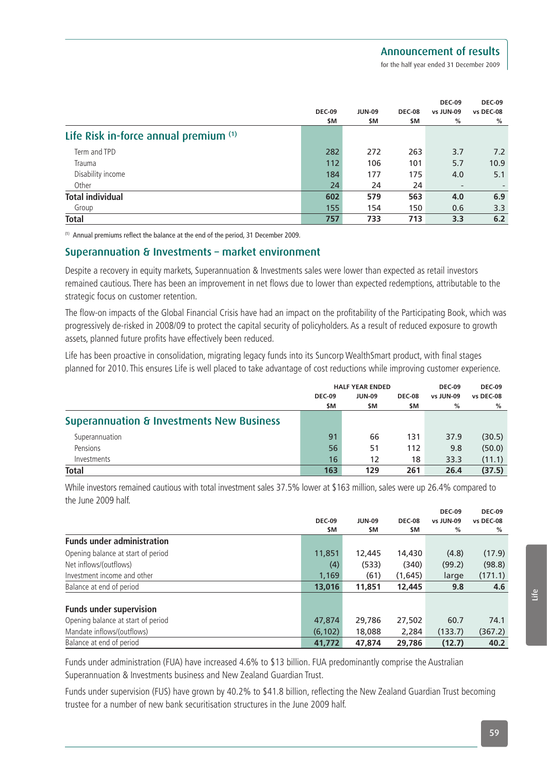for the half year ended 31 December 2009

|                                       |               |               |               | <b>DEC-09</b>            | <b>DEC-09</b> |
|---------------------------------------|---------------|---------------|---------------|--------------------------|---------------|
|                                       | <b>DEC-09</b> | <b>JUN-09</b> | <b>DEC-08</b> | vs JUN-09                | vs DEC-08     |
|                                       | \$M           | \$M           | \$M           | %                        | %             |
| Life Risk in-force annual premium (1) |               |               |               |                          |               |
| Term and TPD                          | 282           | 272           | 263           | 3.7                      | 7.2           |
| Trauma                                | 112           | 106           | 101           | 5.7                      | 10.9          |
| Disability income                     | 184           | 177           | 175           | 4.0                      | 5.1           |
| Other                                 | 24            | 24            | 24            | $\overline{\phantom{0}}$ |               |
| <b>Total individual</b>               | 602           | 579           | 563           | 4.0                      | 6.9           |
| Group                                 | 155           | 154           | 150           | 0.6                      | 3.3           |
| <b>Total</b>                          | 757           | 733           | 713           | 3.3                      | 6.2           |

 $(1)$  Annual premiums reflect the balance at the end of the period, 31 December 2009.

#### Superannuation & Investments – market environment

Despite a recovery in equity markets, Superannuation & Investments sales were lower than expected as retail investors remained cautious. There has been an improvement in net flows due to lower than expected redemptions, attributable to the strategic focus on customer retention.

The flow-on impacts of the Global Financial Crisis have had an impact on the profitability of the Participating Book, which was progressively de-risked in 2008/09 to protect the capital security of policyholders. As a result of reduced exposure to growth assets, planned future profits have effectively been reduced.

Life has been proactive in consolidation, migrating legacy funds into its Suncorp WealthSmart product, with final stages planned for 2010. This ensures Life is well placed to take advantage of cost reductions while improving customer experience.

|                                                      | <b>HALF YEAR ENDED</b> |               |               | <b>DEC-09</b> | <b>DEC-09</b> |
|------------------------------------------------------|------------------------|---------------|---------------|---------------|---------------|
|                                                      | <b>DEC-09</b>          | <b>JUN-09</b> | <b>DEC-08</b> | vs JUN-09     | vs DEC-08     |
|                                                      | \$M.                   | \$M           | \$M           | %             | %             |
| <b>Superannuation &amp; Investments New Business</b> |                        |               |               |               |               |
| Superannuation                                       | 91                     | 66            | 131           | 37.9          | (30.5)        |
| Pensions                                             | 56                     | 51            | 112           | 9.8           | (50.0)        |
| Investments                                          | 16                     | 12            | 18            | 33.3          | (11.1)        |
| <b>Total</b>                                         | 163                    | 129           | 261           | 26.4          | (37.5)        |

While investors remained cautious with total investment sales 37.5% lower at \$163 million, sales were up 26.4% compared to the June 2009 half.

|                                    |               |               |               | <b>DEC-09</b> | <b>DEC-09</b> |
|------------------------------------|---------------|---------------|---------------|---------------|---------------|
|                                    | <b>DEC-09</b> | <b>JUN-09</b> | <b>DEC-08</b> | vs JUN-09     | vs DEC-08     |
|                                    | \$M           | \$M           | \$M           | %             | %             |
| <b>Funds under administration</b>  |               |               |               |               |               |
| Opening balance at start of period | 11,851        | 12,445        | 14,430        | (4.8)         | (17.9)        |
| Net inflows/(outflows)             | (4)           | (533)         | (340)         | (99.2)        | (98.8)        |
| Investment income and other        | 1,169         | (61)          | (1,645)       | large         | (171.1)       |
| Balance at end of period           | 13,016        | 11,851        | 12,445        | 9.8           | 4.6           |
|                                    |               |               |               |               |               |
| <b>Funds under supervision</b>     |               |               |               |               |               |
| Opening balance at start of period | 47,874        | 29,786        | 27,502        | 60.7          | 74.1          |
| Mandate inflows/(outflows)         | (6, 102)      | 18,088        | 2,284         | (133.7)       | (367.2)       |
| Balance at end of period           | 41,772        | 47.874        | 29,786        | (12.7)        | 40.2          |

Funds under administration (FUA) have increased 4.6% to \$13 billion. FUA predominantly comprise the Australian Superannuation & Investments business and New Zealand Guardian Trust.

Funds under supervision (FUS) have grown by 40.2% to \$41.8 billion, reflecting the New Zealand Guardian Trust becoming trustee for a number of new bank securitisation structures in the June 2009 half.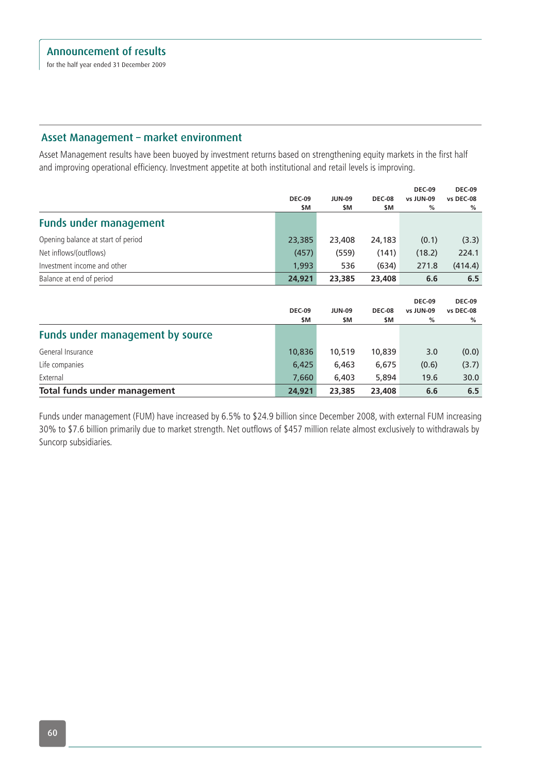for the half year ended 31 December 2009

#### Asset Management – market environment

Asset Management results have been buoyed by investment returns based on strengthening equity markets in the first half and improving operational efficiency. Investment appetite at both institutional and retail levels is improving.

|                                     |               |               |               | <b>DEC-09</b> | <b>DEC-09</b> |
|-------------------------------------|---------------|---------------|---------------|---------------|---------------|
|                                     | <b>DEC-09</b> | <b>JUN-09</b> | <b>DEC-08</b> | vs JUN-09     | vs DEC-08     |
|                                     | \$M           | \$M           | \$M           | %             | %             |
| <b>Funds under management</b>       |               |               |               |               |               |
| Opening balance at start of period  | 23,385        | 23,408        | 24,183        | (0.1)         | (3.3)         |
| Net inflows/(outflows)              | (457)         | (559)         | (141)         | (18.2)        | 224.1         |
| Investment income and other         | 1,993         | 536           | (634)         | 271.8         | (414.4)       |
| Balance at end of period            | 24,921        | 23,385        | 23,408        | 6.6           | 6.5           |
|                                     |               |               |               |               |               |
|                                     |               |               |               | <b>DEC-09</b> | <b>DEC-09</b> |
|                                     | <b>DEC-09</b> | <b>JUN-09</b> | <b>DEC-08</b> | vs JUN-09     | vs DEC-08     |
|                                     | \$M           | \$M           | \$M           | %             | %             |
| Funds under management by source    |               |               |               |               |               |
| General Insurance                   | 10,836        | 10,519        | 10,839        | 3.0           | (0.0)         |
| Life companies                      | 6,425         | 6,463         | 6,675         | (0.6)         | (3.7)         |
| External                            | 7,660         | 6,403         | 5,894         | 19.6          | 30.0          |
| <b>Total funds under management</b> | 24,921        | 23,385        | 23,408        | 6.6           |               |

Funds under management (FUM) have increased by 6.5% to \$24.9 billion since December 2008, with external FUM increasing 30% to \$7.6 billion primarily due to market strength. Net outflows of \$457 million relate almost exclusively to withdrawals by Suncorp subsidiaries.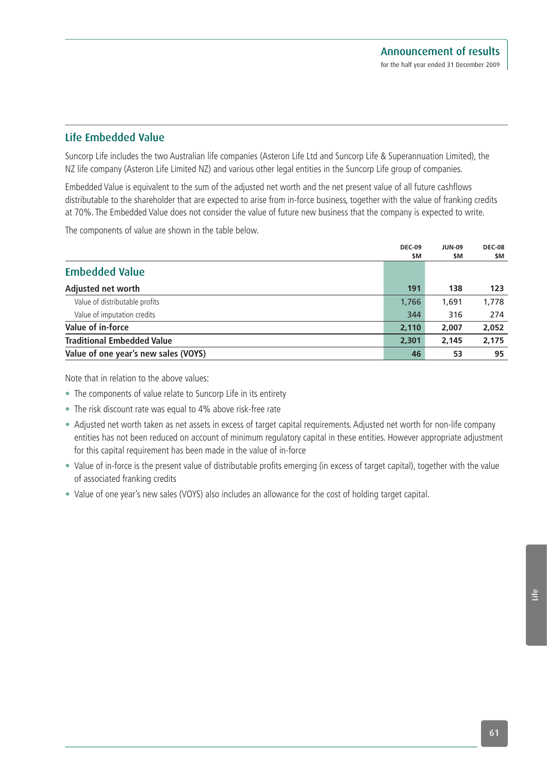### Life Embedded Value

Suncorp Life includes the two Australian life companies (Asteron Life Ltd and Suncorp Life & Superannuation Limited), the NZ life company (Asteron Life Limited NZ) and various other legal entities in the Suncorp Life group of companies.

Embedded Value is equivalent to the sum of the adjusted net worth and the net present value of all future cashflows distributable to the shareholder that are expected to arise from in-force business, together with the value of franking credits at 70%. The Embedded Value does not consider the value of future new business that the company is expected to write.

The components of value are shown in the table below.

|                                      | <b>DEC-09</b><br><b>SM</b> | <b>JUN-09</b><br>\$M | <b>DEC-08</b><br>\$M. |
|--------------------------------------|----------------------------|----------------------|-----------------------|
| <b>Embedded Value</b>                |                            |                      |                       |
| Adjusted net worth                   | 191                        | 138                  | 123                   |
| Value of distributable profits       | 1,766                      | 1,691                | 1,778                 |
| Value of imputation credits          | 344                        | 316                  | 274                   |
| Value of in-force                    | 2,110                      | 2,007                | 2,052                 |
| <b>Traditional Embedded Value</b>    | 2,301                      | 2,145                | 2,175                 |
| Value of one year's new sales (VOYS) | 46                         | 53                   | 95                    |

Note that in relation to the above values:

- The components of value relate to Suncorp Life in its entirety
- The risk discount rate was equal to 4% above risk-free rate
- Adjusted net worth taken as net assets in excess of target capital requirements. Adjusted net worth for non-life company entities has not been reduced on account of minimum regulatory capital in these entities. However appropriate adjustment for this capital requirement has been made in the value of in-force
- Value of in-force is the present value of distributable profits emerging (in excess of target capital), together with the value of associated franking credits
- Value of one year's new sales (VOYS) also includes an allowance for the cost of holding target capital.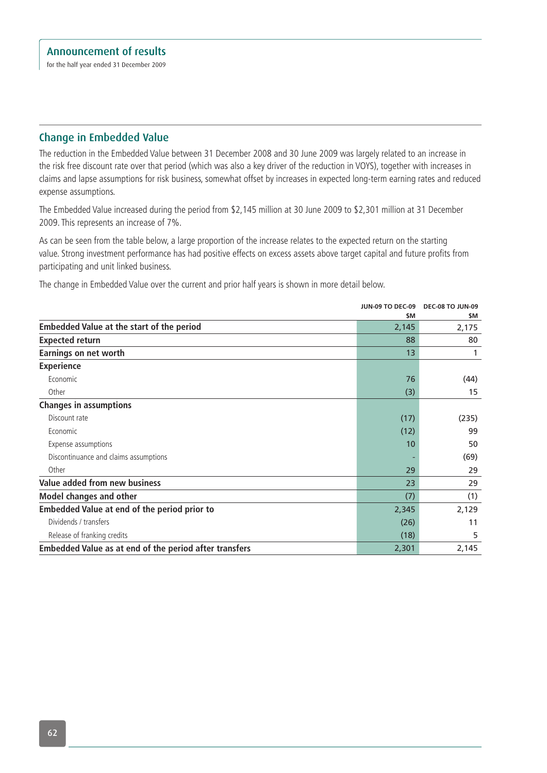for the half year ended 31 December 2009

### Change in Embedded Value

The reduction in the Embedded Value between 31 December 2008 and 30 June 2009 was largely related to an increase in the risk free discount rate over that period (which was also a key driver of the reduction in VOYS), together with increases in claims and lapse assumptions for risk business, somewhat offset by increases in expected long-term earning rates and reduced expense assumptions.

The Embedded Value increased during the period from \$2,145 million at 30 June 2009 to \$2,301 million at 31 December 2009. This represents an increase of 7%.

As can be seen from the table below, a large proportion of the increase relates to the expected return on the starting value. Strong investment performance has had positive effects on excess assets above target capital and future profits from participating and unit linked business.

The change in Embedded Value over the current and prior half years is shown in more detail below.

|                                                        | <b>JUN-09 TO DEC-09</b> | <b>DEC-08 TO JUN-09</b> |
|--------------------------------------------------------|-------------------------|-------------------------|
|                                                        | \$M                     | \$M                     |
| <b>Embedded Value at the start of the period</b>       | 2,145                   | 2,175                   |
| <b>Expected return</b>                                 | 88                      | 80                      |
| <b>Earnings on net worth</b>                           | 13                      | 1                       |
| <b>Experience</b>                                      |                         |                         |
| Economic                                               | 76                      | (44)                    |
| Other                                                  | (3)                     | 15                      |
| <b>Changes in assumptions</b>                          |                         |                         |
| Discount rate                                          | (17)                    | (235)                   |
| Economic                                               | (12)                    | 99                      |
| Expense assumptions                                    | 10                      | 50                      |
| Discontinuance and claims assumptions                  |                         | (69)                    |
| Other                                                  | 29                      | 29                      |
| Value added from new business                          | 23                      | 29                      |
| <b>Model changes and other</b>                         | (7)                     | (1)                     |
| Embedded Value at end of the period prior to           | 2,345                   | 2,129                   |
| Dividends / transfers                                  | (26)                    | 11                      |
| Release of franking credits                            | (18)                    | 5                       |
| Embedded Value as at end of the period after transfers | 2,301                   | 2,145                   |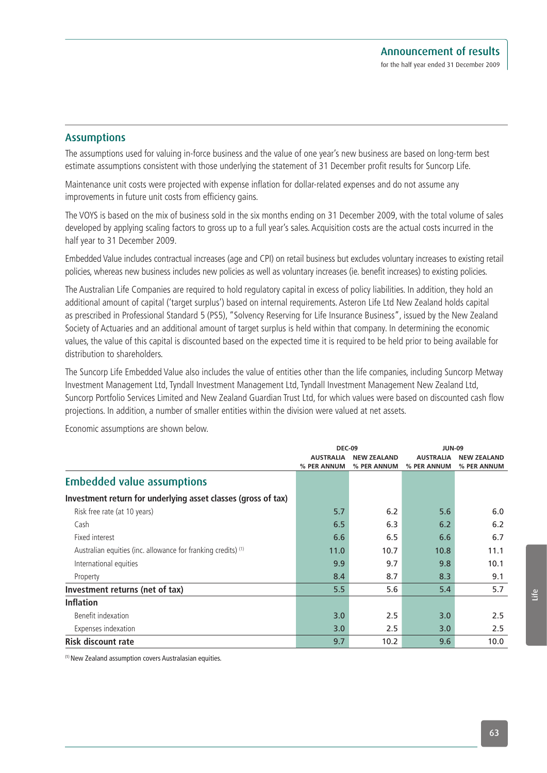### Assumptions

The assumptions used for valuing in-force business and the value of one year's new business are based on long-term best estimate assumptions consistent with those underlying the statement of 31 December profit results for Suncorp Life.

Maintenance unit costs were projected with expense inflation for dollar-related expenses and do not assume any improvements in future unit costs from efficiency gains.

The VOYS is based on the mix of business sold in the six months ending on 31 December 2009, with the total volume of sales developed by applying scaling factors to gross up to a full year's sales. Acquisition costs are the actual costs incurred in the half year to 31 December 2009.

Embedded Value includes contractual increases (age and CPI) on retail business but excludes voluntary increases to existing retail policies, whereas new business includes new policies as well as voluntary increases (ie. benefit increases) to existing policies.

The Australian Life Companies are required to hold regulatory capital in excess of policy liabilities. In addition, they hold an additional amount of capital ('target surplus') based on internal requirements. Asteron Life Ltd New Zealand holds capital as prescribed in Professional Standard 5 (PS5), "Solvency Reserving for Life Insurance Business", issued by the New Zealand Society of Actuaries and an additional amount of target surplus is held within that company. In determining the economic values, the value of this capital is discounted based on the expected time it is required to be held prior to being available for distribution to shareholders.

The Suncorp Life Embedded Value also includes the value of entities other than the life companies, including Suncorp Metway Investment Management Ltd, Tyndall Investment Management Ltd, Tyndall Investment Management New Zealand Ltd, Suncorp Portfolio Services Limited and New Zealand Guardian Trust Ltd, for which values were based on discounted cash flow projections. In addition, a number of smaller entities within the division were valued at net assets.

Economic assumptions are shown below.

|                                                                          | <b>DEC-09</b>    |                    | <b>JUN-09</b>    |                    |  |  |
|--------------------------------------------------------------------------|------------------|--------------------|------------------|--------------------|--|--|
|                                                                          | <b>AUSTRALIA</b> | <b>NEW ZEALAND</b> | <b>AUSTRALIA</b> | <b>NEW ZEALAND</b> |  |  |
|                                                                          | % PER ANNUM      | % PER ANNUM        | % PER ANNUM      | % PER ANNUM        |  |  |
| <b>Embedded value assumptions</b>                                        |                  |                    |                  |                    |  |  |
| Investment return for underlying asset classes (gross of tax)            |                  |                    |                  |                    |  |  |
| Risk free rate (at 10 years)                                             | 5.7              | 6.2                | 5.6              | 6.0                |  |  |
| Cash                                                                     | 6.5              | 6.3                | 6.2              | 6.2                |  |  |
| Fixed interest                                                           | 6.6              | 6.5                | 6.6              | 6.7                |  |  |
| Australian equities (inc. allowance for franking credits) <sup>(1)</sup> | 11.0             | 10.7               | 10.8             | 11.1               |  |  |
| International equities                                                   | 9.9              | 9.7                | 9.8              | 10.1               |  |  |
| Property                                                                 | 8.4              | 8.7                | 8.3              | 9.1                |  |  |
| Investment returns (net of tax)                                          | 5.5              | 5.6                | 5.4              | 5.7                |  |  |
| <b>Inflation</b>                                                         |                  |                    |                  |                    |  |  |
| Benefit indexation                                                       | 3.0              | 2.5                | 3.0              | 2.5                |  |  |
| Expenses indexation                                                      | 3.0              | 2.5                | 3.0              | 2.5                |  |  |
| <b>Risk discount rate</b>                                                | 9.7              | 10.2               | 9.6              | 10.0               |  |  |

(1) New Zealand assumption covers Australasian equities.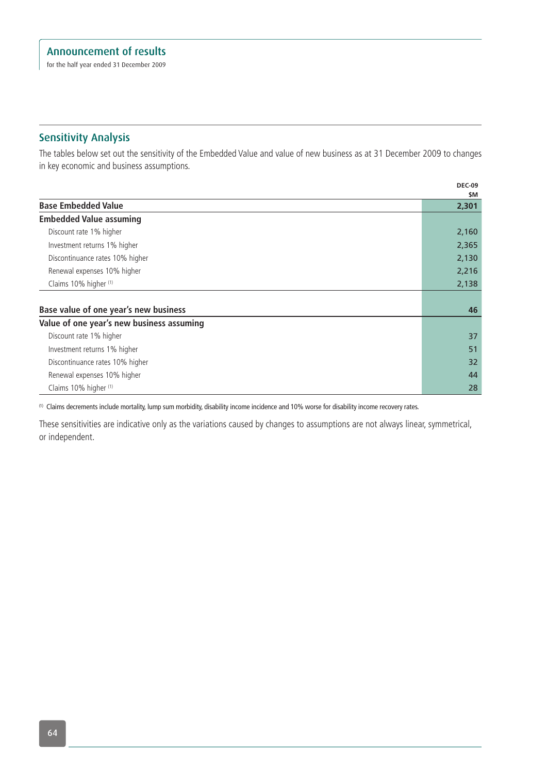for the half year ended 31 December 2009

## Sensitivity Analysis

The tables below set out the sensitivity of the Embedded Value and value of new business as at 31 December 2009 to changes in key economic and business assumptions.

|                                           | <b>DEC-09</b> |
|-------------------------------------------|---------------|
|                                           | \$M           |
| <b>Base Embedded Value</b>                | 2,301         |
| <b>Embedded Value assuming</b>            |               |
| Discount rate 1% higher                   | 2,160         |
| Investment returns 1% higher              | 2,365         |
| Discontinuance rates 10% higher           | 2,130         |
| Renewal expenses 10% higher               | 2,216         |
| Claims 10% higher (1)                     | 2,138         |
|                                           |               |
| Base value of one year's new business     | 46            |
| Value of one year's new business assuming |               |
| Discount rate 1% higher                   | 37            |
| Investment returns 1% higher              | 51            |
| Discontinuance rates 10% higher           | 32            |
| Renewal expenses 10% higher               | 44            |
| Claims 10% higher (1)                     | 28            |

<sup>(1)</sup> Claims decrements include mortality, lump sum morbidity, disability income incidence and 10% worse for disability income recovery rates.

These sensitivities are indicative only as the variations caused by changes to assumptions are not always linear, symmetrical, or independent.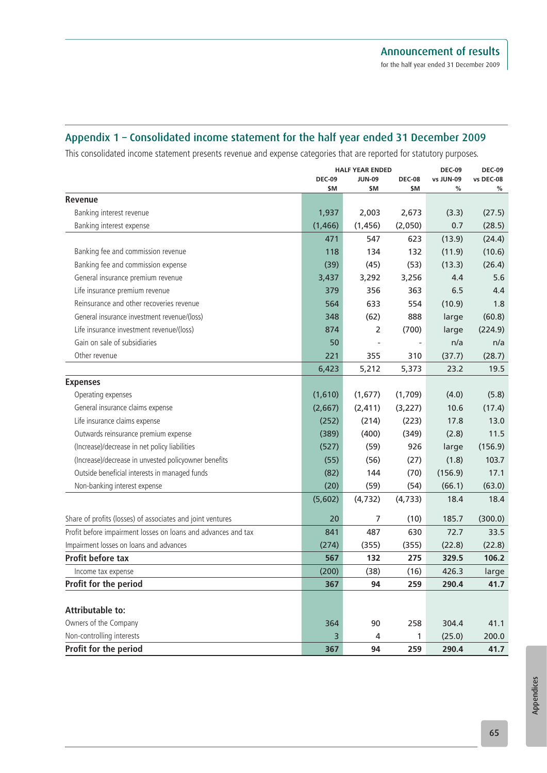## Appendix 1 – Consolidated income statement for the half year ended 31 December 2009

This consolidated income statement presents revenue and expense categories that are reported for statutory purposes.

|                                                               |                      | <b>HALF YEAR ENDED</b> | <b>DEC-09</b>        | <b>DEC-09</b>  |                |
|---------------------------------------------------------------|----------------------|------------------------|----------------------|----------------|----------------|
|                                                               | <b>DEC-09</b><br>\$M | <b>JUN-09</b><br>\$M   | <b>DEC-08</b><br>\$M | vs JUN-09<br>% | vs DEC-08<br>% |
| Revenue                                                       |                      |                        |                      |                |                |
| Banking interest revenue                                      | 1,937                | 2,003                  | 2,673                | (3.3)          | (27.5)         |
| Banking interest expense                                      | (1, 466)             | (1, 456)               | (2,050)              | 0.7            | (28.5)         |
|                                                               | 471                  | 547                    | 623                  | (13.9)         | (24.4)         |
| Banking fee and commission revenue                            | 118                  | 134                    | 132                  | (11.9)         | (10.6)         |
| Banking fee and commission expense                            | (39)                 | (45)                   | (53)                 | (13.3)         | (26.4)         |
| General insurance premium revenue                             | 3,437                | 3,292                  | 3,256                | 4.4            | 5.6            |
| Life insurance premium revenue                                | 379                  | 356                    | 363                  | 6.5            | 4.4            |
| Reinsurance and other recoveries revenue                      | 564                  | 633                    | 554                  | (10.9)         | 1.8            |
| General insurance investment revenue/(loss)                   | 348                  | (62)                   | 888                  | large          | (60.8)         |
| Life insurance investment revenue/(loss)                      | 874                  | 2                      | (700)                | large          | (224.9)        |
| Gain on sale of subsidiaries                                  | 50                   |                        |                      | n/a            | n/a            |
| Other revenue                                                 | 221                  | 355                    | 310                  | (37.7)         | (28.7)         |
|                                                               | 6,423                | 5,212                  | 5,373                | 23.2           | 19.5           |
| <b>Expenses</b>                                               |                      |                        |                      |                |                |
| Operating expenses                                            | (1,610)              | (1,677)                | (1,709)              | (4.0)          | (5.8)          |
| General insurance claims expense                              | (2,667)              | (2, 411)               | (3, 227)             | 10.6           | (17.4)         |
| Life insurance claims expense                                 | (252)                | (214)                  | (223)                | 17.8           | 13.0           |
| Outwards reinsurance premium expense                          | (389)                | (400)                  | (349)                | (2.8)          | 11.5           |
| (Increase)/decrease in net policy liabilities                 | (527)                | (59)                   | 926                  | large          | (156.9)        |
| (Increase)/decrease in unvested policyowner benefits          | (55)                 | (56)                   | (27)                 | (1.8)          | 103.7          |
| Outside beneficial interests in managed funds                 | (82)                 | 144                    | (70)                 | (156.9)        | 17.1           |
| Non-banking interest expense                                  | (20)                 | (59)                   | (54)                 | (66.1)         | (63.0)         |
|                                                               | (5,602)              | (4, 732)               | (4, 733)             | 18.4           | 18.4           |
| Share of profits (losses) of associates and joint ventures    | 20                   | 7                      | (10)                 | 185.7          | (300.0)        |
| Profit before impairment losses on loans and advances and tax | 841                  | 487                    | 630                  | 72.7           | 33.5           |
| Impairment losses on loans and advances                       | (274)                | (355)                  | (355)                | (22.8)         | (22.8)         |
| Profit before tax                                             | 567                  | 132                    | 275                  | 329.5          | 106.2          |
| Income tax expense                                            | (200)                | (38)                   | (16)                 | 426.3          | large          |
| Profit for the period                                         | 367                  | 94                     | 259                  | 290.4          | 41.7           |
|                                                               |                      |                        |                      |                |                |
| <b>Attributable to:</b>                                       |                      |                        |                      |                |                |
| Owners of the Company                                         | 364                  | 90                     | 258                  | 304.4          | 41.1           |
| Non-controlling interests                                     | 3                    | 4                      | 1                    | (25.0)         | 200.0          |
| Profit for the period                                         | 367                  | 94                     | 259                  | 290.4          | 41.7           |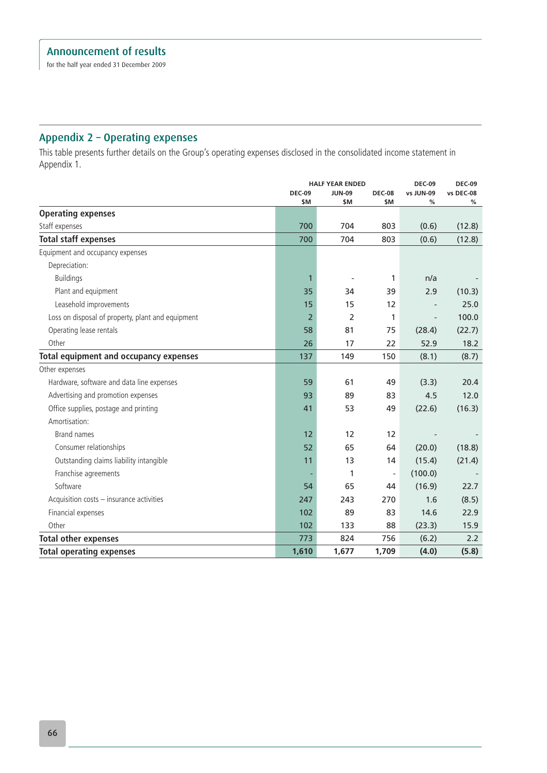for the half year ended 31 December 2009

## Appendix 2 – Operating expenses

This table presents further details on the Group's operating expenses disclosed in the consolidated income statement in Appendix 1.

|                                                   | <b>HALF YEAR ENDED</b> |                      |                          | <b>DEC-09</b>  | <b>DEC-09</b>  |
|---------------------------------------------------|------------------------|----------------------|--------------------------|----------------|----------------|
|                                                   | <b>DEC-09</b><br>\$M   | <b>JUN-09</b><br>\$M | <b>DEC-08</b><br>\$M     | vs JUN-09<br>% | vs DEC-08<br>℅ |
| <b>Operating expenses</b>                         |                        |                      |                          |                |                |
| Staff expenses                                    | 700                    | 704                  | 803                      | (0.6)          | (12.8)         |
| <b>Total staff expenses</b>                       | 700                    | 704                  | 803                      | (0.6)          | (12.8)         |
| Equipment and occupancy expenses                  |                        |                      |                          |                |                |
| Depreciation:                                     |                        |                      |                          |                |                |
| <b>Buildings</b>                                  | $\mathbf{1}$           |                      | 1                        | n/a            |                |
| Plant and equipment                               | 35                     | 34                   | 39                       | 2.9            | (10.3)         |
| Leasehold improvements                            | 15                     | 15                   | 12                       |                | 25.0           |
| Loss on disposal of property, plant and equipment | 2                      | $\overline{2}$       | 1                        | ÷,             | 100.0          |
| Operating lease rentals                           | 58                     | 81                   | 75                       | (28.4)         | (22.7)         |
| Other                                             | 26                     | 17                   | 22                       | 52.9           | 18.2           |
| <b>Total equipment and occupancy expenses</b>     | 137                    | 149                  | 150                      | (8.1)          | (8.7)          |
| Other expenses                                    |                        |                      |                          |                |                |
| Hardware, software and data line expenses         | 59                     | 61                   | 49                       | (3.3)          | 20.4           |
| Advertising and promotion expenses                | 93                     | 89                   | 83                       | 4.5            | 12.0           |
| Office supplies, postage and printing             | 41                     | 53                   | 49                       | (22.6)         | (16.3)         |
| Amortisation:                                     |                        |                      |                          |                |                |
| <b>Brand names</b>                                | 12                     | 12                   | 12                       |                |                |
| Consumer relationships                            | 52                     | 65                   | 64                       | (20.0)         | (18.8)         |
| Outstanding claims liability intangible           | 11                     | 13                   | 14                       | (15.4)         | (21.4)         |
| Franchise agreements                              |                        | 1                    | $\overline{\phantom{a}}$ | (100.0)        |                |
| Software                                          | 54                     | 65                   | 44                       | (16.9)         | 22.7           |
| Acquisition costs - insurance activities          | 247                    | 243                  | 270                      | 1.6            | (8.5)          |
| Financial expenses                                | 102                    | 89                   | 83                       | 14.6           | 22.9           |
| Other                                             | 102                    | 133                  | 88                       | (23.3)         | 15.9           |
| <b>Total other expenses</b>                       | 773                    | 824                  | 756                      | (6.2)          | 2.2            |
| <b>Total operating expenses</b>                   | 1,610                  | 1,677                | 1,709                    | (4.0)          | (5.8)          |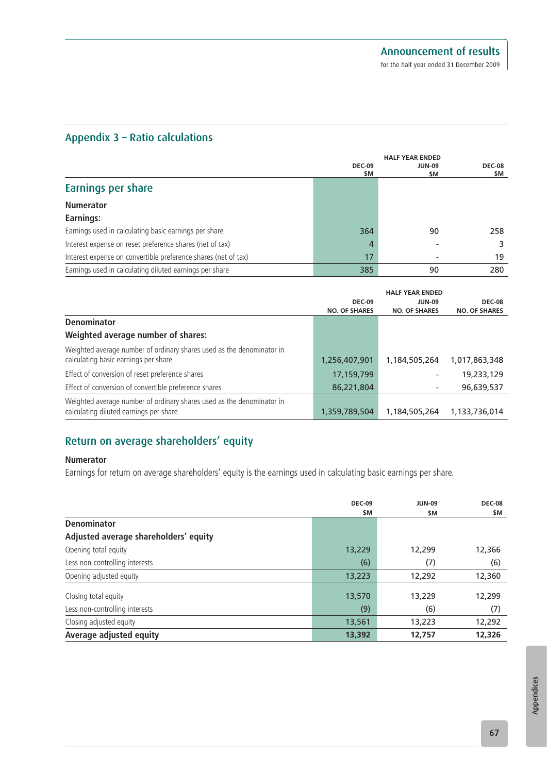## Appendix 3 – Ratio calculations

|                                                                | <b>HALF YEAR ENDED</b> |                      |                       |  |  |  |
|----------------------------------------------------------------|------------------------|----------------------|-----------------------|--|--|--|
|                                                                | <b>DEC-09</b><br>\$M   | <b>JUN-09</b><br>\$M | <b>DEC-08</b><br>\$M. |  |  |  |
| Earnings per share                                             |                        |                      |                       |  |  |  |
| <b>Numerator</b>                                               |                        |                      |                       |  |  |  |
| Earnings:                                                      |                        |                      |                       |  |  |  |
| Earnings used in calculating basic earnings per share          | 364                    | 90                   | 258                   |  |  |  |
| Interest expense on reset preference shares (net of tax)       | 4                      |                      | 3                     |  |  |  |
| Interest expense on convertible preference shares (net of tax) | 17                     |                      | 19                    |  |  |  |
| Earnings used in calculating diluted earnings per share        | 385                    | 90                   | 280                   |  |  |  |

|                                                                       |                      | <b>HALF YEAR ENDED</b> |                      |
|-----------------------------------------------------------------------|----------------------|------------------------|----------------------|
|                                                                       | <b>DEC-09</b>        | JUN-09                 | <b>DEC-08</b>        |
|                                                                       | <b>NO. OF SHARES</b> | <b>NO. OF SHARES</b>   | <b>NO. OF SHARES</b> |
| <b>Denominator</b>                                                    |                      |                        |                      |
| Weighted average number of shares:                                    |                      |                        |                      |
| Weighted average number of ordinary shares used as the denominator in |                      |                        |                      |
| calculating basic earnings per share                                  | 1,256,407,901        | 1,184,505,264          | 1,017,863,348        |
| Effect of conversion of reset preference shares                       | 17,159,799           |                        | 19,233,129           |
| Effect of conversion of convertible preference shares                 | 86,221,804           |                        | 96,639,537           |
| Weighted average number of ordinary shares used as the denominator in |                      |                        |                      |
| calculating diluted earnings per share                                | 1,359,789,504        | 1,184,505,264          | 1,133,736,014        |

# Return on average shareholders' equity

#### **Numerator**

Earnings for return on average shareholders' equity is the earnings used in calculating basic earnings per share.

|                                       | <b>DEC-09</b> | <b>JUN-09</b> | <b>DEC-08</b> |
|---------------------------------------|---------------|---------------|---------------|
|                                       | \$M           | \$M           | \$M           |
| <b>Denominator</b>                    |               |               |               |
| Adjusted average shareholders' equity |               |               |               |
| Opening total equity                  | 13,229        | 12,299        | 12,366        |
| Less non-controlling interests        | (6)           | (7)           | (6)           |
| Opening adjusted equity               | 13,223        | 12,292        | 12,360        |
| Closing total equity                  | 13,570        | 13,229        | 12,299        |
| Less non-controlling interests        | (9)           | (6)           | (7)           |
| Closing adjusted equity               | 13,561        | 13,223        | 12,292        |
| Average adjusted equity               | 13,392        | 12,757        | 12,326        |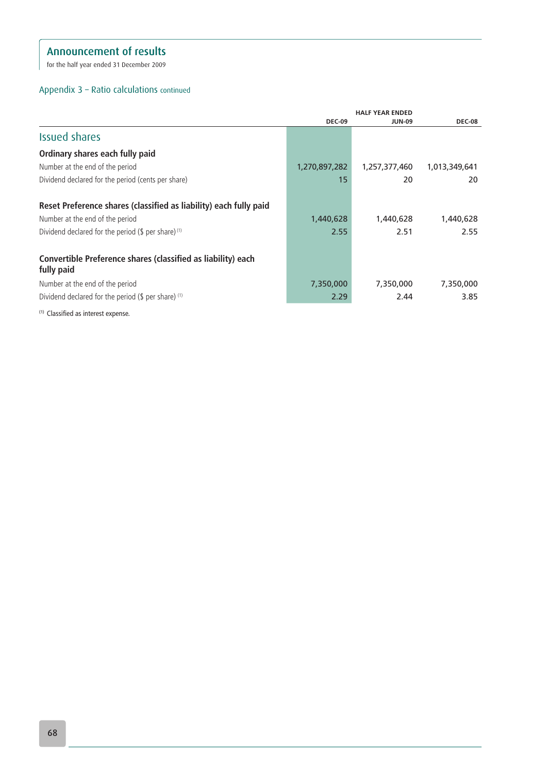for the half year ended 31 December 2009

## Appendix 3 – Ratio calculations continued

|                                                                            |               | <b>HALF YEAR ENDED</b> |               |
|----------------------------------------------------------------------------|---------------|------------------------|---------------|
|                                                                            | <b>DEC-09</b> | <b>JUN-09</b>          | <b>DEC-08</b> |
| <b>Issued shares</b>                                                       |               |                        |               |
| Ordinary shares each fully paid                                            |               |                        |               |
| Number at the end of the period                                            | 1,270,897,282 | 1,257,377,460          | 1,013,349,641 |
| Dividend declared for the period (cents per share)                         | 15            | 20                     | 20            |
| Reset Preference shares (classified as liability) each fully paid          |               |                        |               |
| Number at the end of the period                                            | 1,440,628     | 1,440,628              | 1,440,628     |
| Dividend declared for the period $(\$$ per share) <sup>(1)</sup>           | 2.55          | 2.51                   | 2.55          |
| Convertible Preference shares (classified as liability) each<br>fully paid |               |                        |               |
| Number at the end of the period                                            | 7,350,000     | 7,350,000              | 7,350,000     |
| Dividend declared for the period (\$ per share) (1)                        | 2.29          | 2.44                   | 3.85          |
| <sup>(1)</sup> Classified as interest expense.                             |               |                        |               |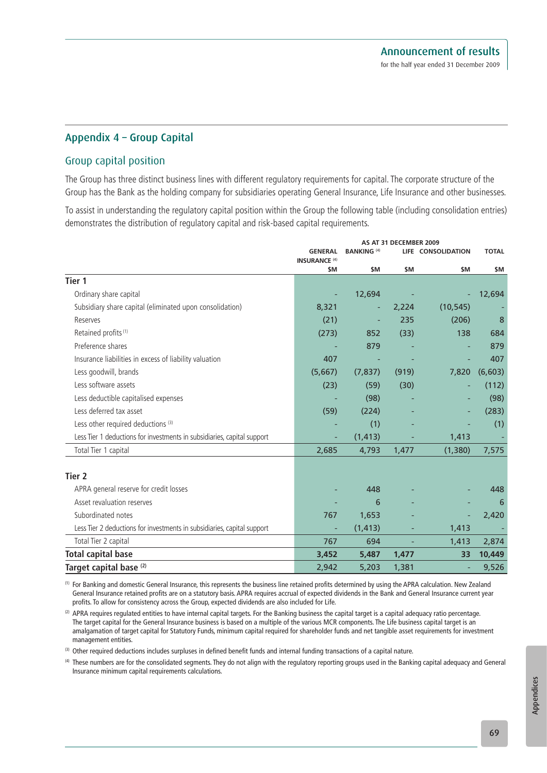## Appendix 4 – Group Capital

## Group capital position

The Group has three distinct business lines with different regulatory requirements for capital. The corporate structure of the Group has the Bank as the holding company for subsidiaries operating General Insurance, Life Insurance and other businesses.

To assist in understanding the regulatory capital position within the Group the following table (including consolidation entries) demonstrates the distribution of regulatory capital and risk-based capital requirements.

|                                                                         |                                        |                    | AS AT 31 DECEMBER 2009 |                    |              |
|-------------------------------------------------------------------------|----------------------------------------|--------------------|------------------------|--------------------|--------------|
|                                                                         | <b>GENERAL</b><br><b>INSURANCE (4)</b> | <b>BANKING (4)</b> |                        | LIFE CONSOLIDATION | <b>TOTAL</b> |
|                                                                         | \$M                                    | \$M                | \$M                    | \$M                | \$M          |
| Tier 1                                                                  |                                        |                    |                        |                    |              |
| Ordinary share capital                                                  |                                        | 12,694             |                        |                    | 12,694       |
| Subsidiary share capital (eliminated upon consolidation)                | 8,321                                  |                    | 2,224                  | (10, 545)          |              |
| Reserves                                                                | (21)                                   |                    | 235                    | (206)              | 8            |
| Retained profits <sup>(1)</sup>                                         | (273)                                  | 852                | (33)                   | 138                | 684          |
| Preference shares                                                       |                                        | 879                |                        |                    | 879          |
| Insurance liabilities in excess of liability valuation                  | 407                                    |                    |                        |                    | 407          |
| Less goodwill, brands                                                   | (5,667)                                | (7, 837)           | (919)                  | 7,820              | (6, 603)     |
| Less software assets                                                    | (23)                                   | (59)               | (30)                   |                    | (112)        |
| Less deductible capitalised expenses                                    |                                        | (98)               |                        |                    | (98)         |
| Less deferred tax asset                                                 | (59)                                   | (224)              |                        |                    | (283)        |
| Less other required deductions <sup>(3)</sup>                           |                                        | (1)                |                        |                    | (1)          |
| Less Tier 1 deductions for investments in subsidiaries, capital support |                                        | (1, 413)           |                        | 1,413              |              |
| Total Tier 1 capital                                                    | 2,685                                  | 4,793              | 1,477                  | (1,380)            | 7,575        |
| Tier 2                                                                  |                                        |                    |                        |                    |              |
| APRA general reserve for credit losses                                  |                                        | 448                |                        |                    | 448          |
| Asset revaluation reserves                                              |                                        | 6                  |                        |                    | 6            |
| Subordinated notes                                                      | 767                                    | 1,653              |                        |                    | 2,420        |
| Less Tier 2 deductions for investments in subsidiaries, capital support |                                        | (1, 413)           |                        | 1,413              |              |
| Total Tier 2 capital                                                    | 767                                    | 694                |                        | 1,413              | 2,874        |
| <b>Total capital base</b>                                               | 3,452                                  | 5,487              | 1,477                  | 33                 | 10,449       |
| Target capital base <sup>(2)</sup>                                      | 2,942                                  | 5,203              | 1,381                  | ÷,                 | 9,526        |

(1) For Banking and domestic General Insurance, this represents the business line retained profits determined by using the APRA calculation. New Zealand General Insurance retained profits are on a statutory basis. APRA requires accrual of expected dividends in the Bank and General Insurance current year profits. To allow for consistency across the Group, expected dividends are also included for Life.

 $(2)$  APRA requires regulated entities to have internal capital targets. For the Banking business the capital target is a capital adequacy ratio percentage. The target capital for the General Insurance business is based on a multiple of the various MCR components. The Life business capital target is an amalgamation of target capital for Statutory Funds, minimum capital required for shareholder funds and net tangible asset requirements for investment management entities.

(3) Other required deductions includes surpluses in defined benefit funds and internal funding transactions of a capital nature.

(4) These numbers are for the consolidated segments. They do not align with the regulatory reporting groups used in the Banking capital adequacy and General Insurance minimum capital requirements calculations.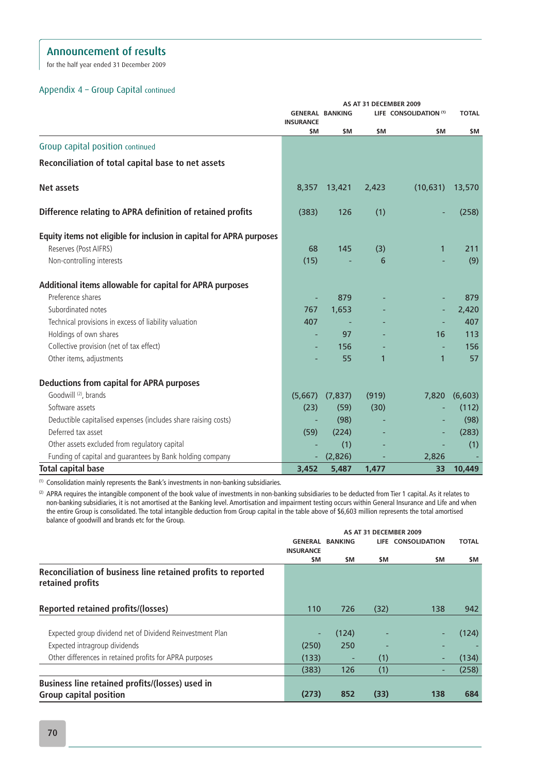for the half year ended 31 December 2009

#### Appendix 4 – Group Capital continued

|                                                                      |                  |                        | AS AT 31 DECEMBER 2009 |                        |              |
|----------------------------------------------------------------------|------------------|------------------------|------------------------|------------------------|--------------|
|                                                                      | <b>INSURANCE</b> | <b>GENERAL BANKING</b> |                        | LIFE CONSOLIDATION (1) | <b>TOTAL</b> |
|                                                                      | \$M              | \$M                    | \$M                    | \$M                    | \$M          |
| Group capital position continued                                     |                  |                        |                        |                        |              |
| Reconciliation of total capital base to net assets                   |                  |                        |                        |                        |              |
| <b>Net assets</b>                                                    | 8,357            | 13,421                 | 2,423                  | (10, 631)              | 13,570       |
| Difference relating to APRA definition of retained profits           | (383)            | 126                    | (1)                    |                        | (258)        |
| Equity items not eligible for inclusion in capital for APRA purposes |                  |                        |                        |                        |              |
| Reserves (Post AIFRS)                                                | 68               | 145                    | (3)                    | 1                      | 211          |
| Non-controlling interests                                            | (15)             |                        | 6                      |                        | (9)          |
| Additional items allowable for capital for APRA purposes             |                  |                        |                        |                        |              |
| Preference shares                                                    |                  | 879                    |                        |                        | 879          |
| Subordinated notes                                                   | 767              | 1,653                  |                        |                        | 2,420        |
| Technical provisions in excess of liability valuation                | 407              |                        |                        |                        | 407          |
| Holdings of own shares                                               |                  | 97                     |                        | 16                     | 113          |
| Collective provision (net of tax effect)                             |                  | 156                    |                        |                        | 156          |
| Other items, adjustments                                             |                  | 55                     | 1                      | $\mathbf{1}$           | 57           |
| <b>Deductions from capital for APRA purposes</b>                     |                  |                        |                        |                        |              |
| Goodwill (2), brands                                                 | (5,667)          | (7, 837)               | (919)                  | 7,820                  | (6, 603)     |
| Software assets                                                      | (23)             | (59)                   | (30)                   |                        | (112)        |
| Deductible capitalised expenses (includes share raising costs)       |                  | (98)                   |                        |                        | (98)         |
| Deferred tax asset                                                   | (59)             | (224)                  |                        |                        | (283)        |
| Other assets excluded from regulatory capital                        |                  | (1)                    |                        |                        | (1)          |
| Funding of capital and guarantees by Bank holding company            |                  | (2,826)                |                        | 2,826                  |              |
| <b>Total capital base</b>                                            | 3,452            | 5,487                  | 1,477                  | 33                     | 10,449       |

(1) Consolidation mainly represents the Bank's investments in non-banking subsidiaries.

(2) APRA requires the intangible component of the book value of investments in non-banking subsidiaries to be deducted from Tier 1 capital. As it relates to non-banking subsidiaries, it is not amortised at the Banking level. Amortisation and impairment testing occurs within General Insurance and Life and when the entire Group is consolidated. The total intangible deduction from Group capital in the table above of \$6,603 million represents the total amortised balance of goodwill and brands etc for the Group.

|                                                                                  |                         |                        | AS AT 31 DECEMBER 2009 |                    |              |
|----------------------------------------------------------------------------------|-------------------------|------------------------|------------------------|--------------------|--------------|
|                                                                                  |                         | <b>GENERAL BANKING</b> |                        | LIFE CONSOLIDATION | <b>TOTAL</b> |
|                                                                                  | <b>INSURANCE</b><br>\$M | \$M                    | \$M                    | \$M                | \$M          |
| Reconciliation of business line retained profits to reported<br>retained profits |                         |                        |                        |                    |              |
| <b>Reported retained profits/(losses)</b>                                        | 110                     | 726                    | (32)                   | 138                | 942          |
| Expected group dividend net of Dividend Reinvestment Plan                        | ٠                       | (124)                  |                        |                    | (124)        |
| Expected intragroup dividends                                                    | (250)                   | 250                    |                        |                    |              |
| Other differences in retained profits for APRA purposes                          | (133)                   |                        | (1)                    | ۰                  | (134)        |
|                                                                                  | (383)                   | 126                    | (1)                    | ۰                  | (258)        |
| Business line retained profits/(losses) used in                                  |                         |                        |                        |                    |              |
| <b>Group capital position</b>                                                    | (273)                   | 852                    | (33)                   | 138                | 684          |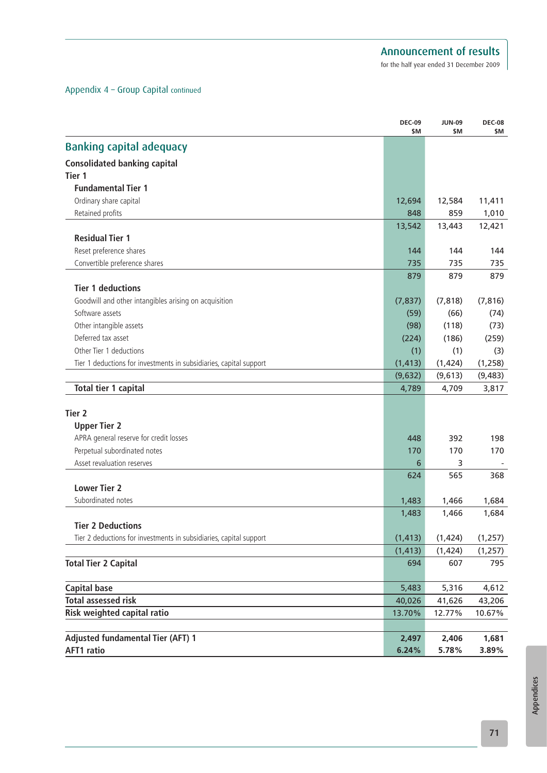for the half year ended 31 December 2009

Appendix 4 – Group Capital continued

|                                                                    | <b>DEC-09</b><br>\$M | <b>JUN-09</b><br>\$M | <b>DEC-08</b><br>\$M |
|--------------------------------------------------------------------|----------------------|----------------------|----------------------|
| <b>Banking capital adequacy</b>                                    |                      |                      |                      |
| <b>Consolidated banking capital</b>                                |                      |                      |                      |
| Tier 1                                                             |                      |                      |                      |
| <b>Fundamental Tier 1</b>                                          |                      |                      |                      |
| Ordinary share capital                                             | 12,694               | 12,584               | 11,411               |
| Retained profits                                                   | 848                  | 859                  | 1,010                |
|                                                                    | 13,542               | 13,443               | 12,421               |
| <b>Residual Tier 1</b>                                             |                      |                      |                      |
| Reset preference shares                                            | 144                  | 144                  | 144                  |
| Convertible preference shares                                      | 735                  | 735                  | 735                  |
|                                                                    | 879                  | 879                  | 879                  |
| <b>Tier 1 deductions</b>                                           |                      |                      |                      |
| Goodwill and other intangibles arising on acquisition              | (7, 837)             | (7, 818)             | (7, 816)             |
| Software assets                                                    | (59)                 | (66)                 | (74)                 |
| Other intangible assets                                            | (98)                 | (118)                | (73)                 |
| Deferred tax asset                                                 | (224)                | (186)                | (259)                |
| Other Tier 1 deductions                                            | (1)                  | (1)                  | (3)                  |
| Tier 1 deductions for investments in subsidiaries, capital support | (1, 413)             | (1,424)              | (1, 258)             |
|                                                                    | (9,632)              | (9,613)              | (9,483)              |
| Total tier 1 capital                                               | 4,789                | 4,709                | 3,817                |
|                                                                    |                      |                      |                      |
| Tier <sub>2</sub>                                                  |                      |                      |                      |
| <b>Upper Tier 2</b>                                                |                      |                      |                      |
| APRA general reserve for credit losses                             | 448                  | 392                  | 198                  |
| Perpetual subordinated notes                                       | 170                  | 170                  | 170                  |
| Asset revaluation reserves                                         | 6                    | 3                    |                      |
|                                                                    | 624                  | 565                  | 368                  |
| <b>Lower Tier 2</b>                                                |                      |                      |                      |
| Subordinated notes                                                 | 1,483                | 1,466                | 1,684                |
|                                                                    | 1,483                | 1,466                | 1,684                |
| <b>Tier 2 Deductions</b>                                           |                      |                      |                      |
| Tier 2 deductions for investments in subsidiaries, capital support | (1, 413)             | (1, 424)             | (1, 257)             |
|                                                                    | (1, 413)             | (1, 424)             | (1, 257)             |
| <b>Total Tier 2 Capital</b>                                        | 694                  | 607                  | 795                  |
| <b>Capital base</b>                                                | 5,483                | 5,316                | 4,612                |
| <b>Total assessed risk</b>                                         | 40,026               | 41,626               | 43,206               |
| Risk weighted capital ratio                                        | 13.70%               | 12.77%               | 10.67%               |
|                                                                    |                      |                      |                      |
| <b>Adjusted fundamental Tier (AFT) 1</b>                           | 2,497                | 2,406                | 1,681                |
| <b>AFT1</b> ratio                                                  | 6.24%                | 5.78%                | 3.89%                |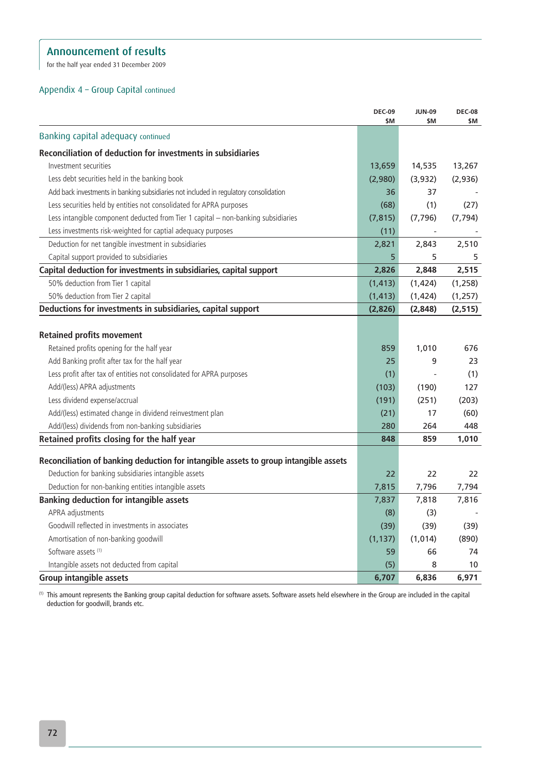for the half year ended 31 December 2009

## Appendix 4 – Group Capital continued

| \$M<br>\$M<br>\$M<br>Banking capital adequacy continued<br>Reconciliation of deduction for investments in subsidiaries<br>13,659<br>13,267<br>Investment securities<br>14,535<br>Less debt securities held in the banking book<br>(2,980)<br>(2,936)<br>(3,932)<br>Add back investments in banking subsidiaries not included in regulatory consolidation<br>36<br>37<br>Less securities held by entities not consolidated for APRA purposes<br>(68)<br>(1)<br>(27)<br>Less intangible component deducted from Tier 1 capital - non-banking subsidiaries<br>(7, 815)<br>(7, 796)<br>(7, 794)<br>Less investments risk-weighted for captial adequacy purposes<br>(11)<br>Deduction for net tangible investment in subsidiaries<br>2,510<br>2,821<br>2,843<br>Capital support provided to subsidiaries<br>5<br>5<br>5<br>Capital deduction for investments in subsidiaries, capital support<br>2,826<br>2,848<br>2,515<br>50% deduction from Tier 1 capital<br>(1, 413)<br>(1,424)<br>(1, 258)<br>50% deduction from Tier 2 capital<br>(1, 413)<br>(1, 257)<br>(1,424)<br>Deductions for investments in subsidiaries, capital support<br>(2,848)<br>(2, 515)<br>(2,826)<br><b>Retained profits movement</b><br>Retained profits opening for the half year<br>1,010<br>859<br>676<br>Add Banking profit after tax for the half year<br>25<br>9<br>23<br>Less profit after tax of entities not consolidated for APRA purposes<br>(1)<br>(1) |
|----------------------------------------------------------------------------------------------------------------------------------------------------------------------------------------------------------------------------------------------------------------------------------------------------------------------------------------------------------------------------------------------------------------------------------------------------------------------------------------------------------------------------------------------------------------------------------------------------------------------------------------------------------------------------------------------------------------------------------------------------------------------------------------------------------------------------------------------------------------------------------------------------------------------------------------------------------------------------------------------------------------------------------------------------------------------------------------------------------------------------------------------------------------------------------------------------------------------------------------------------------------------------------------------------------------------------------------------------------------------------------------------------------------------------------------|
|                                                                                                                                                                                                                                                                                                                                                                                                                                                                                                                                                                                                                                                                                                                                                                                                                                                                                                                                                                                                                                                                                                                                                                                                                                                                                                                                                                                                                                        |
|                                                                                                                                                                                                                                                                                                                                                                                                                                                                                                                                                                                                                                                                                                                                                                                                                                                                                                                                                                                                                                                                                                                                                                                                                                                                                                                                                                                                                                        |
|                                                                                                                                                                                                                                                                                                                                                                                                                                                                                                                                                                                                                                                                                                                                                                                                                                                                                                                                                                                                                                                                                                                                                                                                                                                                                                                                                                                                                                        |
|                                                                                                                                                                                                                                                                                                                                                                                                                                                                                                                                                                                                                                                                                                                                                                                                                                                                                                                                                                                                                                                                                                                                                                                                                                                                                                                                                                                                                                        |
|                                                                                                                                                                                                                                                                                                                                                                                                                                                                                                                                                                                                                                                                                                                                                                                                                                                                                                                                                                                                                                                                                                                                                                                                                                                                                                                                                                                                                                        |
|                                                                                                                                                                                                                                                                                                                                                                                                                                                                                                                                                                                                                                                                                                                                                                                                                                                                                                                                                                                                                                                                                                                                                                                                                                                                                                                                                                                                                                        |
|                                                                                                                                                                                                                                                                                                                                                                                                                                                                                                                                                                                                                                                                                                                                                                                                                                                                                                                                                                                                                                                                                                                                                                                                                                                                                                                                                                                                                                        |
|                                                                                                                                                                                                                                                                                                                                                                                                                                                                                                                                                                                                                                                                                                                                                                                                                                                                                                                                                                                                                                                                                                                                                                                                                                                                                                                                                                                                                                        |
|                                                                                                                                                                                                                                                                                                                                                                                                                                                                                                                                                                                                                                                                                                                                                                                                                                                                                                                                                                                                                                                                                                                                                                                                                                                                                                                                                                                                                                        |
|                                                                                                                                                                                                                                                                                                                                                                                                                                                                                                                                                                                                                                                                                                                                                                                                                                                                                                                                                                                                                                                                                                                                                                                                                                                                                                                                                                                                                                        |
|                                                                                                                                                                                                                                                                                                                                                                                                                                                                                                                                                                                                                                                                                                                                                                                                                                                                                                                                                                                                                                                                                                                                                                                                                                                                                                                                                                                                                                        |
|                                                                                                                                                                                                                                                                                                                                                                                                                                                                                                                                                                                                                                                                                                                                                                                                                                                                                                                                                                                                                                                                                                                                                                                                                                                                                                                                                                                                                                        |
|                                                                                                                                                                                                                                                                                                                                                                                                                                                                                                                                                                                                                                                                                                                                                                                                                                                                                                                                                                                                                                                                                                                                                                                                                                                                                                                                                                                                                                        |
|                                                                                                                                                                                                                                                                                                                                                                                                                                                                                                                                                                                                                                                                                                                                                                                                                                                                                                                                                                                                                                                                                                                                                                                                                                                                                                                                                                                                                                        |
|                                                                                                                                                                                                                                                                                                                                                                                                                                                                                                                                                                                                                                                                                                                                                                                                                                                                                                                                                                                                                                                                                                                                                                                                                                                                                                                                                                                                                                        |
|                                                                                                                                                                                                                                                                                                                                                                                                                                                                                                                                                                                                                                                                                                                                                                                                                                                                                                                                                                                                                                                                                                                                                                                                                                                                                                                                                                                                                                        |
|                                                                                                                                                                                                                                                                                                                                                                                                                                                                                                                                                                                                                                                                                                                                                                                                                                                                                                                                                                                                                                                                                                                                                                                                                                                                                                                                                                                                                                        |
|                                                                                                                                                                                                                                                                                                                                                                                                                                                                                                                                                                                                                                                                                                                                                                                                                                                                                                                                                                                                                                                                                                                                                                                                                                                                                                                                                                                                                                        |
|                                                                                                                                                                                                                                                                                                                                                                                                                                                                                                                                                                                                                                                                                                                                                                                                                                                                                                                                                                                                                                                                                                                                                                                                                                                                                                                                                                                                                                        |
| Add/(less) APRA adjustments<br>(103)<br>(190)<br>127                                                                                                                                                                                                                                                                                                                                                                                                                                                                                                                                                                                                                                                                                                                                                                                                                                                                                                                                                                                                                                                                                                                                                                                                                                                                                                                                                                                   |
| Less dividend expense/accrual<br>(191)<br>(251)<br>(203)                                                                                                                                                                                                                                                                                                                                                                                                                                                                                                                                                                                                                                                                                                                                                                                                                                                                                                                                                                                                                                                                                                                                                                                                                                                                                                                                                                               |
| Add/(less) estimated change in dividend reinvestment plan<br>(21)<br>17<br>(60)                                                                                                                                                                                                                                                                                                                                                                                                                                                                                                                                                                                                                                                                                                                                                                                                                                                                                                                                                                                                                                                                                                                                                                                                                                                                                                                                                        |
| Add/(less) dividends from non-banking subsidiaries<br>280<br>264<br>448                                                                                                                                                                                                                                                                                                                                                                                                                                                                                                                                                                                                                                                                                                                                                                                                                                                                                                                                                                                                                                                                                                                                                                                                                                                                                                                                                                |
| Retained profits closing for the half year<br>859<br>1,010<br>848                                                                                                                                                                                                                                                                                                                                                                                                                                                                                                                                                                                                                                                                                                                                                                                                                                                                                                                                                                                                                                                                                                                                                                                                                                                                                                                                                                      |
| Reconciliation of banking deduction for intangible assets to group intangible assets                                                                                                                                                                                                                                                                                                                                                                                                                                                                                                                                                                                                                                                                                                                                                                                                                                                                                                                                                                                                                                                                                                                                                                                                                                                                                                                                                   |
| Deduction for banking subsidiaries intangible assets<br>22<br>22<br>22                                                                                                                                                                                                                                                                                                                                                                                                                                                                                                                                                                                                                                                                                                                                                                                                                                                                                                                                                                                                                                                                                                                                                                                                                                                                                                                                                                 |
| Deduction for non-banking entities intangible assets<br>7,815<br>7,796<br>7,794                                                                                                                                                                                                                                                                                                                                                                                                                                                                                                                                                                                                                                                                                                                                                                                                                                                                                                                                                                                                                                                                                                                                                                                                                                                                                                                                                        |
| <b>Banking deduction for intangible assets</b><br>7,818<br>7,816<br>7,837                                                                                                                                                                                                                                                                                                                                                                                                                                                                                                                                                                                                                                                                                                                                                                                                                                                                                                                                                                                                                                                                                                                                                                                                                                                                                                                                                              |
| APRA adjustments<br>(8)<br>(3)                                                                                                                                                                                                                                                                                                                                                                                                                                                                                                                                                                                                                                                                                                                                                                                                                                                                                                                                                                                                                                                                                                                                                                                                                                                                                                                                                                                                         |
| Goodwill reflected in investments in associates<br>(39)<br>(39)<br>(39)                                                                                                                                                                                                                                                                                                                                                                                                                                                                                                                                                                                                                                                                                                                                                                                                                                                                                                                                                                                                                                                                                                                                                                                                                                                                                                                                                                |
| Amortisation of non-banking goodwill<br>(1, 137)<br>(1,014)<br>(890)                                                                                                                                                                                                                                                                                                                                                                                                                                                                                                                                                                                                                                                                                                                                                                                                                                                                                                                                                                                                                                                                                                                                                                                                                                                                                                                                                                   |
| Software assets (1)<br>59<br>66<br>74                                                                                                                                                                                                                                                                                                                                                                                                                                                                                                                                                                                                                                                                                                                                                                                                                                                                                                                                                                                                                                                                                                                                                                                                                                                                                                                                                                                                  |
| Intangible assets not deducted from capital<br>(5)<br>8<br>10                                                                                                                                                                                                                                                                                                                                                                                                                                                                                                                                                                                                                                                                                                                                                                                                                                                                                                                                                                                                                                                                                                                                                                                                                                                                                                                                                                          |
| <b>Group intangible assets</b><br>6,707<br>6,836<br>6,971                                                                                                                                                                                                                                                                                                                                                                                                                                                                                                                                                                                                                                                                                                                                                                                                                                                                                                                                                                                                                                                                                                                                                                                                                                                                                                                                                                              |

(1) This amount represents the Banking group capital deduction for software assets. Software assets held elsewhere in the Group are included in the capital deduction for goodwill, brands etc.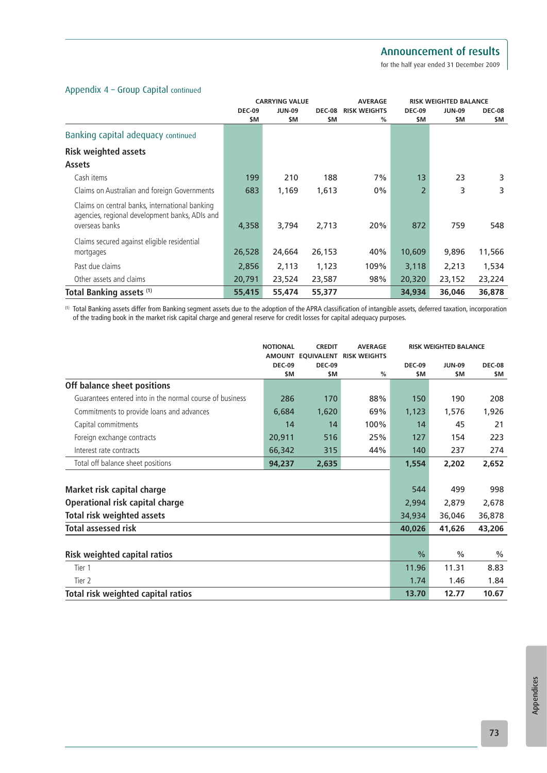for the half year ended 31 December 2009

|                                                                                                  |               | <b>CARRYING VALUE</b><br><b>AVERAGE</b> |               |                     | <b>RISK WEIGHTED BALANCE</b> |               |               |
|--------------------------------------------------------------------------------------------------|---------------|-----------------------------------------|---------------|---------------------|------------------------------|---------------|---------------|
|                                                                                                  | <b>DEC-09</b> | <b>JUN-09</b>                           | <b>DEC-08</b> | <b>RISK WEIGHTS</b> | <b>DEC-09</b>                | <b>JUN-09</b> | <b>DEC-08</b> |
|                                                                                                  | \$M           | \$M                                     | \$M           | ℅                   | \$M                          | \$M           | \$M           |
| Banking capital adequacy continued                                                               |               |                                         |               |                     |                              |               |               |
| <b>Risk weighted assets</b>                                                                      |               |                                         |               |                     |                              |               |               |
| <b>Assets</b>                                                                                    |               |                                         |               |                     |                              |               |               |
| Cash items                                                                                       | 199           | 210                                     | 188           | 7%                  | 1 <sub>3</sub>               | 23            | 3             |
| Claims on Australian and foreign Governments                                                     | 683           | 1,169                                   | 1,613         | $0\%$               | $\overline{2}$               | 3             | 3             |
| Claims on central banks, international banking<br>agencies, regional development banks, ADIs and |               |                                         |               |                     |                              |               |               |
| overseas banks                                                                                   | 4,358         | 3.794                                   | 2.713         | 20%                 | 872                          | 759           | 548           |
| Claims secured against eligible residential                                                      |               |                                         |               |                     |                              |               |               |
| mortgages                                                                                        | 26,528        | 24,664                                  | 26,153        | 40%                 | 10,609                       | 9,896         | 11,566        |
| Past due claims                                                                                  | 2,856         | 2,113                                   | 1,123         | 109%                | 3,118                        | 2,213         | 1,534         |
| Other assets and claims                                                                          | 20,791        | 23,524                                  | 23,587        | 98%                 | 20,320                       | 23,152        | 23,224        |
| Total Banking assets (1)                                                                         | 55,415        | 55,474                                  | 55,377        |                     | 34,934                       | 36,046        | 36,878        |

#### Appendix 4 – Group Capital continued

(1) Total Banking assets differ from Banking segment assets due to the adoption of the APRA classification of intangible assets, deferred taxation, incorporation of the trading book in the market risk capital charge and general reserve for credit losses for capital adequacy purposes.

|                                                          | <b>NOTIONAL</b><br><b>AMOUNT</b> | <b>CREDIT</b> | <b>AVERAGE</b><br><b>EOUIVALENT RISK WEIGHTS</b> | <b>RISK WEIGHTED BALANCE</b> |               |               |
|----------------------------------------------------------|----------------------------------|---------------|--------------------------------------------------|------------------------------|---------------|---------------|
|                                                          | <b>DEC-09</b>                    | <b>DEC-09</b> |                                                  | <b>DEC-09</b>                | <b>JUN-09</b> | <b>DEC-08</b> |
|                                                          | \$M                              | \$M           | %                                                | \$M                          | <b>SM</b>     | \$M           |
| Off balance sheet positions                              |                                  |               |                                                  |                              |               |               |
| Guarantees entered into in the normal course of business | 286                              | 170           | 88%                                              | 150                          | 190           | 208           |
| Commitments to provide loans and advances                | 6,684                            | 1,620         | 69%                                              | 1,123                        | 1,576         | 1,926         |
| Capital commitments                                      | 14                               | 14            | 100%                                             | 14                           | 45            | 21            |
| Foreign exchange contracts                               | 20,911                           | 516           | 25%                                              | 127                          | 154           | 223           |
| Interest rate contracts                                  | 66,342                           | 315           | 44%                                              | 140                          | 237           | 274           |
| Total off balance sheet positions                        | 94,237                           | 2,635         |                                                  | 1,554                        | 2,202         | 2,652         |
|                                                          |                                  |               |                                                  |                              |               |               |
| Market risk capital charge                               |                                  |               |                                                  | 544                          | 499           | 998           |
| Operational risk capital charge                          |                                  |               |                                                  | 2,994                        | 2,879         | 2,678         |
| <b>Total risk weighted assets</b>                        |                                  |               |                                                  | 34,934                       | 36,046        | 36,878        |
| <b>Total assessed risk</b>                               |                                  |               |                                                  | 40,026                       | 41,626        | 43,206        |
|                                                          |                                  |               |                                                  |                              |               |               |
| <b>Risk weighted capital ratios</b>                      |                                  |               |                                                  | $\frac{0}{0}$                | $\frac{0}{0}$ | $\%$          |
| Tier 1                                                   |                                  |               |                                                  | 11.96                        | 11.31         | 8.83          |
| Tier 2                                                   |                                  |               |                                                  | 1.74                         | 1.46          | 1.84          |
| Total risk weighted capital ratios                       |                                  |               |                                                  | 13.70                        | 12.77         | 10.67         |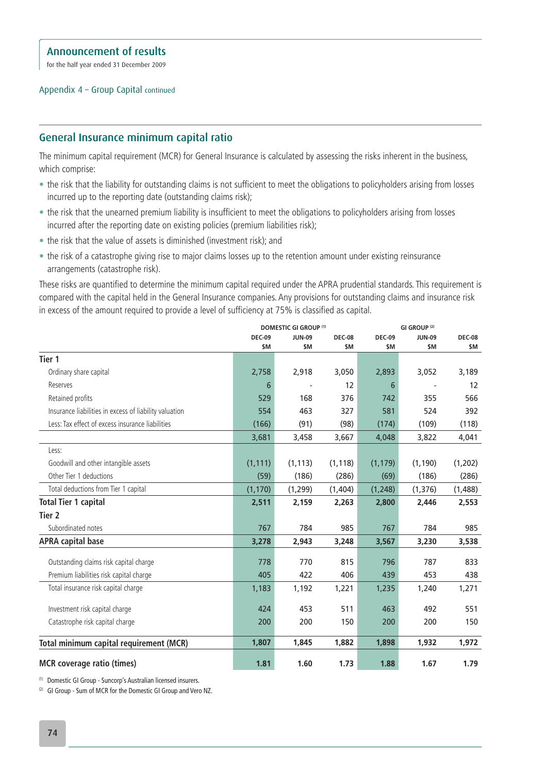for the half year ended 31 December 2009

#### Appendix 4 – Group Capital continued

#### General Insurance minimum capital ratio

The minimum capital requirement (MCR) for General Insurance is calculated by assessing the risks inherent in the business, which comprise:

- the risk that the liability for outstanding claims is not sufficient to meet the obligations to policyholders arising from losses incurred up to the reporting date (outstanding claims risk);
- the risk that the unearned premium liability is insufficient to meet the obligations to policyholders arising from losses incurred after the reporting date on existing policies (premium liabilities risk);
- the risk that the value of assets is diminished (investment risk); and
- the risk of a catastrophe giving rise to major claims losses up to the retention amount under existing reinsurance arrangements (catastrophe risk).

These risks are quantified to determine the minimum capital required under the APRA prudential standards. This requirement is compared with the capital held in the General Insurance companies. Any provisions for outstanding claims and insurance risk in excess of the amount required to provide a level of sufficiency at 75% is classified as capital.

|                                                        |                      | GI GROUP <sup>(2)</sup><br><b>DOMESTIC GI GROUP (1)</b> |                      |                      |                      |                      |  |
|--------------------------------------------------------|----------------------|---------------------------------------------------------|----------------------|----------------------|----------------------|----------------------|--|
|                                                        | <b>DEC-09</b><br>\$M | <b>JUN-09</b><br>\$M                                    | <b>DEC-08</b><br>\$M | <b>DEC-09</b><br>\$M | <b>JUN-09</b><br>\$M | <b>DEC-08</b><br>\$M |  |
| Tier 1                                                 |                      |                                                         |                      |                      |                      |                      |  |
| Ordinary share capital                                 | 2,758                | 2,918                                                   | 3,050                | 2,893                | 3,052                | 3,189                |  |
| Reserves                                               | 6                    |                                                         | 12                   | 6                    |                      | 12                   |  |
| Retained profits                                       | 529                  | 168                                                     | 376                  | 742                  | 355                  | 566                  |  |
| Insurance liabilities in excess of liability valuation | 554                  | 463                                                     | 327                  | 581                  | 524                  | 392                  |  |
| Less: Tax effect of excess insurance liabilities       | (166)                | (91)                                                    | (98)                 | (174)                | (109)                | (118)                |  |
|                                                        | 3,681                | 3,458                                                   | 3,667                | 4,048                | 3,822                | 4,041                |  |
| Less:                                                  |                      |                                                         |                      |                      |                      |                      |  |
| Goodwill and other intangible assets                   | (1, 111)             | (1, 113)                                                | (1, 118)             | (1, 179)             | (1, 190)             | (1,202)              |  |
| Other Tier 1 deductions                                | (59)                 | (186)                                                   | (286)                | (69)                 | (186)                | (286)                |  |
| Total deductions from Tier 1 capital                   | (1, 170)             | (1, 299)                                                | (1,404)              | (1,248)              | (1, 376)             | (1,488)              |  |
| <b>Total Tier 1 capital</b>                            | 2,511                | 2,159                                                   | 2,263                | 2,800                | 2,446                | 2,553                |  |
| Tier <sub>2</sub>                                      |                      |                                                         |                      |                      |                      |                      |  |
| Subordinated notes                                     | 767                  | 784                                                     | 985                  | 767                  | 784                  | 985                  |  |
| <b>APRA capital base</b>                               | 3,278                | 2,943                                                   | 3,248                | 3,567                | 3,230                | 3,538                |  |
| Outstanding claims risk capital charge                 | 778                  | 770                                                     | 815                  | 796                  | 787                  | 833                  |  |
| Premium liabilities risk capital charge                | 405                  | 422                                                     | 406                  | 439                  | 453                  | 438                  |  |
| Total insurance risk capital charge                    | 1,183                | 1,192                                                   | 1,221                | 1,235                | 1,240                | 1,271                |  |
| Investment risk capital charge                         | 424                  | 453                                                     | 511                  | 463                  | 492                  | 551                  |  |
| Catastrophe risk capital charge                        | 200                  | 200                                                     | 150                  | 200                  | 200                  | 150                  |  |
| Total minimum capital requirement (MCR)                | 1,807                | 1,845                                                   | 1,882                | 1,898                | 1,932                | 1,972                |  |
| <b>MCR</b> coverage ratio (times)                      | 1.81                 | 1.60                                                    | 1.73                 | 1.88                 | 1.67                 | 1.79                 |  |

<sup>(1)</sup> Domestic GI Group - Suncorp's Australian licensed insurers.

 $(2)$  GI Group - Sum of MCR for the Domestic GI Group and Vero NZ.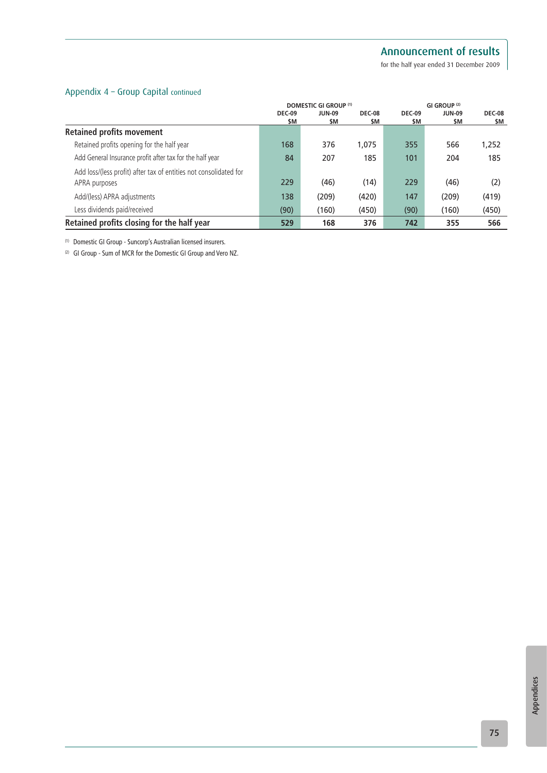for the half year ended 31 December 2009

## Appendix 4 – Group Capital continued

|                                                                   |                      | <b>DOMESTIC GI GROUP (1)</b> |                      |                      | GI GROUP <sup>(2)</sup> |               |  |
|-------------------------------------------------------------------|----------------------|------------------------------|----------------------|----------------------|-------------------------|---------------|--|
|                                                                   | <b>DEC-09</b><br>\$M | <b>JUN-09</b><br>\$M         | <b>DEC-08</b><br>\$M | <b>DEC-09</b><br>\$M | <b>JUN-09</b><br>\$M    | DEC-08<br>\$M |  |
| <b>Retained profits movement</b>                                  |                      |                              |                      |                      |                         |               |  |
| Retained profits opening for the half year                        | 168                  | 376                          | 1.075                | 355                  | 566                     | 1,252         |  |
| Add General Insurance profit after tax for the half year          | 84                   | 207                          | 185                  | 101                  | 204                     | 185           |  |
| Add loss/(less profit) after tax of entities not consolidated for |                      |                              |                      |                      |                         |               |  |
| APRA purposes                                                     | 229                  | (46)                         | (14)                 | 229                  | (46)                    | (2)           |  |
| Add/(less) APRA adjustments                                       | 138                  | (209)                        | (420)                | 147                  | (209)                   | (419)         |  |
| Less dividends paid/received                                      | (90)                 | (160)                        | (450)                | (90)                 | (160)                   | (450)         |  |
| Retained profits closing for the half year                        | 529                  | 168                          | 376                  | 742                  | 355                     | 566           |  |

 $(1)$  Domestic GI Group - Suncorp's Australian licensed insurers.

 $(2)$  GI Group - Sum of MCR for the Domestic GI Group and Vero NZ.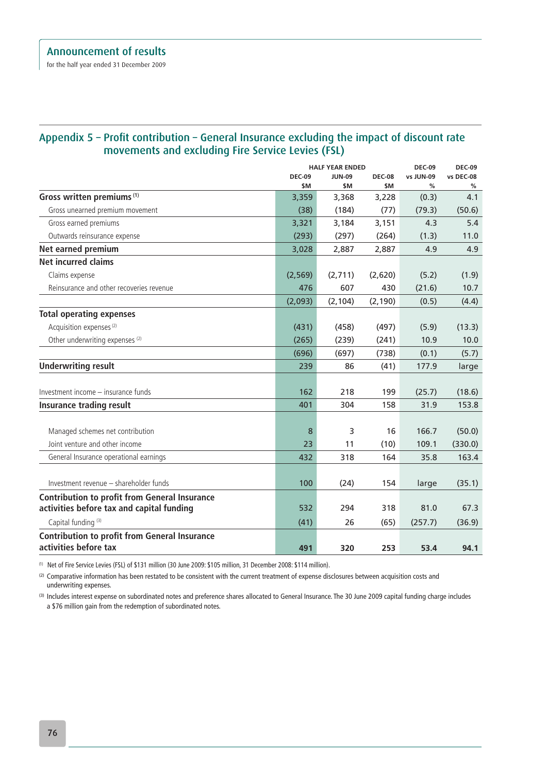for the half year ended 31 December 2009

# Appendix 5 – Profit contribution – General Insurance excluding the impact of discount rate movements and excluding Fire Service Levies (FSL)

|                                                      | <b>HALF YEAR ENDED</b>     |                            |                      | <b>DEC-09</b>  | <b>DEC-09</b>  |
|------------------------------------------------------|----------------------------|----------------------------|----------------------|----------------|----------------|
|                                                      | <b>DEC-09</b><br><b>SM</b> | <b>JUN-09</b><br><b>SM</b> | <b>DEC-08</b><br>\$M | vs JUN-09<br>% | vs DEC-08<br>℅ |
| Gross written premiums <sup>(1)</sup>                | 3,359                      | 3,368                      | 3,228                | (0.3)          | 4.1            |
| Gross unearned premium movement                      | (38)                       | (184)                      | (77)                 | (79.3)         | (50.6)         |
| Gross earned premiums                                | 3,321                      | 3,184                      | 3,151                | 4.3            | 5.4            |
| Outwards reinsurance expense                         | (293)                      | (297)                      | (264)                | (1.3)          | 11.0           |
| Net earned premium                                   | 3,028                      | 2,887                      | 2,887                | 4.9            | 4.9            |
| <b>Net incurred claims</b>                           |                            |                            |                      |                |                |
| Claims expense                                       | (2, 569)                   | (2,711)                    | (2,620)              | (5.2)          | (1.9)          |
| Reinsurance and other recoveries revenue             | 476                        | 607                        | 430                  | (21.6)         | 10.7           |
|                                                      | (2,093)                    | (2, 104)                   | (2, 190)             | (0.5)          | (4.4)          |
| <b>Total operating expenses</b>                      |                            |                            |                      |                |                |
| Acquisition expenses <sup>(2)</sup>                  | (431)                      | (458)                      | (497)                | (5.9)          | (13.3)         |
| Other underwriting expenses <sup>(2)</sup>           | (265)                      | (239)                      | (241)                | 10.9           | 10.0           |
|                                                      | (696)                      | (697)                      | (738)                | (0.1)          | (5.7)          |
| <b>Underwriting result</b>                           | 239                        | 86                         | (41)                 | 177.9          | large          |
|                                                      |                            |                            |                      |                |                |
| Investment income - insurance funds                  | 162                        | 218                        | 199                  | (25.7)         | (18.6)         |
| <b>Insurance trading result</b>                      | 401                        | 304                        | 158                  | 31.9           | 153.8          |
|                                                      |                            |                            |                      |                |                |
| Managed schemes net contribution                     | 8                          | 3                          | 16                   | 166.7          | (50.0)         |
| Joint venture and other income                       | 23                         | 11                         | (10)                 | 109.1          | (330.0)        |
| General Insurance operational earnings               | 432                        | 318                        | 164                  | 35.8           | 163.4          |
|                                                      |                            |                            |                      |                |                |
| Investment revenue - shareholder funds               | 100                        | (24)                       | 154                  | large          | (35.1)         |
| <b>Contribution to profit from General Insurance</b> |                            |                            |                      |                |                |
| activities before tax and capital funding            | 532                        | 294                        | 318                  | 81.0           | 67.3           |
| Capital funding <sup>(3)</sup>                       | (41)                       | 26                         | (65)                 | (257.7)        | (36.9)         |
| <b>Contribution to profit from General Insurance</b> |                            |                            |                      |                |                |
| activities before tax                                | 491                        | 320                        | 253                  | 53.4           | 94.1           |

(1) Net of Fire Service Levies (FSL) of \$131 million (30 June 2009: \$105 million, 31 December 2008: \$114 million).

(2) Comparative information has been restated to be consistent with the current treatment of expense disclosures between acquisition costs and underwriting expenses.

(3) Includes interest expense on subordinated notes and preference shares allocated to General Insurance. The 30 June 2009 capital funding charge includes a \$76 million gain from the redemption of subordinated notes.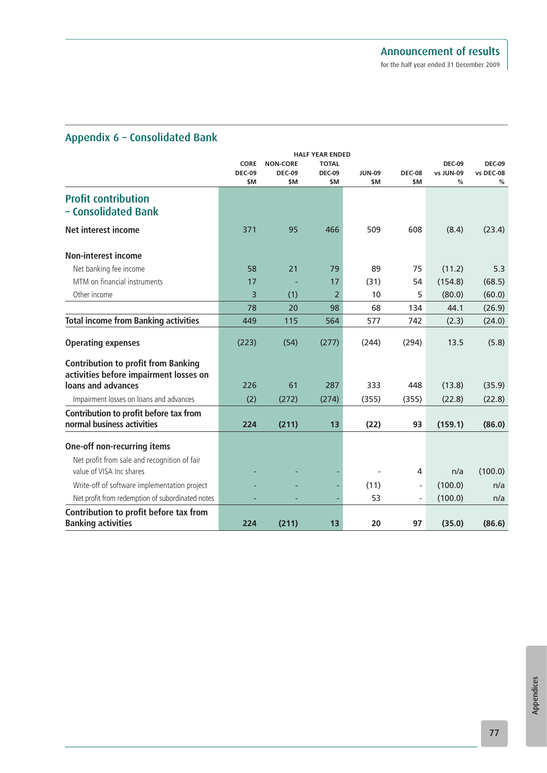# Appendix 6 – Consolidated Bank

|                                                                                      |               |                 | <b>HALF YEAR ENDED</b> |               |                          |               |               |
|--------------------------------------------------------------------------------------|---------------|-----------------|------------------------|---------------|--------------------------|---------------|---------------|
|                                                                                      | <b>CORE</b>   | <b>NON-CORE</b> | <b>TOTAL</b>           |               |                          | <b>DEC-09</b> | <b>DEC-09</b> |
|                                                                                      | <b>DEC-09</b> | <b>DEC-09</b>   | <b>DEC-09</b>          | <b>JUN-09</b> | <b>DEC-08</b>            | vs JUN-09     | vs DEC-08     |
|                                                                                      | \$M           | \$M             | \$M                    | \$M           | \$M                      | %             | %             |
| <b>Profit contribution</b><br>- Consolidated Bank                                    |               |                 |                        |               |                          |               |               |
| Net interest income                                                                  | 371           | 95              | 466                    | 509           | 608                      | (8.4)         | (23.4)        |
| <b>Non-interest income</b>                                                           |               |                 |                        |               |                          |               |               |
| Net banking fee income                                                               | 58            | 21              | 79                     | 89            | 75                       | (11.2)        | 5.3           |
| MTM on financial instruments                                                         | 17            |                 | 17                     | (31)          | 54                       | (154.8)       | (68.5)        |
| Other income                                                                         | 3             | (1)             | $\overline{2}$         | 10            | 5                        | (80.0)        | (60.0)        |
|                                                                                      | 78            | 20              | 98                     | 68            | 134                      | 44.1          | (26.9)        |
| <b>Total income from Banking activities</b>                                          | 449           | 115             | 564                    | 577           | 742                      | (2.3)         | (24.0)        |
| <b>Operating expenses</b>                                                            | (223)         | (54)            | (277)                  | (244)         | (294)                    | 13.5          | (5.8)         |
| <b>Contribution to profit from Banking</b><br>activities before impairment losses on |               |                 |                        |               |                          |               |               |
| loans and advances                                                                   | 226           | 61              | 287                    | 333           | 448                      | (13.8)        | (35.9)        |
| Impairment losses on loans and advances                                              | (2)           | (272)           | (274)                  | (355)         | (355)                    | (22.8)        | (22.8)        |
| Contribution to profit before tax from<br>normal business activities                 | 224           | (211)           | 13                     | (22)          | 93                       | (159.1)       | (86.0)        |
| <b>One-off non-recurring items</b>                                                   |               |                 |                        |               |                          |               |               |
| Net profit from sale and recognition of fair<br>value of VISA Inc shares             |               |                 |                        |               | 4                        | n/a           | (100.0)       |
| Write-off of software implementation project                                         |               |                 |                        | (11)          | $\overline{\phantom{a}}$ | (100.0)       | n/a           |
| Net profit from redemption of subordinated notes                                     |               |                 |                        | 53            | $\overline{\phantom{a}}$ | (100.0)       | n/a           |
| Contribution to profit before tax from<br><b>Banking activities</b>                  | 224           | (211)           | 13                     | 20            | 97                       | (35.0)        | (86.6)        |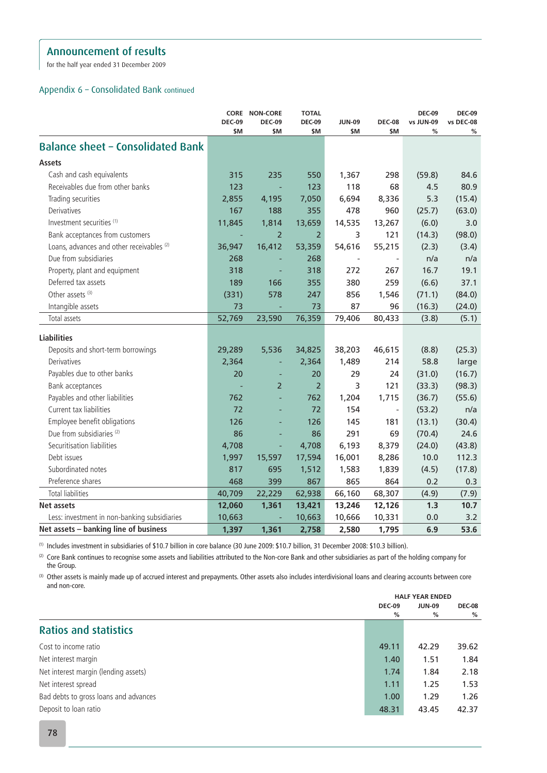for the half year ended 31 December 2009

#### Appendix 6 – Consolidated Bank continued

|                                              | <b>DEC-09</b><br>\$M | <b>CORE NON-CORE</b><br><b>DEC-09</b><br>\$M | <b>TOTAL</b><br><b>DEC-09</b><br>\$M | <b>JUN-09</b><br>\$M | <b>DEC-08</b><br>\$M         | <b>DEC-09</b><br>vs JUN-09<br>% | <b>DEC-09</b><br>vs DEC-08<br>% |
|----------------------------------------------|----------------------|----------------------------------------------|--------------------------------------|----------------------|------------------------------|---------------------------------|---------------------------------|
| <b>Balance sheet - Consolidated Bank</b>     |                      |                                              |                                      |                      |                              |                                 |                                 |
| Assets                                       |                      |                                              |                                      |                      |                              |                                 |                                 |
| Cash and cash equivalents                    | 315                  | 235                                          | 550                                  | 1,367                | 298                          | (59.8)                          | 84.6                            |
| Receivables due from other banks             | 123                  |                                              | 123                                  | 118                  | 68                           | 4.5                             | 80.9                            |
| Trading securities                           | 2,855                | 4,195                                        | 7,050                                | 6,694                | 8,336                        | 5.3                             | (15.4)                          |
| Derivatives                                  | 167                  | 188                                          | 355                                  | 478                  | 960                          | (25.7)                          | (63.0)                          |
| Investment securities <sup>(1)</sup>         | 11,845               | 1,814                                        | 13,659                               | 14,535               | 13,267                       | (6.0)                           | 3.0                             |
| Bank acceptances from customers              |                      | $\overline{2}$                               | $\overline{2}$                       | 3                    | 121                          | (14.3)                          | (98.0)                          |
| Loans, advances and other receivables (2)    | 36,947               | 16,412                                       | 53,359                               | 54,616               | 55,215                       | (2.3)                           | (3.4)                           |
| Due from subsidiaries                        | 268                  |                                              | 268                                  |                      |                              | n/a                             | n/a                             |
| Property, plant and equipment                | 318                  |                                              | 318                                  | 272                  | 267                          | 16.7                            | 19.1                            |
| Deferred tax assets                          | 189                  | 166                                          | 355                                  | 380                  | 259                          | (6.6)                           | 37.1                            |
| Other assets <sup>(3)</sup>                  | (331)                | 578                                          | 247                                  | 856                  | 1,546                        | (71.1)                          | (84.0)                          |
| Intangible assets                            | 73                   |                                              | 73                                   | 87                   | 96                           | (16.3)                          | (24.0)                          |
| Total assets                                 | 52,769               | 23,590                                       | 76,359                               | 79,406               | 80,433                       | (3.8)                           | (5.1)                           |
| <b>Liabilities</b>                           |                      |                                              |                                      |                      |                              |                                 |                                 |
| Deposits and short-term borrowings           | 29,289               | 5,536                                        | 34,825                               | 38,203               | 46,615                       | (8.8)                           | (25.3)                          |
| Derivatives                                  | 2,364                |                                              | 2,364                                | 1,489                | 214                          | 58.8                            | large                           |
| Payables due to other banks                  | 20                   |                                              | 20                                   | 29                   | 24                           | (31.0)                          | (16.7)                          |
| Bank acceptances                             |                      | $\overline{2}$                               | $\overline{2}$                       | 3                    | 121                          | (33.3)                          | (98.3)                          |
| Payables and other liabilities               | 762                  |                                              | 762                                  | 1,204                | 1,715                        | (36.7)                          | (55.6)                          |
| Current tax liabilities                      | 72                   |                                              | 72                                   | 154                  | $\qquad \qquad \blacksquare$ | (53.2)                          | n/a                             |
| Employee benefit obligations                 | 126                  |                                              | 126                                  | 145                  | 181                          | (13.1)                          | (30.4)                          |
| Due from subsidiaries <sup>(2)</sup>         | 86                   |                                              | 86                                   | 291                  | 69                           | (70.4)                          | 24.6                            |
| Securitisation liabilities                   | 4,708                |                                              | 4,708                                | 6,193                | 8,379                        | (24.0)                          | (43.8)                          |
| Debt issues                                  | 1,997                | 15,597                                       | 17,594                               | 16,001               | 8,286                        | 10.0                            | 112.3                           |
| Subordinated notes                           | 817                  | 695                                          | 1,512                                | 1,583                | 1,839                        | (4.5)                           | (17.8)                          |
| Preference shares                            | 468                  | 399                                          | 867                                  | 865                  | 864                          | 0.2                             | 0.3                             |
| <b>Total liabilities</b>                     | 40,709               | 22,229                                       | 62,938                               | 66,160               | 68,307                       | (4.9)                           | (7.9)                           |
| <b>Net assets</b>                            | 12,060               | 1,361                                        | 13,421                               | 13,246               | 12,126                       | 1.3                             | 10.7                            |
| Less: investment in non-banking subsidiaries | 10,663               |                                              | 10,663                               | 10,666               | 10,331                       | 0.0                             | 3.2                             |
| Net assets - banking line of business        | 1,397                | 1,361                                        | 2,758                                | 2,580                | 1,795                        | 6.9                             | 53.6                            |

(1) Includes investment in subsidiaries of \$10.7 billion in core balance (30 June 2009: \$10.7 billion, 31 December 2008: \$10.3 billion).

(2) Core Bank continues to recognise some assets and liabilities attributed to the Non-core Bank and other subsidiaries as part of the holding company for the Group.

(3) Other assets is mainly made up of accrued interest and prepayments. Other assets also includes interdivisional loans and clearing accounts between core and non-core.

|                                       | <b>HALF YEAR ENDED</b> |               |               |
|---------------------------------------|------------------------|---------------|---------------|
|                                       | <b>DEC-09</b>          | <b>JUN-09</b> | <b>DEC-08</b> |
|                                       | %                      | %             | %             |
| <b>Ratios and statistics</b>          |                        |               |               |
| Cost to income ratio                  | 49.11                  | 42.29         | 39.62         |
| Net interest margin                   | 1.40                   | 1.51          | 1.84          |
| Net interest margin (lending assets)  | 1.74                   | 1.84          | 2.18          |
| Net interest spread                   | 1.11                   | 1.25          | 1.53          |
| Bad debts to gross loans and advances | 1.00                   | 1.29          | 1.26          |
| Deposit to loan ratio                 | 48.31                  | 43.45         | 42.37         |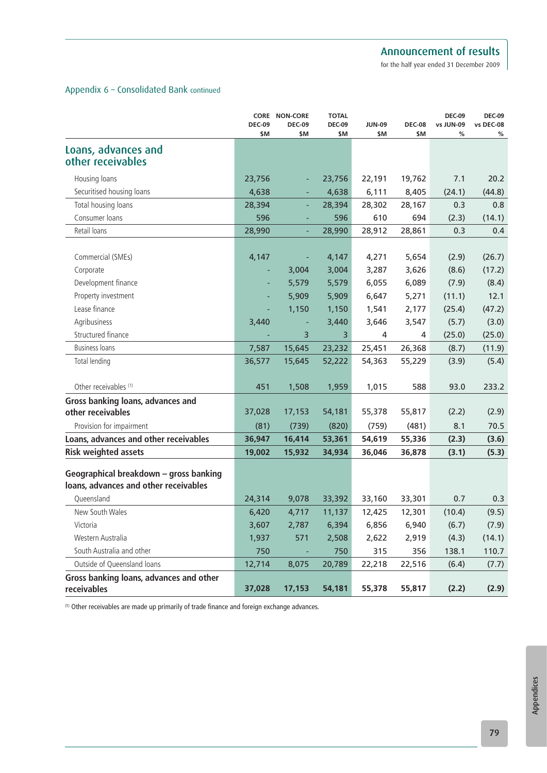for the half year ended 31 December 2009

# Appendix 6 – Consolidated Bank continued

|                                                                                 | <b>DEC-09</b><br>\$M | <b>CORE NON-CORE</b><br><b>DEC-09</b><br>\$M | <b>TOTAL</b><br><b>DEC-09</b><br>\$M | <b>JUN-09</b><br>\$M | <b>DEC-08</b><br>\$M | <b>DEC-09</b><br>vs JUN-09<br>% | <b>DEC-09</b><br>vs DEC-08<br>% |
|---------------------------------------------------------------------------------|----------------------|----------------------------------------------|--------------------------------------|----------------------|----------------------|---------------------------------|---------------------------------|
| Loans, advances and<br>other receivables                                        |                      |                                              |                                      |                      |                      |                                 |                                 |
| Housing loans                                                                   | 23,756               |                                              | 23,756                               | 22,191               | 19,762               | 7.1                             | 20.2                            |
| Securitised housing loans                                                       | 4,638                |                                              | 4,638                                | 6,111                | 8,405                | (24.1)                          | (44.8)                          |
| Total housing loans                                                             | 28,394               |                                              | 28,394                               | 28,302               | 28,167               | 0.3                             | 0.8                             |
| Consumer loans                                                                  | 596                  |                                              | 596                                  | 610                  | 694                  | (2.3)                           | (14.1)                          |
| Retail loans                                                                    | 28,990               |                                              | 28,990                               | 28,912               | 28,861               | 0.3                             | 0.4                             |
| Commercial (SMEs)                                                               | 4,147                |                                              | 4,147                                | 4,271                | 5,654                | (2.9)                           | (26.7)                          |
| Corporate                                                                       |                      | 3,004                                        | 3,004                                | 3,287                | 3,626                | (8.6)                           | (17.2)                          |
| Development finance                                                             |                      | 5,579                                        | 5,579                                | 6,055                | 6,089                | (7.9)                           | (8.4)                           |
| Property investment                                                             |                      | 5,909                                        | 5,909                                | 6,647                | 5,271                | (11.1)                          | 12.1                            |
| Lease finance                                                                   |                      | 1,150                                        | 1,150                                | 1,541                | 2,177                | (25.4)                          | (47.2)                          |
| Agribusiness                                                                    | 3,440                |                                              | 3,440                                | 3,646                | 3,547                | (5.7)                           | (3.0)                           |
| Structured finance                                                              |                      | 3                                            | 3                                    | 4                    | 4                    | (25.0)                          | (25.0)                          |
| <b>Business loans</b>                                                           | 7,587                | 15,645                                       | 23,232                               | 25,451               | 26,368               | (8.7)                           | (11.9)                          |
| Total lending                                                                   | 36,577               | 15,645                                       | 52,222                               | 54,363               | 55,229               | (3.9)                           | (5.4)                           |
| Other receivables (1)                                                           | 451                  | 1,508                                        | 1,959                                | 1,015                | 588                  | 93.0                            | 233.2                           |
| Gross banking loans, advances and<br>other receivables                          | 37,028               | 17,153                                       | 54,181                               | 55,378               | 55,817               | (2.2)                           | (2.9)                           |
| Provision for impairment                                                        | (81)                 | (739)                                        | (820)                                | (759)                | (481)                | 8.1                             | 70.5                            |
| Loans, advances and other receivables                                           | 36,947               | 16,414                                       | 53,361                               | 54,619               | 55,336               | (2.3)                           | (3.6)                           |
| <b>Risk weighted assets</b>                                                     | 19,002               | 15,932                                       | 34,934                               | 36,046               | 36,878               | (3.1)                           | (5.3)                           |
| Geographical breakdown - gross banking<br>loans, advances and other receivables |                      |                                              |                                      |                      |                      |                                 |                                 |
| Queensland                                                                      | 24,314               | 9,078                                        | 33,392                               | 33,160               | 33,301               | 0.7                             | 0.3                             |
| New South Wales                                                                 | 6,420                | 4,717                                        | 11,137                               | 12,425               | 12,301               | (10.4)                          | (9.5)                           |
| Victoria                                                                        | 3,607                | 2,787                                        | 6,394                                | 6,856                | 6,940                | (6.7)                           | (7.9)                           |
| Western Australia                                                               | 1,937                | 571                                          | 2,508                                | 2,622                | 2,919                | (4.3)                           | (14.1)                          |
| South Australia and other                                                       | 750                  |                                              | 750                                  | 315                  | 356                  | 138.1                           | 110.7                           |
| Outside of Queensland loans                                                     | 12,714               | 8,075                                        | 20,789                               | 22,218               | 22,516               | (6.4)                           | (7.7)                           |
| Gross banking loans, advances and other<br>receivables                          | 37,028               | 17,153                                       | 54,181                               | 55,378               | 55,817               | (2.2)                           | (2.9)                           |

(1) Other receivables are made up primarily of trade finance and foreign exchange advances.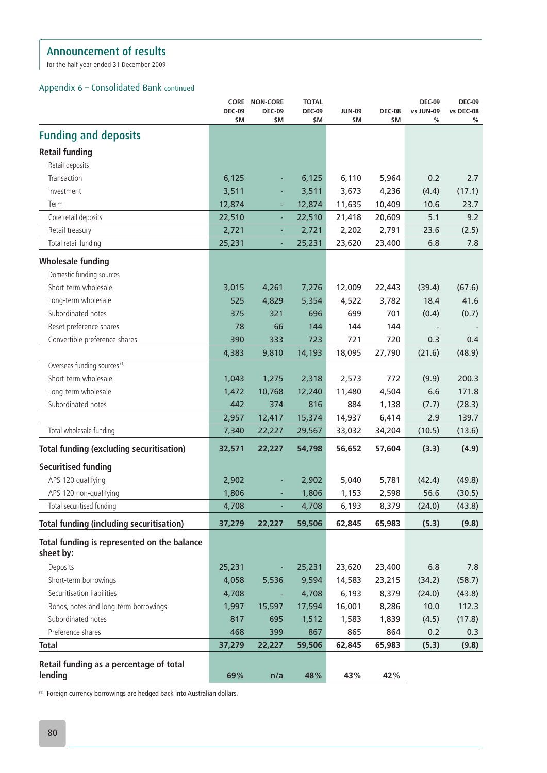for the half year ended 31 December 2009

## Appendix 6 – Consolidated Bank continued

|                                                          | <b>DEC-09</b><br>\$M | <b>CORE NON-CORE</b><br><b>DEC-09</b><br>\$M | <b>TOTAL</b><br><b>DEC-09</b><br>\$M | <b>JUN-09</b><br>\$M | <b>DEC-08</b><br>\$M | <b>DEC-09</b><br>vs JUN-09<br>% | <b>DEC-09</b><br>vs DEC-08<br>% |
|----------------------------------------------------------|----------------------|----------------------------------------------|--------------------------------------|----------------------|----------------------|---------------------------------|---------------------------------|
| <b>Funding and deposits</b>                              |                      |                                              |                                      |                      |                      |                                 |                                 |
| <b>Retail funding</b>                                    |                      |                                              |                                      |                      |                      |                                 |                                 |
| Retail deposits                                          |                      |                                              |                                      |                      |                      |                                 |                                 |
| Transaction                                              | 6,125                |                                              | 6,125                                | 6,110                | 5,964                | 0.2                             | 2.7                             |
| Investment                                               | 3,511                |                                              | 3,511                                | 3,673                | 4,236                | (4.4)                           | (17.1)                          |
| Term                                                     | 12,874               |                                              | 12,874                               | 11,635               | 10,409               | 10.6                            | 23.7                            |
| Core retail deposits                                     | 22,510               | ÷                                            | 22,510                               | 21,418               | 20,609               | 5.1                             | 9.2                             |
| Retail treasury                                          | 2,721                |                                              | 2,721                                | 2,202                | 2,791                | 23.6                            | (2.5)                           |
| Total retail funding                                     | 25,231               |                                              | 25,231                               | 23,620               | 23,400               | 6.8                             | 7.8                             |
| <b>Wholesale funding</b>                                 |                      |                                              |                                      |                      |                      |                                 |                                 |
| Domestic funding sources                                 |                      |                                              |                                      |                      |                      |                                 |                                 |
| Short-term wholesale                                     | 3,015                | 4,261                                        | 7,276                                | 12,009               | 22,443               | (39.4)                          | (67.6)                          |
| Long-term wholesale                                      | 525                  | 4,829                                        | 5,354                                | 4,522                | 3,782                | 18.4                            | 41.6                            |
| Subordinated notes                                       | 375                  | 321                                          | 696                                  | 699                  | 701                  | (0.4)                           | (0.7)                           |
| Reset preference shares                                  | 78                   | 66                                           | 144                                  | 144                  | 144                  |                                 |                                 |
| Convertible preference shares                            | 390                  | 333                                          | 723                                  | 721                  | 720                  | 0.3                             | 0.4                             |
|                                                          | 4,383                | 9,810                                        | 14,193                               | 18,095               | 27,790               | (21.6)                          | (48.9)                          |
| Overseas funding sources <sup>(1)</sup>                  |                      |                                              |                                      |                      |                      |                                 |                                 |
| Short-term wholesale                                     | 1,043                | 1,275                                        | 2,318                                | 2,573                | 772                  | (9.9)                           | 200.3                           |
| Long-term wholesale                                      | 1,472                | 10,768                                       | 12,240                               | 11,480               | 4,504                | 6.6                             | 171.8                           |
| Subordinated notes                                       | 442                  | 374                                          | 816                                  | 884                  | 1,138                | (7.7)                           | (28.3)                          |
|                                                          | 2,957                | 12,417                                       | 15,374                               | 14,937               | 6,414                | 2.9                             | 139.7                           |
| Total wholesale funding                                  | 7,340                | 22,227                                       | 29,567                               | 33,032               | 34,204               | (10.5)                          | (13.6)                          |
| <b>Total funding (excluding securitisation)</b>          | 32,571               | 22,227                                       | 54,798                               | 56,652               | 57,604               | (3.3)                           | (4.9)                           |
| <b>Securitised funding</b>                               |                      |                                              |                                      |                      |                      |                                 |                                 |
| APS 120 qualifying                                       | 2,902                |                                              | 2,902                                | 5,040                | 5,781                | (42.4)                          | (49.8)                          |
| APS 120 non-qualifying                                   | 1,806                |                                              | 1,806                                | 1,153                | 2,598                | 56.6                            | (30.5)                          |
| Total securitised funding                                | 4,708                |                                              | 4,708                                | 6,193                | 8,379                | (24.0)                          | (43.8)                          |
| <b>Total funding (including securitisation)</b>          | 37,279               | 22,227                                       | 59,506                               | 62,845               | 65,983               | (5.3)                           | (9.8)                           |
| Total funding is represented on the balance<br>sheet by: |                      |                                              |                                      |                      |                      |                                 |                                 |
| Deposits                                                 | 25,231               |                                              | 25,231                               | 23,620               | 23,400               | 6.8                             | 7.8                             |
| Short-term borrowings                                    | 4,058                | 5,536                                        | 9,594                                | 14,583               | 23,215               | (34.2)                          | (58.7)                          |
| Securitisation liabilities                               | 4,708                |                                              | 4,708                                | 6,193                | 8,379                | (24.0)                          | (43.8)                          |
| Bonds, notes and long-term borrowings                    | 1,997                | 15,597                                       | 17,594                               | 16,001               | 8,286                | 10.0                            | 112.3                           |
| Subordinated notes                                       | 817                  | 695                                          | 1,512                                | 1,583                | 1,839                | (4.5)                           | (17.8)                          |
| Preference shares                                        | 468                  | 399                                          | 867                                  | 865                  | 864                  | 0.2                             | 0.3                             |
| <b>Total</b>                                             | 37,279               | 22,227                                       | 59,506                               | 62,845               | 65,983               | (5.3)                           | (9.8)                           |
| Retail funding as a percentage of total<br>lending       | 69%                  | n/a                                          | 48%                                  | 43%                  | 42%                  |                                 |                                 |

(1) Foreign currency borrowings are hedged back into Australian dollars.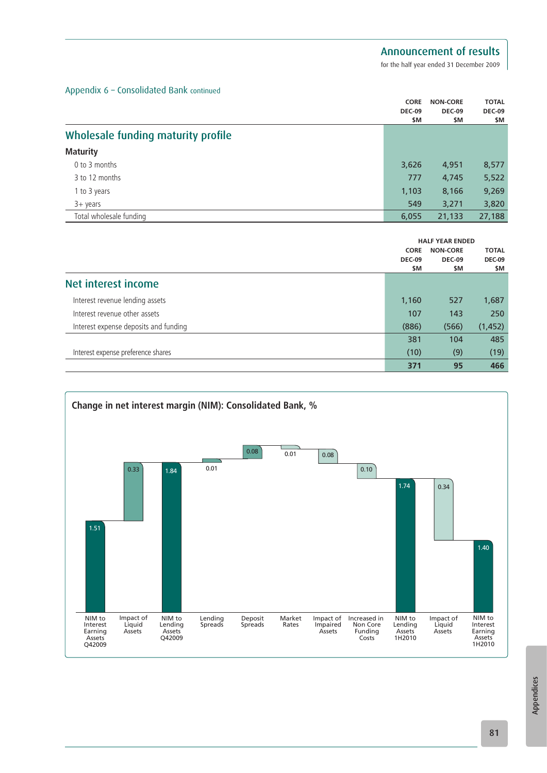for the half year ended 31 December 2009

Appendix 6 – Consolidated Bank continued

|                                    | <b>CORE</b>   | <b>NON-CORE</b> | <b>TOTAL</b>  |
|------------------------------------|---------------|-----------------|---------------|
|                                    | <b>DEC-09</b> | <b>DEC-09</b>   | <b>DEC-09</b> |
|                                    | \$M           | \$M             | \$M           |
| Wholesale funding maturity profile |               |                 |               |
| <b>Maturity</b>                    |               |                 |               |
| 0 to 3 months                      | 3,626         | 4,951           | 8,577         |
| 3 to 12 months                     | 777           | 4,745           | 5,522         |
| 1 to 3 years                       | 1,103         | 8,166           | 9,269         |
| $3 + \nu$ ears                     | 549           | 3,271           | 3,820         |
| Total wholesale funding            | 6,055         | 21,133          | 27,188        |

|                                       |               | <b>HALF YEAR ENDED</b> |               |
|---------------------------------------|---------------|------------------------|---------------|
|                                       | <b>CORE</b>   | <b>NON-CORE</b>        | <b>TOTAL</b>  |
|                                       | <b>DEC-09</b> | <b>DEC-09</b>          | <b>DEC-09</b> |
|                                       | \$M           | \$M                    | \$M           |
| Net interest income                   |               |                        |               |
| Interest revenue lending assets       | 1,160         | 527                    | 1,687         |
| Interest revenue other assets         | 107           | 143                    | 250           |
| Interest expense deposits and funding | (886)         | (566)                  | (1, 452)      |
|                                       | 381           | 104                    | 485           |
| Interest expense preference shares    | (10)          | (9)                    | (19)          |
|                                       | 371           | 95                     | 466           |



Appendices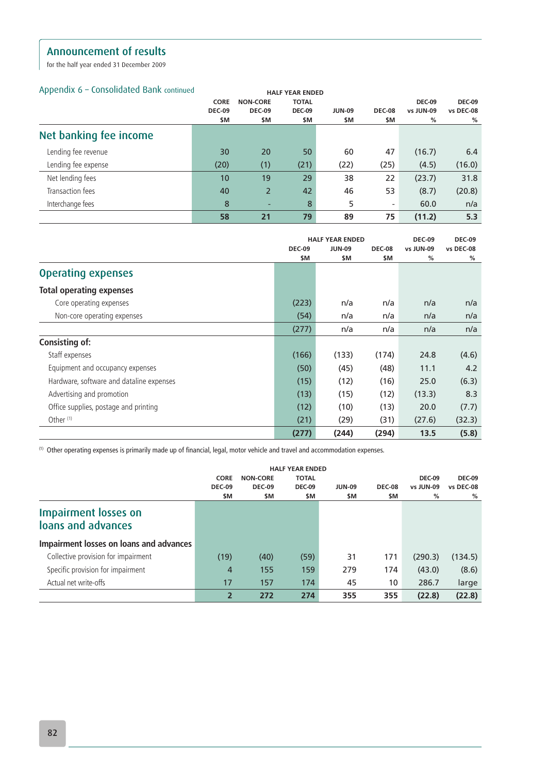for the half year ended 31 December 2009

#### Appendix 6 – Consolidated Bank continued

| Appendix 6 - Consolidated Bank continued |               |                 | <b>HALF YEAR ENDED</b> |               |                          |               |               |
|------------------------------------------|---------------|-----------------|------------------------|---------------|--------------------------|---------------|---------------|
|                                          | <b>CORE</b>   | <b>NON-CORE</b> | <b>TOTAL</b>           |               |                          | <b>DEC-09</b> | <b>DEC-09</b> |
|                                          | <b>DEC-09</b> | <b>DEC-09</b>   | <b>DEC-09</b>          | <b>JUN-09</b> | <b>DEC-08</b>            | vs JUN-09     | vs DEC-08     |
|                                          | \$M           | \$M             | \$M                    | \$M           | \$M                      | %             | %             |
| Net banking fee income                   |               |                 |                        |               |                          |               |               |
| Lending fee revenue                      | 30            | 20              | 50                     | 60            | 47                       | (16.7)        | 6.4           |
| Lending fee expense                      | (20)          | (1)             | (21)                   | (22)          | (25)                     | (4.5)         | (16.0)        |
| Net lending fees                         | 10            | 19              | 29                     | 38            | 22                       | (23.7)        | 31.8          |
| Transaction fees                         | 40            | $\overline{2}$  | 42                     | 46            | 53                       | (8.7)         | (20.8)        |
| Interchange fees                         | 8             |                 | 8                      | 5             | $\overline{\phantom{a}}$ | 60.0          | n/a           |
|                                          | 58            | 21              | 79                     | 89            | 75                       | (11.2)        | 5.3           |

|                                          |               | <b>HALF YEAR ENDED</b> | <b>DEC-09</b> | <b>DEC-09</b> |           |
|------------------------------------------|---------------|------------------------|---------------|---------------|-----------|
|                                          | <b>DEC-09</b> | <b>JUN-09</b>          | <b>DEC-08</b> | vs JUN-09     | vs DEC-08 |
|                                          | \$M           | \$M                    | \$M           | %             | %         |
| <b>Operating expenses</b>                |               |                        |               |               |           |
| <b>Total operating expenses</b>          |               |                        |               |               |           |
| Core operating expenses                  | (223)         | n/a                    | n/a           | n/a           | n/a       |
| Non-core operating expenses              | (54)          | n/a                    | n/a           | n/a           | n/a       |
|                                          | (277)         | n/a                    | n/a           | n/a           | n/a       |
| <b>Consisting of:</b>                    |               |                        |               |               |           |
| Staff expenses                           | (166)         | (133)                  | (174)         | 24.8          | (4.6)     |
| Equipment and occupancy expenses         | (50)          | (45)                   | (48)          | 11.1          | 4.2       |
| Hardware, software and dataline expenses | (15)          | (12)                   | (16)          | 25.0          | (6.3)     |
| Advertising and promotion                | (13)          | (15)                   | (12)          | (13.3)        | 8.3       |
| Office supplies, postage and printing    | (12)          | (10)                   | (13)          | 20.0          | (7.7)     |
| Other <sup>(1)</sup>                     | (21)          | (29)                   | (31)          | (27.6)        | (32.3)    |
|                                          | (277)         | (244)                  | (294)         | 13.5          | (5.8)     |

(1) Other operating expenses is primarily made up of financial, legal, motor vehicle and travel and accommodation expenses.

|                                                   |                |                 | <b>HALF YEAR ENDED</b> |               |               |               |               |
|---------------------------------------------------|----------------|-----------------|------------------------|---------------|---------------|---------------|---------------|
|                                                   | <b>CORE</b>    | <b>NON-CORE</b> | <b>TOTAL</b>           |               |               | <b>DEC-09</b> | <b>DEC-09</b> |
|                                                   | <b>DEC-09</b>  | <b>DEC-09</b>   | <b>DEC-09</b>          | <b>JUN-09</b> | <b>DEC-08</b> | vs JUN-09     | vs DEC-08     |
|                                                   | \$M            | \$M             | \$M                    | \$M           | \$M           | %             | %             |
| <b>Impairment losses on</b><br>loans and advances |                |                 |                        |               |               |               |               |
| Impairment losses on loans and advances           |                |                 |                        |               |               |               |               |
| Collective provision for impairment               | (19)           | (40)            | (59)                   | 31            | 171           | (290.3)       | (134.5)       |
| Specific provision for impairment                 | $\overline{a}$ | 155             | 159                    | 279           | 174           | (43.0)        | (8.6)         |
| Actual net write-offs                             | 17             | 157             | 174                    | 45            | 10            | 286.7         | large         |
|                                                   | $\overline{2}$ | 272             | 274                    | 355           | 355           | (22.8)        | (22.8)        |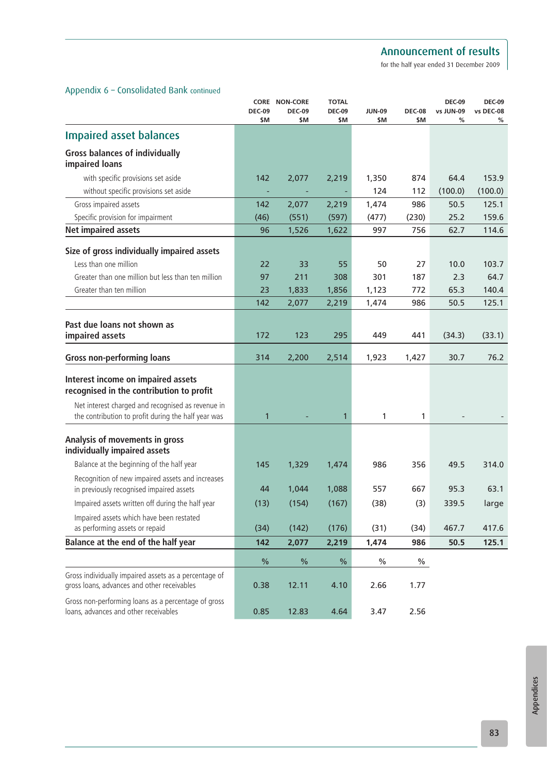for the half year ended 31 December 2009

|                                                                                                          | <b>DEC-09</b><br>\$M | <b>CORE NON-CORE</b><br><b>DEC-09</b><br>\$M | <b>TOTAL</b><br><b>DEC-09</b><br>\$M | <b>JUN-09</b><br>\$M | <b>DEC-08</b><br>\$M | <b>DEC-09</b><br>vs JUN-09<br>% | <b>DEC-09</b><br>vs DEC-08<br>% |
|----------------------------------------------------------------------------------------------------------|----------------------|----------------------------------------------|--------------------------------------|----------------------|----------------------|---------------------------------|---------------------------------|
| <b>Impaired asset balances</b>                                                                           |                      |                                              |                                      |                      |                      |                                 |                                 |
| <b>Gross balances of individually</b><br>impaired loans                                                  |                      |                                              |                                      |                      |                      |                                 |                                 |
| with specific provisions set aside                                                                       | 142                  | 2,077                                        | 2,219                                | 1,350                | 874                  | 64.4                            | 153.9                           |
| without specific provisions set aside                                                                    |                      |                                              |                                      | 124                  | 112                  | (100.0)                         | (100.0)                         |
| Gross impaired assets                                                                                    | 142                  | 2,077                                        | 2,219                                | 1,474                | 986                  | 50.5                            | 125.1                           |
| Specific provision for impairment                                                                        | (46)                 | (551)                                        | (597)                                | (477)                | (230)                | 25.2                            | 159.6                           |
| <b>Net impaired assets</b>                                                                               | 96                   | 1,526                                        | 1,622                                | 997                  | 756                  | 62.7                            | 114.6                           |
| Size of gross individually impaired assets                                                               |                      |                                              |                                      |                      |                      |                                 |                                 |
| Less than one million                                                                                    | 22                   | 33                                           | 55                                   | 50                   | 27                   | 10.0                            | 103.7                           |
| Greater than one million but less than ten million                                                       | 97                   | 211                                          | 308                                  | 301                  | 187                  | 2.3                             | 64.7                            |
| Greater than ten million                                                                                 | 23                   | 1,833                                        | 1,856                                | 1,123                | 772                  | 65.3                            | 140.4                           |
|                                                                                                          | 142                  | 2,077                                        | 2,219                                | 1,474                | 986                  | 50.5                            | 125.1                           |
|                                                                                                          |                      |                                              |                                      |                      |                      |                                 |                                 |
| Past due loans not shown as<br>impaired assets                                                           | 172                  | 123                                          | 295                                  | 449                  | 441                  | (34.3)                          | (33.1)                          |
| <b>Gross non-performing loans</b>                                                                        | 314                  | 2,200                                        | 2,514                                | 1,923                | 1,427                | 30.7                            | 76.2                            |
| Interest income on impaired assets<br>recognised in the contribution to profit                           |                      |                                              |                                      |                      |                      |                                 |                                 |
| Net interest charged and recognised as revenue in<br>the contribution to profit during the half year was | 1                    |                                              | $\mathbf{1}$                         | 1                    | $\mathbf{1}$         |                                 |                                 |
| Analysis of movements in gross<br>individually impaired assets                                           |                      |                                              |                                      |                      |                      |                                 |                                 |
| Balance at the beginning of the half year                                                                | 145                  | 1,329                                        | 1,474                                | 986                  | 356                  | 49.5                            | 314.0                           |
| Recognition of new impaired assets and increases<br>in previously recognised impaired assets             | 44                   | 1,044                                        | 1,088                                | 557                  | 667                  | 95.3                            | 63.1                            |
| Impaired assets written off during the half year                                                         | (13)                 | (154)                                        | (167)                                | (38)                 | (3)                  | 339.5                           | large                           |
| Impaired assets which have been restated<br>as performing assets or repaid                               | (34)                 | (142)                                        | (176)                                | (31)                 | (34)                 | 467.7                           | 417.6                           |
| Balance at the end of the half year                                                                      | 142                  | 2,077                                        | 2,219                                | 1,474                | 986                  | 50.5                            | 125.1                           |
|                                                                                                          | $\%$                 |                                              |                                      |                      |                      |                                 |                                 |
| Gross individually impaired assets as a percentage of                                                    |                      | $\%$                                         | %                                    | $\%$                 | $\%$                 |                                 |                                 |
| gross loans, advances and other receivables                                                              | 0.38                 | 12.11                                        | 4.10                                 | 2.66                 | 1.77                 |                                 |                                 |
| Gross non-performing loans as a percentage of gross<br>loans, advances and other receivables             | 0.85                 | 12.83                                        | 4.64                                 | 3.47                 | 2.56                 |                                 |                                 |

Appendix 6 – Consolidated Bank continued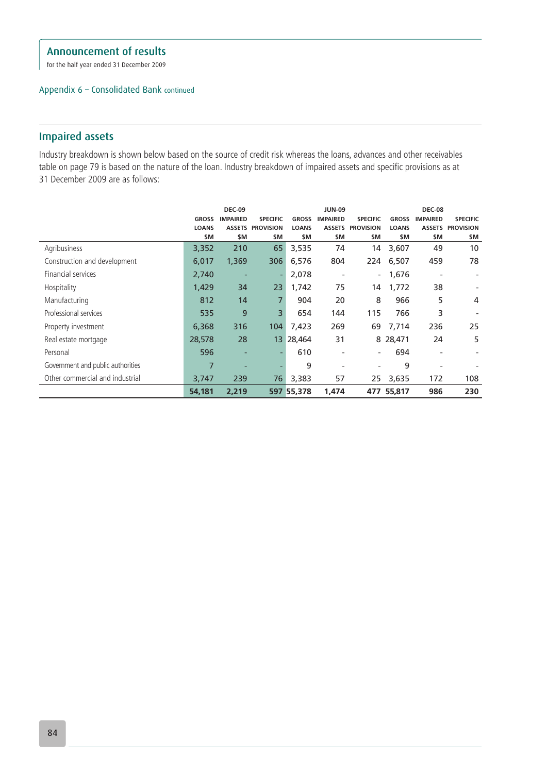for the half year ended 31 December 2009

Appendix 6 – Consolidated Bank continued

## Impaired assets

Industry breakdown is shown below based on the source of credit risk whereas the loans, advances and other receivables table on page 79 is based on the nature of the loan. Industry breakdown of impaired assets and specific provisions as at 31 December 2009 are as follows:

|                                   | <b>GROSS</b><br><b>LOANS</b><br>\$M | <b>DEC-09</b><br><b>IMPAIRED</b><br>\$M | <b>SPECIFIC</b><br><b>ASSETS PROVISION</b><br>\$M | <b>GROSS</b><br><b>LOANS</b><br>\$M | <b>JUN-09</b><br><b>IMPAIRED</b><br><b>ASSETS</b><br>\$M | <b>SPECIFIC</b><br><b>PROVISION</b><br>\$M | <b>GROSS</b><br><b>LOANS</b><br>\$M | <b>DEC-08</b><br><b>IMPAIRED</b><br>\$M | <b>SPECIFIC</b><br><b>ASSETS PROVISION</b><br>\$M |
|-----------------------------------|-------------------------------------|-----------------------------------------|---------------------------------------------------|-------------------------------------|----------------------------------------------------------|--------------------------------------------|-------------------------------------|-----------------------------------------|---------------------------------------------------|
| Agribusiness                      | 3,352                               | 210                                     | 65                                                | 3,535                               | 74                                                       | 14                                         | 3,607                               | 49                                      | 10                                                |
| Construction and development      | 6,017                               | 1,369                                   | 306                                               | 6,576                               | 804                                                      | 224                                        | 6,507                               | 459                                     | 78                                                |
| Financial services                | 2,740                               |                                         |                                                   | 2,078                               | $\overline{\phantom{a}}$                                 | $\overline{\phantom{a}}$                   | 1,676                               |                                         |                                                   |
| Hospitality                       | 1,429                               | 34                                      | 23                                                | 1,742                               | 75                                                       | 14                                         | 1,772                               | 38                                      |                                                   |
| Manufacturing                     | 812                                 | 14                                      | $\overline{7}$                                    | 904                                 | 20                                                       | 8                                          | 966                                 | 5                                       | 4                                                 |
| Professional services             | 535                                 | 9                                       | 3                                                 | 654                                 | 144                                                      | 115                                        | 766                                 | 3                                       |                                                   |
| Property investment               | 6,368                               | 316                                     | 104                                               | 7,423                               | 269                                                      | 69                                         | 7,714                               | 236                                     | 25                                                |
| Real estate mortgage              | 28,578                              | 28                                      | 13                                                | 28,464                              | 31                                                       | 8                                          | 28,471                              | 24                                      | 5                                                 |
| Personal                          | 596                                 |                                         | ۰                                                 | 610                                 | $\overline{a}$                                           | $\overline{\phantom{a}}$                   | 694                                 |                                         |                                                   |
| Government and public authorities | 7                                   |                                         |                                                   | 9                                   | $\overline{a}$                                           |                                            | 9                                   |                                         |                                                   |
| Other commercial and industrial   | 3,747                               | 239                                     | 76                                                | 3,383                               | 57                                                       | 25                                         | 3,635                               | 172                                     | 108                                               |
|                                   | 54,181                              | 2,219                                   |                                                   | 597 55,378                          | 1,474                                                    | 477                                        | 55,817                              | 986                                     | 230                                               |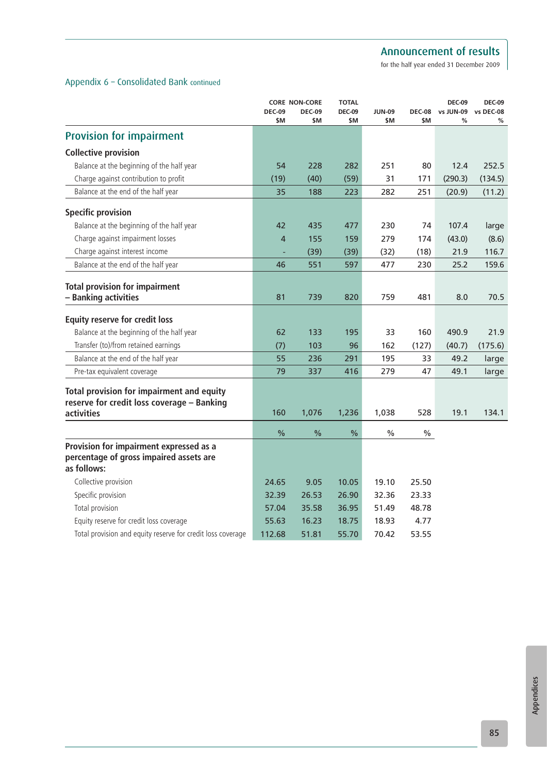for the half year ended 31 December 2009

# Appendix 6 – Consolidated Bank continued

|                                                                                                       | <b>DEC-09</b><br>\$M | <b>CORE NON-CORE</b><br><b>DEC-09</b><br>\$M | <b>TOTAL</b><br><b>DEC-09</b><br>\$M | <b>JUN-09</b><br>\$M | <b>DEC-08</b><br>\$M | <b>DEC-09</b><br>vs JUN-09<br>% | <b>DEC-09</b><br>vs DEC-08<br>% |
|-------------------------------------------------------------------------------------------------------|----------------------|----------------------------------------------|--------------------------------------|----------------------|----------------------|---------------------------------|---------------------------------|
| <b>Provision for impairment</b>                                                                       |                      |                                              |                                      |                      |                      |                                 |                                 |
| <b>Collective provision</b>                                                                           |                      |                                              |                                      |                      |                      |                                 |                                 |
| Balance at the beginning of the half year                                                             | 54                   | 228                                          | 282                                  | 251                  | 80                   | 12.4                            | 252.5                           |
| Charge against contribution to profit                                                                 | (19)                 | (40)                                         | (59)                                 | 31                   | 171                  | (290.3)                         | (134.5)                         |
| Balance at the end of the half year                                                                   | 35                   | 188                                          | 223                                  | 282                  | 251                  | (20.9)                          | (11.2)                          |
| <b>Specific provision</b>                                                                             |                      |                                              |                                      |                      |                      |                                 |                                 |
| Balance at the beginning of the half year                                                             | 42                   | 435                                          | 477                                  | 230                  | 74                   | 107.4                           | large                           |
| Charge against impairment losses                                                                      | $\overline{4}$       | 155                                          | 159                                  | 279                  | 174                  | (43.0)                          | (8.6)                           |
| Charge against interest income                                                                        |                      | (39)                                         | (39)                                 | (32)                 | (18)                 | 21.9                            | 116.7                           |
| Balance at the end of the half year                                                                   | 46                   | 551                                          | 597                                  | 477                  | 230                  | 25.2                            | 159.6                           |
| <b>Total provision for impairment</b><br>- Banking activities                                         | 81                   | 739                                          | 820                                  | 759                  | 481                  | 8.0                             | 70.5                            |
| <b>Equity reserve for credit loss</b>                                                                 |                      |                                              |                                      |                      |                      |                                 |                                 |
| Balance at the beginning of the half year                                                             | 62                   | 133                                          | 195                                  | 33                   | 160                  | 490.9                           | 21.9                            |
| Transfer (to)/from retained earnings                                                                  | (7)                  | 103                                          | 96                                   | 162                  | (127)                | (40.7)                          | (175.6)                         |
| Balance at the end of the half year                                                                   | 55                   | 236                                          | 291                                  | 195                  | 33                   | 49.2                            | large                           |
| Pre-tax equivalent coverage                                                                           | 79                   | 337                                          | 416                                  | 279                  | 47                   | 49.1                            | large                           |
| Total provision for impairment and equity<br>reserve for credit loss coverage - Banking<br>activities | 160                  | 1,076                                        | 1,236                                | 1,038                | 528                  | 19.1                            | 134.1                           |
|                                                                                                       | $\frac{0}{0}$        | $\frac{0}{0}$                                | %                                    | $\%$                 | $\%$                 |                                 |                                 |
| Provision for impairment expressed as a<br>percentage of gross impaired assets are<br>as follows:     |                      |                                              |                                      |                      |                      |                                 |                                 |
| Collective provision                                                                                  | 24.65                | 9.05                                         | 10.05                                | 19.10                | 25.50                |                                 |                                 |
| Specific provision                                                                                    | 32.39                | 26.53                                        | 26.90                                | 32.36                | 23.33                |                                 |                                 |
| Total provision                                                                                       | 57.04                | 35.58                                        | 36.95                                | 51.49                | 48.78                |                                 |                                 |
| Equity reserve for credit loss coverage                                                               | 55.63                | 16.23                                        | 18.75                                | 18.93                | 4.77                 |                                 |                                 |
| Total provision and equity reserve for credit loss coverage                                           | 112.68               | 51.81                                        | 55.70                                | 70.42                | 53.55                |                                 |                                 |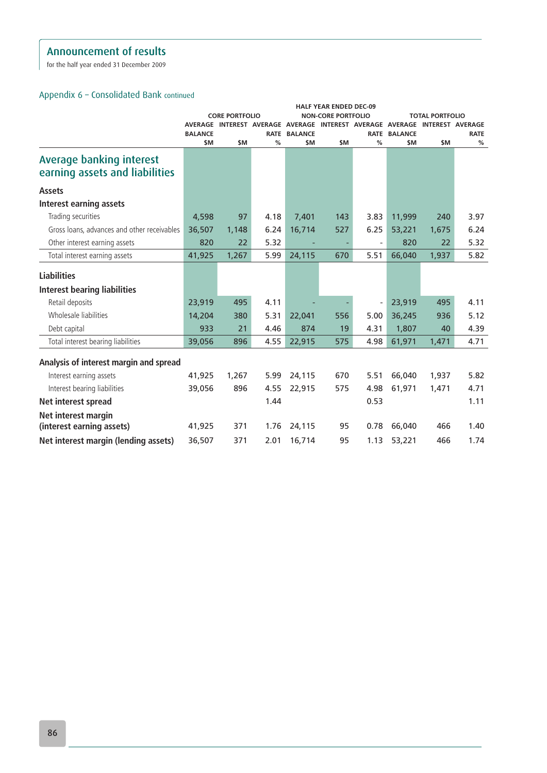for the half year ended 31 December 2009

#### Appendix 6 – Consolidated Bank continued

|        |                                                                     |                                  |                                                            |                                                         |                          |                                                                                 |                                                                                                                          | <b>RATE</b><br>%                                                           |
|--------|---------------------------------------------------------------------|----------------------------------|------------------------------------------------------------|---------------------------------------------------------|--------------------------|---------------------------------------------------------------------------------|--------------------------------------------------------------------------------------------------------------------------|----------------------------------------------------------------------------|
|        |                                                                     |                                  |                                                            |                                                         |                          |                                                                                 |                                                                                                                          |                                                                            |
|        |                                                                     |                                  |                                                            |                                                         |                          |                                                                                 |                                                                                                                          |                                                                            |
|        |                                                                     |                                  |                                                            |                                                         |                          |                                                                                 |                                                                                                                          |                                                                            |
|        |                                                                     |                                  |                                                            |                                                         |                          |                                                                                 |                                                                                                                          |                                                                            |
|        |                                                                     |                                  |                                                            |                                                         |                          |                                                                                 |                                                                                                                          |                                                                            |
| 4,598  | 97                                                                  | 4.18                             | 7,401                                                      | 143                                                     | 3.83                     | 11,999                                                                          | 240                                                                                                                      | 3.97                                                                       |
| 36,507 | 1,148                                                               | 6.24                             | 16,714                                                     | 527                                                     | 6.25                     | 53,221                                                                          | 1,675                                                                                                                    | 6.24                                                                       |
| 820    | 22                                                                  | 5.32                             |                                                            |                                                         | $\overline{\phantom{a}}$ | 820                                                                             | 22                                                                                                                       | 5.32                                                                       |
| 41,925 | 1,267                                                               | 5.99                             | 24,115                                                     | 670                                                     | 5.51                     | 66,040                                                                          | 1,937                                                                                                                    | 5.82                                                                       |
|        |                                                                     |                                  |                                                            |                                                         |                          |                                                                                 |                                                                                                                          |                                                                            |
|        |                                                                     |                                  |                                                            |                                                         |                          |                                                                                 |                                                                                                                          |                                                                            |
|        |                                                                     |                                  |                                                            |                                                         |                          |                                                                                 |                                                                                                                          | 4.11                                                                       |
|        | 380                                                                 |                                  |                                                            |                                                         |                          |                                                                                 | 936                                                                                                                      | 5.12                                                                       |
| 933    | 21                                                                  | 4.46                             | 874                                                        | 19                                                      | 4.31                     | 1,807                                                                           | 40                                                                                                                       | 4.39                                                                       |
| 39,056 | 896                                                                 | 4.55                             | 22,915                                                     | 575                                                     | 4.98                     | 61,971                                                                          | 1,471                                                                                                                    | 4.71                                                                       |
|        |                                                                     |                                  |                                                            |                                                         |                          |                                                                                 |                                                                                                                          |                                                                            |
|        |                                                                     |                                  |                                                            |                                                         |                          |                                                                                 |                                                                                                                          | 5.82                                                                       |
|        |                                                                     |                                  |                                                            |                                                         | 4.98                     |                                                                                 |                                                                                                                          | 4.71                                                                       |
|        |                                                                     | 1.44                             |                                                            |                                                         | 0.53                     |                                                                                 |                                                                                                                          | 1.11                                                                       |
|        |                                                                     |                                  |                                                            |                                                         |                          |                                                                                 |                                                                                                                          |                                                                            |
| 41,925 | 371                                                                 | 1.76                             | 24,115                                                     | 95                                                      | 0.78                     | 66,040                                                                          | 466                                                                                                                      | 1.40                                                                       |
| 36,507 | 371                                                                 | 2.01                             | 16,714                                                     | 95                                                      | 1.13                     | 53,221                                                                          | 466                                                                                                                      | 1.74                                                                       |
|        | <b>BALANCE</b><br><b>SM</b><br>23,919<br>14,204<br>41,925<br>39,056 | <b>SM</b><br>495<br>1,267<br>896 | <b>CORE PORTFOLIO</b><br>%<br>4.11<br>5.31<br>5.99<br>4.55 | RATE BALANCE<br><b>SM</b><br>22,041<br>24,115<br>22,915 | \$M<br>556<br>670<br>575 | <b>HALF YEAR ENDED DEC-09</b><br><b>NON-CORE PORTFOLIO</b><br>%<br>5.00<br>5.51 | AVERAGE INTEREST AVERAGE AVERAGE INTEREST AVERAGE AVERAGE<br>RATE BALANCE<br>\$M<br>23,919<br>36,245<br>66,040<br>61,971 | <b>TOTAL PORTFOLIO</b><br>INTEREST AVERAGE<br>\$M<br>495<br>1,937<br>1,471 |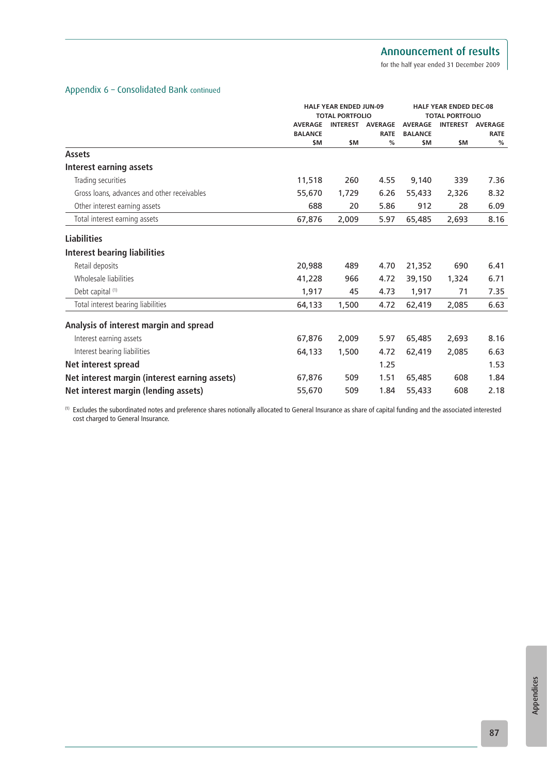for the half year ended 31 December 2009

#### Appendix 6 – Consolidated Bank continued

|                                               | <b>HALF YEAR ENDED JUN-09</b> | <b>HALF YEAR ENDED DEC-08</b> |                         |                       |       |                        |
|-----------------------------------------------|-------------------------------|-------------------------------|-------------------------|-----------------------|-------|------------------------|
|                                               |                               | <b>TOTAL PORTFOLIO</b>        |                         |                       |       | <b>TOTAL PORTFOLIO</b> |
|                                               | <b>AVERAGE</b>                |                               | <b>INTEREST AVERAGE</b> | <b>AVERAGE</b>        |       | INTEREST AVERAGE       |
|                                               | <b>BALANCE</b><br>\$M         | \$M                           | <b>RATE</b><br>%        | <b>BALANCE</b><br>\$M | \$M   | <b>RATE</b><br>%       |
| <b>Assets</b>                                 |                               |                               |                         |                       |       |                        |
| Interest earning assets                       |                               |                               |                         |                       |       |                        |
| Trading securities                            | 11,518                        | 260                           | 4.55                    | 9,140                 | 339   | 7.36                   |
| Gross loans, advances and other receivables   | 55,670                        | 1,729                         | 6.26                    | 55,433                | 2,326 | 8.32                   |
| Other interest earning assets                 | 688                           | 20                            | 5.86                    | 912                   | 28    | 6.09                   |
| Total interest earning assets                 | 67,876                        | 2,009                         | 5.97                    | 65,485                | 2,693 | 8.16                   |
| <b>Liabilities</b>                            |                               |                               |                         |                       |       |                        |
| Interest bearing liabilities                  |                               |                               |                         |                       |       |                        |
| Retail deposits                               | 20,988                        | 489                           | 4.70                    | 21,352                | 690   | 6.41                   |
| Wholesale liabilities                         | 41,228                        | 966                           | 4.72                    | 39,150                | 1,324 | 6.71                   |
| Debt capital <sup>(1)</sup>                   | 1,917                         | 45                            | 4.73                    | 1,917                 | 71    | 7.35                   |
| Total interest bearing liabilities            | 64,133                        | 1,500                         | 4.72                    | 62,419                | 2,085 | 6.63                   |
| Analysis of interest margin and spread        |                               |                               |                         |                       |       |                        |
| Interest earning assets                       | 67,876                        | 2,009                         | 5.97                    | 65,485                | 2,693 | 8.16                   |
| Interest bearing liabilities                  | 64,133                        | 1,500                         | 4.72                    | 62,419                | 2,085 | 6.63                   |
| Net interest spread                           |                               |                               | 1.25                    |                       |       | 1.53                   |
| Net interest margin (interest earning assets) | 67,876                        | 509                           | 1.51                    | 65,485                | 608   | 1.84                   |
| Net interest margin (lending assets)          | 55,670                        | 509                           | 1.84                    | 55,433                | 608   | 2.18                   |

(1) Excludes the subordinated notes and preference shares notionally allocated to General Insurance as share of capital funding and the associated interested cost charged to General Insurance.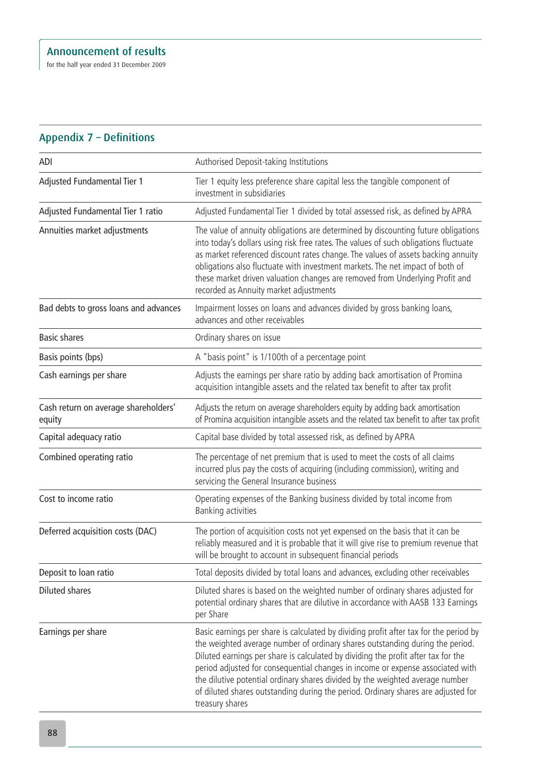for the half year ended 31 December 2009

# Appendix 7 – Definitions

| <b>ADI</b>                                     | Authorised Deposit-taking Institutions                                                                                                                                                                                                                                                                                                                                                                                                                                                                                                 |
|------------------------------------------------|----------------------------------------------------------------------------------------------------------------------------------------------------------------------------------------------------------------------------------------------------------------------------------------------------------------------------------------------------------------------------------------------------------------------------------------------------------------------------------------------------------------------------------------|
| <b>Adjusted Fundamental Tier 1</b>             | Tier 1 equity less preference share capital less the tangible component of<br>investment in subsidiaries                                                                                                                                                                                                                                                                                                                                                                                                                               |
| Adjusted Fundamental Tier 1 ratio              | Adjusted Fundamental Tier 1 divided by total assessed risk, as defined by APRA                                                                                                                                                                                                                                                                                                                                                                                                                                                         |
| Annuities market adjustments                   | The value of annuity obligations are determined by discounting future obligations<br>into today's dollars using risk free rates. The values of such obligations fluctuate<br>as market referenced discount rates change. The values of assets backing annuity<br>obligations also fluctuate with investment markets. The net impact of both of<br>these market driven valuation changes are removed from Underlying Profit and<br>recorded as Annuity market adjustments                                                               |
| Bad debts to gross loans and advances          | Impairment losses on loans and advances divided by gross banking loans,<br>advances and other receivables                                                                                                                                                                                                                                                                                                                                                                                                                              |
| <b>Basic shares</b>                            | Ordinary shares on issue                                                                                                                                                                                                                                                                                                                                                                                                                                                                                                               |
| Basis points (bps)                             | A "basis point" is 1/100th of a percentage point                                                                                                                                                                                                                                                                                                                                                                                                                                                                                       |
| Cash earnings per share                        | Adjusts the earnings per share ratio by adding back amortisation of Promina<br>acquisition intangible assets and the related tax benefit to after tax profit                                                                                                                                                                                                                                                                                                                                                                           |
| Cash return on average shareholders'<br>equity | Adjusts the return on average shareholders equity by adding back amortisation<br>of Promina acquisition intangible assets and the related tax benefit to after tax profit                                                                                                                                                                                                                                                                                                                                                              |
| Capital adequacy ratio                         | Capital base divided by total assessed risk, as defined by APRA                                                                                                                                                                                                                                                                                                                                                                                                                                                                        |
| Combined operating ratio                       | The percentage of net premium that is used to meet the costs of all claims<br>incurred plus pay the costs of acquiring (including commission), writing and<br>servicing the General Insurance business                                                                                                                                                                                                                                                                                                                                 |
| Cost to income ratio                           | Operating expenses of the Banking business divided by total income from<br>Banking activities                                                                                                                                                                                                                                                                                                                                                                                                                                          |
| Deferred acquisition costs (DAC)               | The portion of acquisition costs not yet expensed on the basis that it can be<br>reliably measured and it is probable that it will give rise to premium revenue that<br>will be brought to account in subsequent financial periods                                                                                                                                                                                                                                                                                                     |
| Deposit to loan ratio                          | Total deposits divided by total loans and advances, excluding other receivables                                                                                                                                                                                                                                                                                                                                                                                                                                                        |
| <b>Diluted shares</b>                          | Diluted shares is based on the weighted number of ordinary shares adjusted for<br>potential ordinary shares that are dilutive in accordance with AASB 133 Earnings<br>per Share                                                                                                                                                                                                                                                                                                                                                        |
| Earnings per share                             | Basic earnings per share is calculated by dividing profit after tax for the period by<br>the weighted average number of ordinary shares outstanding during the period.<br>Diluted earnings per share is calculated by dividing the profit after tax for the<br>period adjusted for consequential changes in income or expense associated with<br>the dilutive potential ordinary shares divided by the weighted average number<br>of diluted shares outstanding during the period. Ordinary shares are adjusted for<br>treasury shares |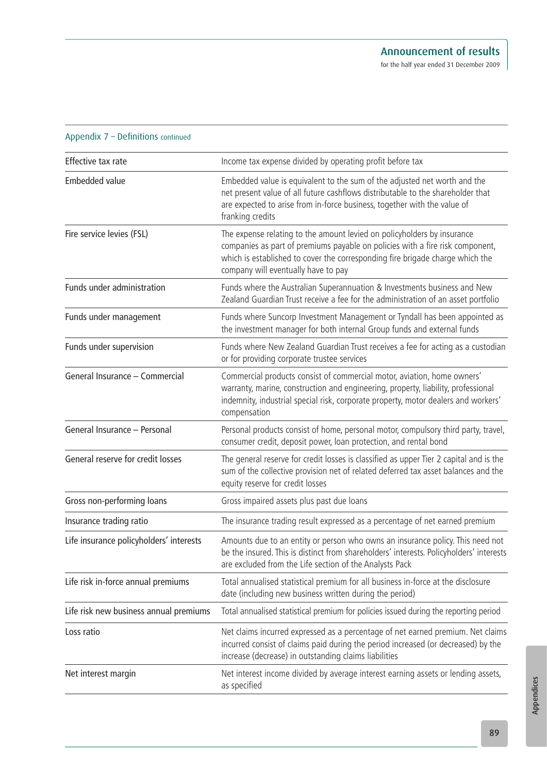| Appenuix 7 – Dennitions continued       |                                                                                                                                                                                                                                                                                  |
|-----------------------------------------|----------------------------------------------------------------------------------------------------------------------------------------------------------------------------------------------------------------------------------------------------------------------------------|
| Effective tax rate                      | Income tax expense divided by operating profit before tax                                                                                                                                                                                                                        |
| Embedded value                          | Embedded value is equivalent to the sum of the adjusted net worth and the<br>net present value of all future cashflows distributable to the shareholder that<br>are expected to arise from in-force business, together with the value of<br>franking credits                     |
| Fire service levies (FSL)               | The expense relating to the amount levied on policyholders by insurance<br>companies as part of premiums payable on policies with a fire risk component,<br>which is established to cover the corresponding fire brigade charge which the<br>company will eventually have to pay |
| Funds under administration              | Funds where the Australian Superannuation & Investments business and New<br>Zealand Guardian Trust receive a fee for the administration of an asset portfolio                                                                                                                    |
| Funds under management                  | Funds where Suncorp Investment Management or Tyndall has been appointed as<br>the investment manager for both internal Group funds and external funds                                                                                                                            |
| Funds under supervision                 | Funds where New Zealand Guardian Trust receives a fee for acting as a custodian<br>or for providing corporate trustee services                                                                                                                                                   |
| General Insurance - Commercial          | Commercial products consist of commercial motor, aviation, home owners'<br>warranty, marine, construction and engineering, property, liability, professional<br>indemnity, industrial special risk, corporate property, motor dealers and workers'<br>compensation               |
| General Insurance - Personal            | Personal products consist of home, personal motor, compulsory third party, travel,<br>consumer credit, deposit power, loan protection, and rental bond                                                                                                                           |
| General reserve for credit losses       | The general reserve for credit losses is classified as upper Tier 2 capital and is the<br>sum of the collective provision net of related deferred tax asset balances and the<br>equity reserve for credit losses                                                                 |
| Gross non-performing loans              | Gross impaired assets plus past due loans                                                                                                                                                                                                                                        |
| Insurance trading ratio                 | The insurance trading result expressed as a percentage of net earned premium                                                                                                                                                                                                     |
| Life insurance policyholders' interests | Amounts due to an entity or person who owns an insurance policy. This need not<br>be the insured. This is distinct from shareholders' interests. Policyholders' interests<br>are excluded from the Life section of the Analysts Pack                                             |
| Life risk in-force annual premiums      | Total annualised statistical premium for all business in-force at the disclosure<br>date (including new business written during the period)                                                                                                                                      |
| Life risk new business annual premiums  | Total annualised statistical premium for policies issued during the reporting period                                                                                                                                                                                             |
| Loss ratio                              | Net claims incurred expressed as a percentage of net earned premium. Net claims<br>incurred consist of claims paid during the period increased (or decreased) by the<br>increase (decrease) in outstanding claims liabilities                                                    |
| Net interest margin                     | Net interest income divided by average interest earning assets or lending assets,<br>as specified                                                                                                                                                                                |

### Appendix 7 – Definitions continued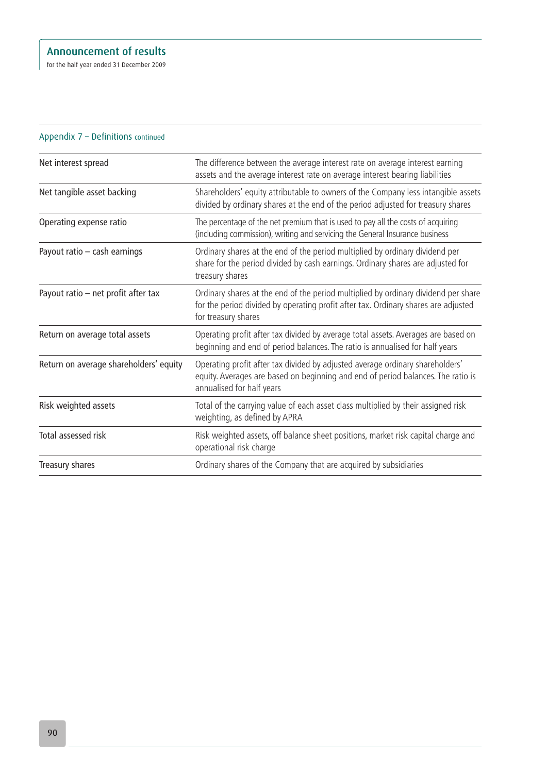for the half year ended 31 December 2009

#### Appendix 7 – Definitions continued

| Net interest spread                    | The difference between the average interest rate on average interest earning<br>assets and the average interest rate on average interest bearing liabilities                                    |
|----------------------------------------|-------------------------------------------------------------------------------------------------------------------------------------------------------------------------------------------------|
| Net tangible asset backing             | Shareholders' equity attributable to owners of the Company less intangible assets<br>divided by ordinary shares at the end of the period adjusted for treasury shares                           |
| Operating expense ratio                | The percentage of the net premium that is used to pay all the costs of acquiring<br>(including commission), writing and servicing the General Insurance business                                |
| Payout ratio - cash earnings           | Ordinary shares at the end of the period multiplied by ordinary dividend per<br>share for the period divided by cash earnings. Ordinary shares are adjusted for<br>treasury shares              |
| Payout ratio - net profit after tax    | Ordinary shares at the end of the period multiplied by ordinary dividend per share<br>for the period divided by operating profit after tax. Ordinary shares are adjusted<br>for treasury shares |
| Return on average total assets         | Operating profit after tax divided by average total assets. Averages are based on<br>beginning and end of period balances. The ratio is annualised for half years                               |
| Return on average shareholders' equity | Operating profit after tax divided by adjusted average ordinary shareholders'<br>equity. Averages are based on beginning and end of period balances. The ratio is<br>annualised for half years  |
| Risk weighted assets                   | Total of the carrying value of each asset class multiplied by their assigned risk<br>weighting, as defined by APRA                                                                              |
| Total assessed risk                    | Risk weighted assets, off balance sheet positions, market risk capital charge and<br>operational risk charge                                                                                    |
| Treasury shares                        | Ordinary shares of the Company that are acquired by subsidiaries                                                                                                                                |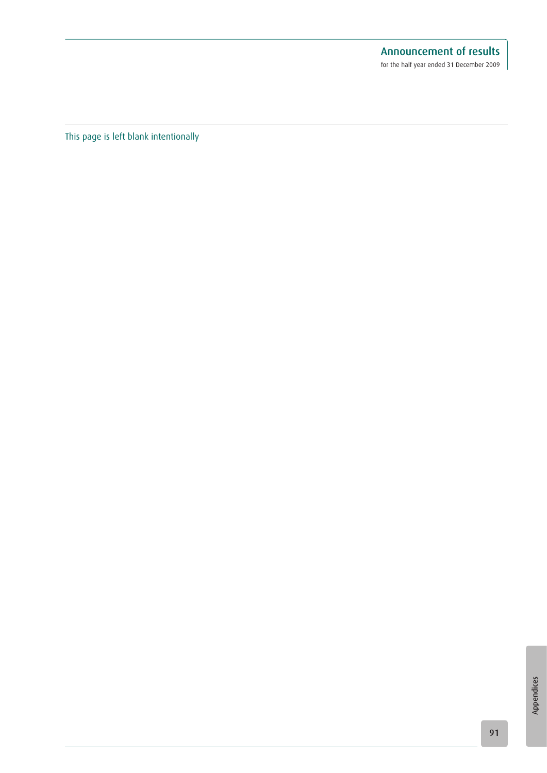for the half year ended 31 December 2009

This page is left blank intentionally